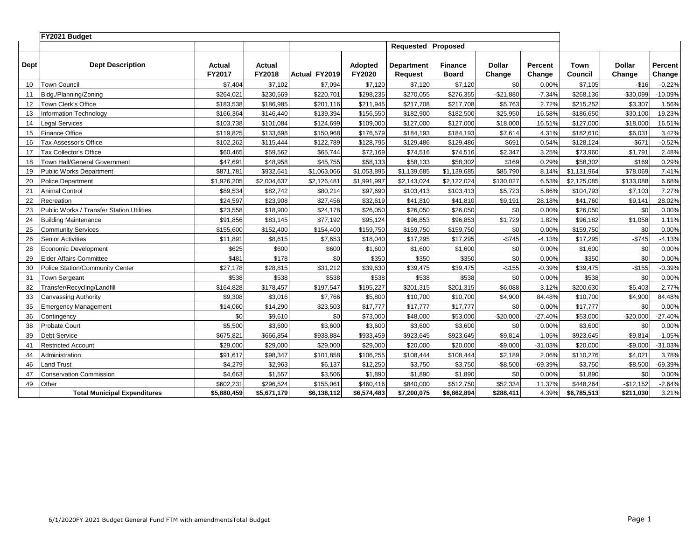|      | FY2021 Budget                             |                  |                  |               |                   |                              |                                |                         |                          |                 |                         |                   |
|------|-------------------------------------------|------------------|------------------|---------------|-------------------|------------------------------|--------------------------------|-------------------------|--------------------------|-----------------|-------------------------|-------------------|
|      |                                           |                  |                  |               |                   | Requested Proposed           |                                |                         |                          |                 |                         |                   |
| Dept | <b>Dept Description</b>                   | Actual<br>FY2017 | Actual<br>FY2018 | Actual FY2019 | Adopted<br>FY2020 | <b>Department</b><br>Request | <b>Finance</b><br><b>Board</b> | <b>Dollar</b><br>Change | <b>Percent</b><br>Change | Town<br>Council | <b>Dollar</b><br>Change | Percent<br>Change |
| 10   | Town Council                              | \$7,404          | \$7,102          | \$7,094       | \$7,120           | \$7,120                      | \$7,120                        | \$0                     | 0.00%                    | \$7,105         | $-$16$                  | $-0.22%$          |
| 11   | Bldg./Planning/Zoning                     | \$264,021        | \$230,569        | \$220,701     | \$298,235         | \$270,055                    | \$276,355                      | $-$21,880$              | $-7.34%$                 | \$268,136       | $-$30,099$              | $-10.09%$         |
| 12   | Town Clerk's Office                       | \$183,538        | \$186,985        | \$201,116     | \$211,945         | \$217,708                    | \$217,708                      | \$5,763                 | 2.72%                    | \$215,252       | \$3,307                 | 1.56%             |
| 13   | <b>Information Technology</b>             | \$166.364        | \$146,440        | \$139,394     | \$156.550         | \$182,900                    | \$182,500                      | \$25,950                | 16.58%                   | \$186.650       | \$30.100                | 19.23%            |
| 14   | egal Services                             | \$103,738        | \$101,084        | \$124,699     | \$109,000         | \$127,000                    | \$127,000                      | \$18,000                | 16.51%                   | \$127,000       | \$18,000                | 16.51%            |
| 15   | <b>Finance Office</b>                     | \$119,825        | \$133,698        | \$150,968     | \$176,579         | \$184,193                    | \$184,193                      | \$7,614                 | 4.31%                    | \$182,610       | \$6,031                 | 3.42%             |
| 16   | Tax Assessor's Office                     | \$102,262        | \$115,444        | \$122,789     | \$128,795         | \$129,486                    | \$129,486                      | \$691                   | 0.54%                    | \$128,124       | $-$ \$671               | $-0.52%$          |
| 17   | Tax Collector's Office                    | \$60,465         | \$59,562         | \$65,744      | \$72,169          | \$74,516                     | \$74,516                       | \$2,347                 | 3.25%                    | \$73,960        | \$1,791                 | 2.48%             |
| 18   | Town Hall/General Government              | \$47.691         | \$48,958         | \$45,755      | \$58,133          | \$58,133                     | \$58,302                       | \$169                   | 0.29%                    | \$58,302        | \$169                   | 0.29%             |
| 19   | Public Works Department                   | \$871,781        | \$932,641        | \$1,063,066   | \$1,053,895       | \$1,139,685                  | \$1,139,685                    | \$85,790                | 8.14%                    | \$1,131,964     | \$78,069                | 7.41%             |
| 20   | <b>Police Department</b>                  | \$1,926,205      | \$2,004,637      | \$2,126,481   | \$1,991,997       | \$2,143,024                  | \$2,122,024                    | \$130,027               | 6.53%                    | \$2,125,085     | \$133,088               | 6.68%             |
| 21   | <b>Animal Control</b>                     | \$89,534         | \$82,742         | \$80,214      | \$97,690          | \$103,413                    | \$103,413                      | \$5,723                 | 5.86%                    | \$104,793       | \$7,103                 | 7.27%             |
| 22   | Recreation                                | \$24,597         | \$23,908         | \$27,456      | \$32,619          | \$41,810                     | \$41,810                       | \$9,191                 | 28.18%                   | \$41,760        | \$9,141                 | 28.02%            |
| 23   | Public Works / Transfer Station Utilities | \$23,558         | \$18,900         | \$24,178      | \$26,050          | \$26,050                     | \$26,050                       | \$0                     | 0.00%                    | \$26,050        | \$0                     | 0.00%             |
| 24   | <b>Building Maintenance</b>               | \$91,856         | \$83,145         | \$77,192      | \$95,124          | \$96,853                     | \$96,853                       | \$1,729                 | 1.82%                    | \$96,182        | \$1,058                 | 1.11%             |
| 25   | <b>Community Services</b>                 | \$155,600        | \$152,400        | \$154,400     | \$159,750         | \$159,750                    | \$159,750                      | \$0                     | 0.00%                    | \$159,750       | \$0                     | 0.00%             |
| 26   | <b>Senior Activities</b>                  | \$11,891         | \$8,615          | \$7,653       | \$18,040          | \$17,295                     | \$17,295                       | $-$745$                 | $-4.13%$                 | \$17,295        | $-$745$                 | $-4.13%$          |
| 28   | Economic Development                      | \$625            | \$600            | \$600         | \$1,600           | \$1,600                      | \$1,600                        | \$0                     | 0.00%                    | \$1,600         | \$0                     | 0.00%             |
| 29   | Elder Affairs Committee                   | \$481            | \$178            | \$0           | \$350             | \$350                        | \$350                          | \$0                     | 0.00%                    | \$350           | \$0                     | 0.00%             |
| 30   | <b>Police Station/Community Center</b>    | \$27,178         | \$28,815         | \$31,212      | \$39,630          | \$39,475                     | \$39,475                       | $-$155$                 | $-0.39%$                 | \$39,475        | $-$155$                 | $-0.39%$          |
| 31   | <b>Town Sergeant</b>                      | \$538            | \$538            | \$538         | \$538             | \$538                        | \$538                          | \$0                     | 0.00%                    | \$538           | \$0                     | 0.00%             |
| 32   | Transfer/Recycling/Landfill               | \$164,828        | \$178,457        | \$197,547     | \$195,227         | \$201,315                    | \$201,315                      | \$6,088                 | 3.12%                    | \$200.630       | \$5,403                 | 2.77%             |
| 33   | Canvassing Authority                      | \$9,308          | \$3,016          | \$7,766       | \$5,800           | \$10,700                     | \$10,700                       | \$4,900                 | 84.48%                   | \$10,700        | \$4,900                 | 84.48%            |
| 35   | <b>Emergency Management</b>               | \$14,060         | \$14,290         | \$23,503      | \$17,777          | \$17,777                     | \$17,777                       | \$0                     | 0.00%                    | \$17,777        | \$0                     | 0.00%             |
| 36   | Contingency                               | \$0              | \$9,610          | \$0           | \$73,000          | \$48,000                     | \$53,000                       | $-$20,000$              | $-27.40%$                | \$53,000        | $-$20,000$              | $-27.40%$         |
| 38   | Probate Court                             | \$5,500          | \$3,600          | \$3,600       | \$3,600           | \$3,600                      | \$3,600                        | \$0                     | 0.00%                    | \$3,600         | \$0                     | 0.00%             |
| 39   | <b>Debt Service</b>                       | \$675,821        | \$666,854        | \$938,884     | \$933,459         | \$923,645                    | \$923,645                      | $-$9,814$               | $-1.05%$                 | \$923,645       | $-$9,814$               | $-1.05%$          |
| 41   | <b>Restricted Account</b>                 | \$29,000         | \$29,000         | \$29,000      | \$29,000          | \$20,000                     | \$20,000                       | $-$9,000$               | $-31.03%$                | \$20,000        | $-$9,000$               | $-31.03%$         |
| 44   | Administration                            | \$91,617         | \$98,347         | \$101,858     | \$106,255         | \$108,444                    | \$108,444                      | \$2,189                 | 2.06%                    | \$110,276       | \$4,021                 | 3.78%             |
| 46   | and Trust                                 | \$4,279          | \$2,963          | \$6,137       | \$12,250          | \$3,750                      | \$3,750                        | $-$8,500$               | $-69.39%$                | \$3,750         | $-$ \$8,500             | -69.39%           |
| 47   | <b>Conservation Commission</b>            | \$4,663          | \$1,557          | \$3,506       | \$1,890           | \$1,890                      | \$1,890                        | \$0                     | 0.00%                    | \$1,890         | \$0                     | 0.00%             |
| 49   | Other                                     | \$602,231        | \$296,524        | \$155,061     | \$460,416         | \$840,000                    | \$512,750                      | \$52,334                | 11.37%                   | \$448,264       | $-$12,152$              | $-2.64%$          |
|      | <b>Total Municipal Expenditures</b>       | \$5,880,459      | \$5,671,179      | \$6,138,112   | \$6,574,483       | \$7,200,075                  | \$6,862,894                    | \$288,411               | 4.39%                    | \$6,785,513     | \$211,030               | 3.21%             |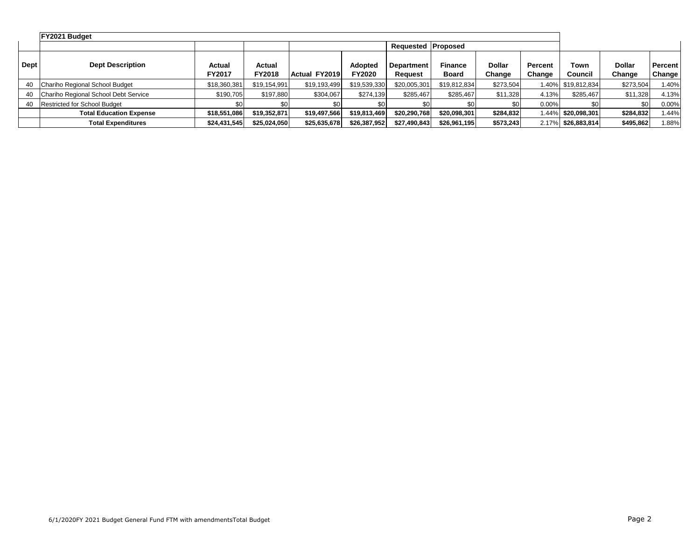|      | FY2021 Budget                        |                  |                         |               |                                 |                              |                         |                         |                          |                    |                         |                   |
|------|--------------------------------------|------------------|-------------------------|---------------|---------------------------------|------------------------------|-------------------------|-------------------------|--------------------------|--------------------|-------------------------|-------------------|
|      |                                      |                  |                         |               |                                 | Requested Proposed           |                         |                         |                          |                    |                         |                   |
| Dept | <b>Dept Description</b>              | Actual<br>FY2017 | Actual<br><b>FY2018</b> | Actual FY2019 | <b>Adopted</b><br><b>FY2020</b> | <b>Department</b><br>Request | <b>Finance</b><br>Board | <b>Dollar</b><br>Change | <b>Percent</b><br>Change | Town<br>Council    | <b>Dollar</b><br>Change | Percent<br>Change |
| 40   | Chariho Regional School Budget       | \$18,360,381     | \$19,154,991            | \$19,193,499  | \$19,539,330                    | \$20,005,301                 | \$19,812,834            | \$273,504               |                          | 1.40% \$19,812,834 | \$273,504               | 1.40%             |
| 40   | Chariho Regional School Debt Service | \$190,705        | \$197,880               | \$304,067     | \$274,139                       | \$285,467                    | \$285,467               | \$11,328                | 4.13%                    | \$285,467          | \$11,328                | 4.13%             |
| 40   | <b>Restricted for School Budget</b>  |                  | \$0.                    |               | SO I                            |                              |                         | \$0                     | $0.00\%$                 |                    | \$0                     | 0.00%             |
|      | <b>Total Education Expense</b>       | \$18,551,086     | \$19,352,871            | \$19,497,566  | \$19,813,469                    | \$20,290,768                 | \$20,098,301            | \$284,832               |                          | 1.44% \$20,098,301 | \$284,832               | 1.44%             |
|      | <b>Total Expenditures</b>            | \$24,431,545     | \$25,024,050            | \$25,635,678  | \$26,387,952                    | \$27,490,843                 | \$26,961,195            | \$573,243               |                          | 2.17% \$26,883,814 | \$495,862               | 1.88%             |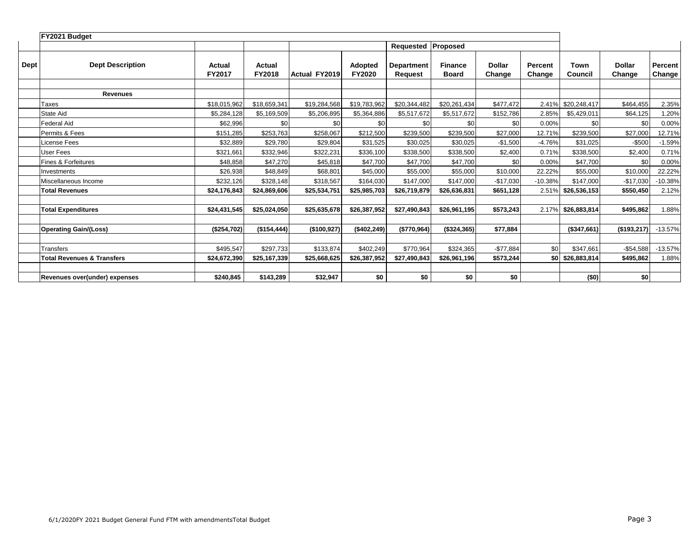|             | FY2021 Budget                         |                  |                  |                      |                                 |                                     |                         |                         |                   |                   |                         |                   |
|-------------|---------------------------------------|------------------|------------------|----------------------|---------------------------------|-------------------------------------|-------------------------|-------------------------|-------------------|-------------------|-------------------------|-------------------|
|             |                                       |                  |                  |                      |                                 | <b>Requested Proposed</b>           |                         |                         |                   |                   |                         |                   |
| <b>Dept</b> | <b>Dept Description</b>               | Actual<br>FY2017 | Actual<br>FY2018 | <b>Actual FY2019</b> | <b>Adopted</b><br><b>FY2020</b> | <b>Department</b><br><b>Request</b> | <b>Finance</b><br>Board | <b>Dollar</b><br>Change | Percent<br>Change | Town<br>Council   | <b>Dollar</b><br>Change | Percent<br>Change |
|             | <b>Revenues</b>                       |                  |                  |                      |                                 |                                     |                         |                         |                   |                   |                         |                   |
|             |                                       |                  |                  |                      |                                 |                                     |                         |                         |                   |                   |                         |                   |
|             | Taxes                                 | \$18,015,962     | \$18,659,341     | \$19,284,568         | \$19,783,962                    | \$20,344,482                        | \$20,261,434            | \$477,472               | 2.41%             | \$20,248,417      | \$464,455               | 2.35%             |
|             | <b>State Aid</b>                      | \$5,284,128      | \$5,169,509      | \$5,206,895          | \$5,364,886                     | \$5,517,672                         | \$5,517,672             | \$152,786               | 2.85%             | \$5,429,011       | \$64,125                | 1.20%             |
|             | <b>Federal Aid</b>                    | \$62,996         | \$0              | \$0                  | \$0                             | \$0                                 | \$0                     | \$0                     | 0.00%             | \$0               | \$0                     | 0.00%             |
|             | Permits & Fees                        | \$151.285        | \$253.763        | \$258.067            | \$212,500                       | \$239.500                           | \$239.500               | \$27,000                | 12.71%            | \$239,500         | \$27,000                | 12.71%            |
|             | License Fees                          | \$32.889         | \$29,780         | \$29.804             | \$31.525                        | \$30.025                            | \$30.025                | $-$1.500$               | $-4.76%$          | \$31.025          | $-$500$                 | $-1.59%$          |
|             | User Fees                             | \$321,661        | \$332,946        | \$322,231            | \$336,100                       | \$338,500                           | \$338.500               | \$2,400                 | 0.71%             | \$338,500         | \$2,400                 | 0.71%             |
|             | <b>Fines &amp; Forfeitures</b>        | \$48,858         | \$47,270         | \$45,818             | \$47,700                        | \$47,700                            | \$47,700                | \$0                     | 0.00%             | \$47,700          | \$0                     | 0.00%             |
|             | Investments                           | \$26.938         | \$48.849         | \$68.801             | \$45.000                        | \$55,000                            | \$55,000                | \$10,000                | 22.22%            | \$55.000          | \$10,000                | 22.22%            |
|             | Miscellaneous Income                  | \$232.126        | \$328.148        | \$318,567            | \$164,030                       | \$147.000                           | \$147,000               | $-$17,030$              | $-10.38%$         | \$147.000         | $-$17,030$              | $-10.38%$         |
|             | <b>Total Revenues</b>                 | \$24,176,843     | \$24,869,606     | \$25,534,751         | \$25,985,703                    | \$26,719,879                        | \$26,636,831            | \$651,128               | 2.51%             | \$26,536,153      | \$550,450               | 2.12%             |
|             |                                       |                  |                  |                      |                                 |                                     |                         |                         |                   |                   |                         |                   |
|             | <b>Total Expenditures</b>             | \$24,431,545     | \$25,024,050     | \$25,635,678         | \$26,387,952                    | \$27,490,843                        | \$26,961,195            | \$573,243               | 2.17%             | \$26,883,814      | \$495,862               | 1.88%             |
|             |                                       |                  |                  |                      |                                 |                                     |                         |                         |                   |                   |                         |                   |
|             | <b>Operating Gain/(Loss)</b>          | (\$254,702)      | (\$154, 444)     | (\$100,927)          | (\$402, 249)                    | (\$770,964)                         | ( \$324, 365)           | \$77,884                |                   | (\$347,661)       | (\$193,217)             | $-13.57%$         |
|             |                                       |                  |                  |                      |                                 |                                     |                         |                         |                   |                   |                         |                   |
|             | Transfers                             | \$495.547        | \$297.733        | \$133.874            | \$402,249                       | \$770.964                           | \$324,365               | $-$77,884$              | \$0               | \$347,661         | $-$54,588$              | $-13.57%$         |
|             | <b>Total Revenues &amp; Transfers</b> | \$24,672,390     | \$25,167,339     | \$25,668,625         | \$26,387,952                    | \$27,490,843                        | \$26,961,196            | \$573,244               |                   | $$0$ \$26,883,814 | \$495,862               | 1.88%             |
|             |                                       |                  |                  |                      |                                 |                                     |                         |                         |                   |                   |                         |                   |
|             | Revenues over(under) expenses         | \$240,845        | \$143,289        | \$32,947             | \$0                             | \$0                                 | \$0                     | \$0                     |                   | (50)              | \$0                     |                   |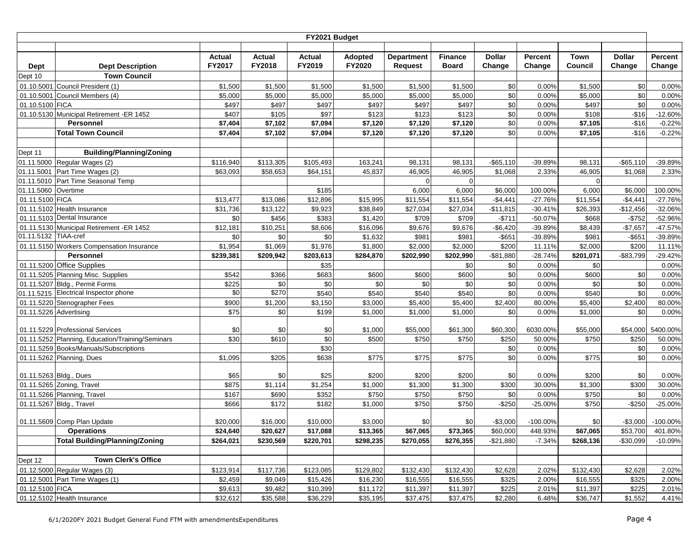|                        |                                                              |             |              | FY2021 Budget     |           |                   |                |               |                |                       |                   |             |
|------------------------|--------------------------------------------------------------|-------------|--------------|-------------------|-----------|-------------------|----------------|---------------|----------------|-----------------------|-------------------|-------------|
|                        |                                                              |             |              |                   |           |                   |                |               |                |                       |                   |             |
|                        |                                                              | Actual      | Actual       | <b>Actual</b>     | Adopted   | <b>Department</b> | <b>Finance</b> | <b>Dollar</b> | <b>Percent</b> | <b>Town</b>           | <b>Dollar</b>     | Percent     |
| <b>Dept</b>            | <b>Dept Description</b>                                      | FY2017      | FY2018       | FY2019            | FY2020    | <b>Request</b>    | <b>Board</b>   | Change        | Change         | Council               | Change            | Change      |
| Dept 10                | <b>Town Council</b>                                          |             |              |                   |           |                   |                |               |                |                       |                   |             |
| 01.10.5001             | Council President (1)                                        | \$1,500     | \$1,500      | \$1,500           | \$1,500   | \$1,500           | \$1,500        | \$0           | 0.00%          | \$1,500               | \$0               | 0.00%       |
|                        | 01.10.5001 Council Members (4)                               | \$5,000     | \$5,000      | \$5,000           | \$5,000   | \$5,000           | \$5,000        | \$0           | 0.00%          | \$5,000               | \$0               | 0.00%       |
| 01.10.5100 FICA        |                                                              | \$497       | \$497        | \$497             | \$497     | \$497             | \$497          | \$0           | 0.00%          | \$497                 | \$0               | 0.00%       |
|                        | 01.10.5130 Municipal Retirement -ER 1452<br><b>Personnel</b> | \$407       | \$105        | \$97              | \$123     | \$123             | \$123          | \$0           | 0.00%          | \$108                 | $-$16$<br>$-$16$  | $-12.60%$   |
|                        | <b>Total Town Council</b>                                    | \$7,404     | \$7,102      | \$7,094           | \$7,120   | \$7,120           | \$7,120        | \$0<br>\$0    | 0.00%          | \$7,105               | $-$16$            | $-0.22%$    |
|                        |                                                              | \$7,404     | \$7,102      | \$7,094           | \$7,120   | \$7,120           | \$7,120        |               | 0.00%          | \$7,105               |                   | $-0.22%$    |
| Dept 11                | <b>Building/Planning/Zoning</b>                              |             |              |                   |           |                   |                |               |                |                       |                   |             |
|                        | 01.11.5000 Regular Wages (2)                                 | \$116,940   | \$113,305    | \$105,493         | 163,241   | 98,131            | 98,131         | $-$65,110$    | -39.89%        | 98,131                | $-$65,110$        | -39.89%     |
|                        | 01.11.5001 Part Time Wages (2)                               | \$63,093    | \$58,653     | \$64,151          | 45,837    | 46,905            | 46,905         | \$1,068       | 2.33%          | 46,905                | \$1,068           | 2.33%       |
|                        | 01.11.5010 Part Time Seasonal Temp                           |             |              |                   |           | $\Omega$          |                |               |                | $\mathbf 0$           |                   |             |
| 01.11.5060 Overtime    |                                                              |             |              | \$185             |           | 6,000             | 6,000          | \$6,000       | 100.00%        | 6,000                 | \$6,000           | 100.00%     |
| 01.11.5100 FICA        |                                                              | \$13,477    | \$13,086     | \$12,896          | \$15,995  | \$11,554          | \$11,554       | $-$4,441$     | $-27.76%$      | \$11,554              | $-$4,441$         | $-27.76%$   |
|                        | 01.11.5102 Health Insurance                                  | \$31,736    | \$13,122     | \$9,923           | \$38,849  | \$27,034          | \$27,034       | $-$11,815$    | $-30.41%$      | \$26,393              | $-$12,456$        | $-32.06%$   |
|                        | 01.11.5103 Dental Insurance                                  | \$0         | \$456        | \$383             | \$1,420   | \$709             | \$709          | $-$711$       | $-50.07%$      | \$668                 | $-$752$           | -52.96%     |
|                        | 01.11.5130 Municipal Retirement -ER 1452                     | \$12,181    | \$10,251     | \$8,606           | \$16,096  | \$9,676           | \$9,676        | $-$6,420$     | -39.89%        | \$8,439               | $-$7,657$         | $-47.57%$   |
| 01.11.5132 TIAA-cref   |                                                              | \$0         | \$0          | \$0               | \$1,632   | \$981             | \$981          | $-$ \$651     | -39.89%        | \$981                 | $-$651$           | -39.89%     |
|                        | 01.11.5150 Workers Compensation Insurance                    | \$1,954     | \$1,069      | \$1,976           | \$1,800   | \$2,000           | \$2,000        | \$200         | 11.11%         | \$2,000               | \$200             | 11.11%      |
|                        | Personnel                                                    | \$239,381   | \$209,942    | $\sqrt{$203,613}$ | \$284,870 | \$202,990         | \$202,990      | $-$ \$81,880  | $-28.74%$      | $\overline{$}201,071$ | $-$83,799$        | $-29.42%$   |
|                        | 01.11.5200 Office Supplies                                   |             |              | \$35              |           |                   | \$0            | \$0           | 0.00%          | \$0                   |                   | 0.00%       |
|                        | 01.11.5205 Planning Misc. Supplies                           | \$542       | \$366        | \$683             | \$600     | \$600             | \$600          | \$0           | 0.00%          | \$600                 | \$0               | 0.00%       |
|                        | 01.11.5207 Bldg., Permit Forms                               | \$225       | \$0          | \$0               | \$0       | \$0               | \$0            | \$0           | 0.00%          | \$0                   | \$0               | 0.00%       |
|                        | 01.11.5215 Electrical Inspector phone                        | \$0         | \$270        | \$540             | \$540     | \$540             | \$540          | \$0           | 0.00%          | \$540                 | \$0               | 0.00%       |
|                        | 01.11.5220 Stenographer Fees                                 | \$900       | \$1,200      | \$3,150           | \$3,000   | \$5,400           | \$5,400        | \$2,400       | 80.00%         | \$5,400               | \$2,400           | 80.00%      |
| 01.11.5226 Advertising |                                                              | \$75        | \$0          | \$199             | \$1,000   | \$1,000           | \$1,000        | \$0           | 0.00%          | \$1,000               | \$0               | 0.00%       |
|                        | 01.11.5229 Professional Services                             |             |              |                   | \$1,000   | \$55,000          | \$61,300       | \$60,300      | 6030.00%       |                       |                   | 5400.00%    |
|                        | 01.11.5252 Planning, Education/Training/Seminars             | \$0<br>\$30 | \$0<br>\$610 | \$0<br>\$0        | \$500     | \$750             | \$750          | \$250         | 50.00%         | \$55,000<br>\$750     | \$54,000<br>\$250 | 50.00%      |
|                        | 01.11.5259 Books/Manuals/Subscriptions                       |             |              | \$30              |           |                   |                | \$0           | 0.00%          |                       | \$0               | 0.00%       |
|                        | 01.11.5262 Planning, Dues                                    | \$1,095     | \$205        | \$638             | \$775     | \$775             | \$775          | \$0           | 0.00%          | \$775                 | \$0               | 0.00%       |
|                        |                                                              |             |              |                   |           |                   |                |               |                |                       |                   |             |
| 01.11.5263 Bldg., Dues |                                                              | \$65        | \$0          | \$25              | \$200     | \$200             | \$200          | \$0           | 0.00%          | \$200                 | \$0               | 0.00%       |
|                        | 01.11.5265 Zoning, Travel                                    | \$875       | \$1,114      | \$1,254           | \$1,000   | \$1,300           | \$1,300        | \$300         | 30.00%         | \$1,300               | \$300             | 30.00%      |
|                        | 01.11.5266 Planning, Travel                                  | \$167       | \$690        | \$352             | \$750     | \$750             | \$750          | \$0           | 0.00%          | \$750                 | \$0               | 0.00%       |
|                        | 01.11.5267 Bldg., Travel                                     | \$666       | \$172        | \$182             | \$1,000   | \$750             | \$750          | $-$ \$250     | $-25.00%$      | \$750                 | $-$ \$250         | $-25.00%$   |
|                        |                                                              |             |              |                   |           |                   |                |               |                |                       |                   |             |
|                        | 01.11.5609 Comp Plan Update                                  | \$20,000    | \$16,000     | \$10,000          | \$3,000   | \$0               | \$0            | $-$3,000$     | $-100.00%$     | \$0                   | $-$3,000$         | $-100.00\%$ |
|                        | <b>Operations</b>                                            | \$24,640    | \$20,627     | \$17,088          | \$13,365  | \$67,065          | \$73,365       | \$60,000      | 448.93%        | \$67,065              | \$53,700          | 401.80%     |
|                        | <b>Total Building/Planning/Zoning</b>                        | \$264,021   | \$230,569    | \$220,701         | \$298,235 | \$270,055         | \$276,355      | $-$21,880$    | $-7.34%$       | \$268,136             | $-$30,099$        | $-10.09%$   |
| Dept 12                | <b>Town Clerk's Office</b>                                   |             |              |                   |           |                   |                |               |                |                       |                   |             |
|                        | 01.12.5000 Regular Wages (3)                                 | \$123,914   | \$117,736    | \$123,085         | \$129,802 | \$132,430         | \$132,430      | \$2,628       | 2.02%          | \$132,430             | \$2,628           | 2.02%       |
|                        | 01.12.5001 Part Time Wages (1)                               | \$2,459     | \$9,049      | \$15,426          | \$16,230  | \$16,555          | \$16,555       | \$325         | 2.00%          | \$16,555              | \$325             | 2.00%       |
| 01.12.5100 FICA        |                                                              | \$9,613     | \$9,482      | \$10,399          | \$11,172  | \$11,397          | \$11,397       | \$225         | 2.01%          | \$11,397              | \$225             | 2.01%       |
|                        | 01.12.5102 Health Insurance                                  | \$32,612    | \$35,588     | \$36,229          | \$35,195  | \$37,475          | \$37,475       | \$2,280       | 6.48%          | \$36,747              | \$1,552           | 4.41%       |
|                        |                                                              |             |              |                   |           |                   |                |               |                |                       |                   |             |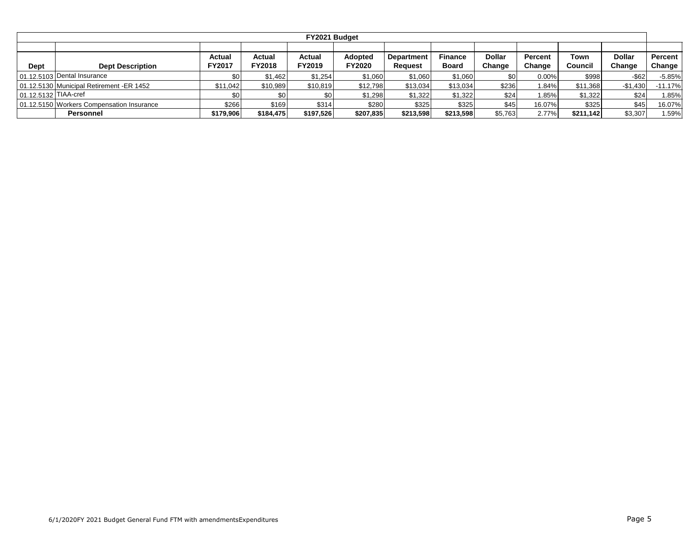|                      |                                           |                         |                         | FY2021 Budget           |                                 |                                     |                                |                         |                   |                 |                         |                   |
|----------------------|-------------------------------------------|-------------------------|-------------------------|-------------------------|---------------------------------|-------------------------------------|--------------------------------|-------------------------|-------------------|-----------------|-------------------------|-------------------|
| Dept                 | <b>Dept Description</b>                   | <b>Actual</b><br>FY2017 | Actual<br><b>FY2018</b> | <b>Actual</b><br>FY2019 | <b>Adopted</b><br><b>FY2020</b> | <b>Department</b><br><b>Request</b> | <b>Finance</b><br><b>Board</b> | <b>Dollar</b><br>Change | Percent<br>Change | Town<br>Council | <b>Dollar</b><br>Change | Percent<br>Change |
|                      | 01.12.5103 Dental Insurance               | \$0                     | \$1,462                 | \$1,254                 | \$1,060                         | \$1,060                             | \$1,060                        | \$0                     | $0.00\%$          | \$998           | $-$ \$62                | $-5.85%$          |
|                      | 01.12.5130 Municipal Retirement -ER 1452  | \$11,042                | \$10,989                | \$10,819                | \$12,798                        | \$13,034                            | \$13,034                       | \$236                   | .84%              | \$11,368        | $-$1.430$               | $-11.17%$         |
| 01.12.5132 TIAA-cref |                                           | \$0                     | \$0                     |                         | \$1,298                         | \$1,322                             | \$1,322                        | \$24                    | .85%              | \$1,322         | \$24                    | 1.85%             |
|                      | 01.12.5150 Workers Compensation Insurance | \$266                   | \$169                   | \$314                   | \$280                           | \$325                               | \$325                          | \$45                    | 16.07%            | \$325           | \$45                    | 16.07%            |
|                      | Personnel                                 | \$179,906               | \$184,475               | \$197,526               | \$207,835                       | \$213,598                           | \$213,598                      | \$5,763                 | 2.77%             | \$211.142       | \$3,307                 | .59%              |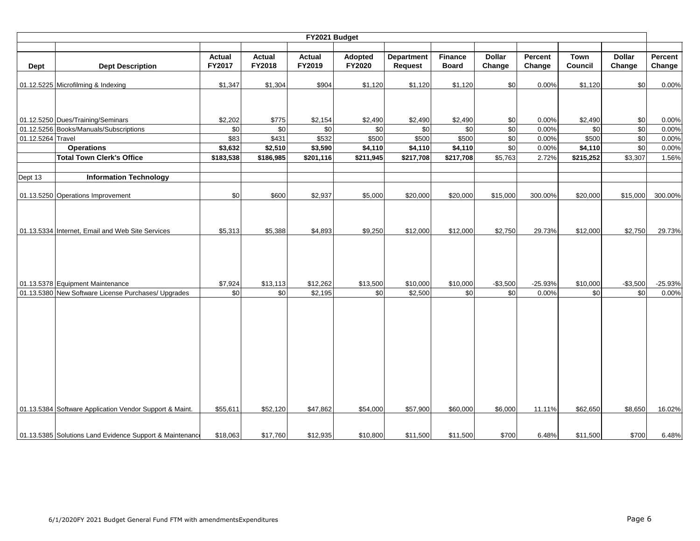|                   |                                                                                         |                |                 | FY2021 Budget       |                 |                     |                 |                  |                    |                 |                  |                    |
|-------------------|-----------------------------------------------------------------------------------------|----------------|-----------------|---------------------|-----------------|---------------------|-----------------|------------------|--------------------|-----------------|------------------|--------------------|
|                   |                                                                                         |                |                 |                     |                 |                     |                 |                  |                    |                 |                  |                    |
|                   |                                                                                         | <b>Actual</b>  | <b>Actual</b>   | <b>Actual</b>       | Adopted         | <b>Department</b>   | <b>Finance</b>  | <b>Dollar</b>    | Percent            | <b>Town</b>     | <b>Dollar</b>    | Percent            |
| Dept              | <b>Dept Description</b>                                                                 | FY2017         | FY2018          | FY2019              | FY2020          | Request             | <b>Board</b>    | Change           | Change             | Council         | Change           | Change             |
|                   |                                                                                         |                |                 |                     |                 |                     |                 |                  |                    |                 |                  |                    |
|                   | 01.12.5225 Microfilming & Indexing                                                      | \$1,347        | \$1,304         | \$904               | \$1,120         | \$1,120             | \$1,120         | \$0              | 0.00%              | \$1,120         | \$0              | 0.00%              |
|                   |                                                                                         |                |                 |                     |                 |                     |                 |                  |                    |                 |                  |                    |
|                   |                                                                                         |                |                 |                     |                 |                     |                 |                  |                    |                 |                  |                    |
|                   | 01.12.5250 Dues/Training/Seminars                                                       | \$2,202        | \$775           | \$2,154             | \$2,490         | \$2,490             | \$2,490         | \$0              | 0.00%              | \$2,490         | \$0              | 0.00%              |
|                   | 01.12.5256 Books/Manuals/Subscriptions                                                  | \$0            | \$0             | \$0                 | \$0             | \$0                 | \$0             | \$0              | 0.00%              | \$0             | $\overline{50}$  | 0.00%              |
| 01.12.5264 Travel |                                                                                         | \$83           | \$431           | \$532               | \$500           | \$500               | \$500           | \$0              | 0.00%              | \$500           | \$0              | 0.00%              |
|                   | <b>Operations</b>                                                                       | \$3,632        | \$2,510         | \$3,590             | \$4,110         | \$4,110             | \$4,110         | \$0              | 0.00%              | \$4,110         | \$0              | 0.00%              |
|                   | <b>Total Town Clerk's Office</b>                                                        | \$183,538      | \$186,985       | \$201,116           | \$211,945       | \$217,708           | \$217,708       | \$5,763          | 2.72%              | \$215,252       | \$3,307          | 1.56%              |
|                   |                                                                                         |                |                 |                     |                 |                     |                 |                  |                    |                 |                  |                    |
| Dept 13           | <b>Information Technology</b>                                                           |                |                 |                     |                 |                     |                 |                  |                    |                 |                  |                    |
|                   |                                                                                         |                |                 |                     |                 |                     |                 |                  |                    |                 |                  |                    |
|                   | 01.13.5250 Operations Improvement                                                       | \$0            | \$600           | \$2,937             | \$5,000         | \$20,000            | \$20,000        | \$15,000         | 300.00%            | \$20,000        | \$15,000         | 300.00%            |
|                   |                                                                                         |                |                 |                     |                 |                     |                 |                  |                    |                 |                  |                    |
|                   |                                                                                         |                |                 |                     |                 |                     |                 |                  |                    |                 |                  |                    |
|                   | 01.13.5334 Internet, Email and Web Site Services                                        | \$5,313        | \$5,388         | \$4,893             | \$9,250         | \$12,000            | \$12,000        | \$2,750          | 29.73%             | \$12,000        | \$2,750          | 29.73%             |
|                   |                                                                                         |                |                 |                     |                 |                     |                 |                  |                    |                 |                  |                    |
|                   |                                                                                         |                |                 |                     |                 |                     |                 |                  |                    |                 |                  |                    |
|                   |                                                                                         |                |                 |                     |                 |                     |                 |                  |                    |                 |                  |                    |
|                   |                                                                                         |                |                 |                     |                 |                     |                 |                  |                    |                 |                  |                    |
|                   |                                                                                         |                |                 |                     |                 |                     |                 |                  |                    |                 |                  |                    |
|                   | 01.13.5378 Equipment Maintenance<br>01.13.5380 New Software License Purchases/ Upgrades | \$7,924<br>\$0 | \$13,113<br>\$0 | \$12,262<br>\$2,195 | \$13,500<br>\$0 | \$10,000<br>\$2,500 | \$10,000<br>\$0 | $-$3,500$<br>\$0 | $-25.93%$<br>0.00% | \$10,000<br>\$0 | $-$3,500$<br>\$0 | $-25.93%$<br>0.00% |
|                   |                                                                                         |                |                 |                     |                 |                     |                 |                  |                    |                 |                  |                    |
|                   |                                                                                         |                |                 |                     |                 |                     |                 |                  |                    |                 |                  |                    |
|                   |                                                                                         |                |                 |                     |                 |                     |                 |                  |                    |                 |                  |                    |
|                   |                                                                                         |                |                 |                     |                 |                     |                 |                  |                    |                 |                  |                    |
|                   |                                                                                         |                |                 |                     |                 |                     |                 |                  |                    |                 |                  |                    |
|                   |                                                                                         |                |                 |                     |                 |                     |                 |                  |                    |                 |                  |                    |
|                   |                                                                                         |                |                 |                     |                 |                     |                 |                  |                    |                 |                  |                    |
|                   |                                                                                         |                |                 |                     |                 |                     |                 |                  |                    |                 |                  |                    |
|                   |                                                                                         |                |                 |                     |                 |                     |                 |                  |                    |                 |                  |                    |
|                   |                                                                                         |                |                 |                     |                 |                     |                 |                  |                    |                 |                  |                    |
|                   |                                                                                         |                |                 |                     |                 |                     |                 |                  |                    |                 |                  |                    |
|                   | 01.13.5384 Software Application Vendor Support & Maint.                                 | \$55,611       | \$52,120        | \$47,862            | \$54,000        | \$57,900            | \$60,000        | \$6,000          | 11.11%             | \$62,650        | \$8,650          | 16.02%             |
|                   |                                                                                         |                |                 |                     |                 |                     |                 |                  |                    |                 |                  |                    |
|                   |                                                                                         |                |                 |                     |                 |                     |                 |                  |                    |                 |                  |                    |
|                   | 01.13.5385 Solutions Land Evidence Support & Maintenance                                | \$18,063       | \$17,760        | \$12,935            | \$10,800        | \$11,500            | \$11,500        | \$700            | 6.48%              | \$11,500        | \$700            | 6.48%              |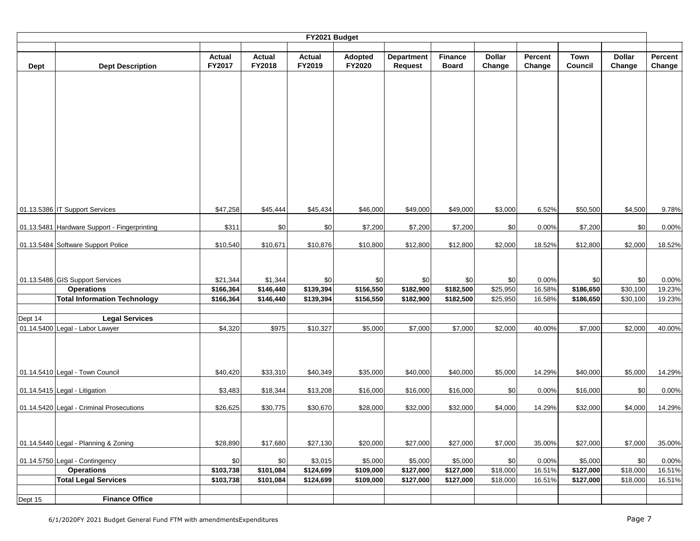|         |                                                      |                                |                         | FY2021 Budget    |                   |                              |                                |                         |                   |                        |                         |                   |
|---------|------------------------------------------------------|--------------------------------|-------------------------|------------------|-------------------|------------------------------|--------------------------------|-------------------------|-------------------|------------------------|-------------------------|-------------------|
| Dept    | <b>Dept Description</b>                              | <b>Actual</b><br><b>FY2017</b> | <b>Actual</b><br>FY2018 | Actual<br>FY2019 | Adopted<br>FY2020 | <b>Department</b><br>Request | <b>Finance</b><br><b>Board</b> | <b>Dollar</b><br>Change | Percent<br>Change | <b>Town</b><br>Council | <b>Dollar</b><br>Change | Percent<br>Change |
|         |                                                      |                                |                         |                  |                   |                              |                                |                         |                   |                        |                         |                   |
|         |                                                      |                                |                         |                  |                   |                              |                                |                         |                   |                        |                         |                   |
|         |                                                      |                                |                         |                  |                   |                              |                                |                         |                   |                        |                         |                   |
|         |                                                      |                                |                         |                  |                   |                              |                                |                         |                   |                        |                         |                   |
|         |                                                      |                                |                         |                  |                   |                              |                                |                         |                   |                        |                         |                   |
|         |                                                      |                                |                         |                  |                   |                              |                                |                         |                   |                        |                         |                   |
|         |                                                      |                                |                         |                  |                   |                              |                                |                         |                   |                        |                         |                   |
|         |                                                      |                                |                         |                  |                   |                              |                                |                         |                   |                        |                         |                   |
|         |                                                      |                                |                         |                  |                   |                              |                                |                         |                   |                        |                         |                   |
|         | 01.13.5386 IT Support Services                       | \$47,258                       | \$45,444                | \$45,434         | \$46,000          | \$49,000                     | \$49,000                       | \$3,000                 | 6.52%             | \$50,500               | \$4,500                 | 9.78%             |
|         | 01.13.5481 Hardware Support - Fingerprinting         | \$311                          | \$0                     | \$0              | \$7,200           | \$7,200                      | \$7,200                        | \$0                     | 0.00%             | \$7,200                | \$0                     | 0.00%             |
|         | 01.13.5484 Software Support Police                   | \$10,540                       | \$10,671                | \$10,876         | \$10,800          | \$12,800                     | \$12,800                       | \$2,000                 | 18.52%            | \$12,800               | \$2,000                 | 18.52%            |
|         |                                                      |                                |                         |                  |                   |                              |                                |                         |                   |                        |                         |                   |
|         |                                                      |                                |                         |                  |                   |                              |                                |                         |                   |                        |                         |                   |
|         | 01.13.5486 GIS Support Services<br><b>Operations</b> | \$21,344<br>\$166,364          | \$1,344<br>\$146,440    | \$0<br>\$139,394 | \$0<br>\$156,550  | \$0<br>\$182,900             | \$0<br>\$182,500               | \$0<br>\$25,950         | 0.00%<br>16.58%   | \$0<br>\$186,650       | \$0<br>\$30,100         | 0.00%<br>19.23%   |
|         | <b>Total Information Technology</b>                  | \$166,364                      | \$146,440               | \$139,394        | \$156,550         | \$182,900                    | \$182,500                      | \$25,950                | 16.58%            | \$186,650              | \$30,100                | 19.23%            |
| Dept 14 | <b>Legal Services</b>                                |                                |                         |                  |                   |                              |                                |                         |                   |                        |                         |                   |
|         | 01.14.5400 Legal - Labor Lawyer                      | \$4,320                        | \$975                   | \$10,327         | \$5,000           | \$7,000                      | \$7,000                        | \$2,000                 | 40.00%            | \$7,000                | \$2,000                 | 40.00%            |
|         |                                                      |                                |                         |                  |                   |                              |                                |                         |                   |                        |                         |                   |
|         |                                                      |                                |                         |                  |                   |                              |                                |                         |                   |                        |                         |                   |
|         | 01.14.5410 Legal - Town Council                      | \$40,420                       | \$33,310                | \$40,349         | \$35,000          | \$40,000                     | \$40,000                       | \$5,000                 | 14.29%            | \$40,000               | \$5,000                 | 14.29%            |
|         | 01.14.5415 Legal - Litigation                        | \$3,483                        | \$18,344                | \$13,208         | \$16,000          | \$16,000                     | \$16,000                       | \$0                     | 0.00%             | \$16,000               | \$0                     | 0.00%             |
|         | 01.14.5420 Legal - Criminal Prosecutions             | \$26,625                       | \$30,775                | \$30,670         | \$28,000          | \$32,000                     | \$32,000                       | \$4,000                 | 14.29%            | \$32,000               | \$4,000                 | 14.29%            |
|         |                                                      |                                |                         |                  |                   |                              |                                |                         |                   |                        |                         |                   |
|         |                                                      |                                |                         |                  |                   |                              |                                |                         |                   |                        |                         |                   |
|         | 01.14.5440 Legal - Planning & Zoning                 | \$28,890                       | \$17,680                | \$27,130         | \$20,000          | \$27,000                     | \$27,000                       | \$7,000                 | 35.00%            | \$27,000               | \$7,000                 | 35.00%            |
|         | 01.14.5750 Legal - Contingency                       | \$0                            | \$0                     | \$3,015          | \$5,000           | \$5,000                      | \$5,000                        | \$0                     | 0.00%             | \$5,000                | \$0                     | 0.00%             |
|         | <b>Operations</b>                                    | \$103,738                      | \$101,084               | \$124,699        | \$109,000         | \$127,000                    | \$127,000                      | \$18,000                | 16.51%            | \$127,000              | \$18,000                | 16.51%            |
|         | <b>Total Legal Services</b>                          | \$103,738                      | \$101,084               | \$124,699        | \$109,000         | \$127,000                    | \$127,000                      | \$18,000                | 16.51%            | \$127,000              | \$18,000                | 16.51%            |
|         |                                                      |                                |                         |                  |                   |                              |                                |                         |                   |                        |                         |                   |
| Dept 15 | <b>Finance Office</b>                                |                                |                         |                  |                   |                              |                                |                         |                   |                        |                         |                   |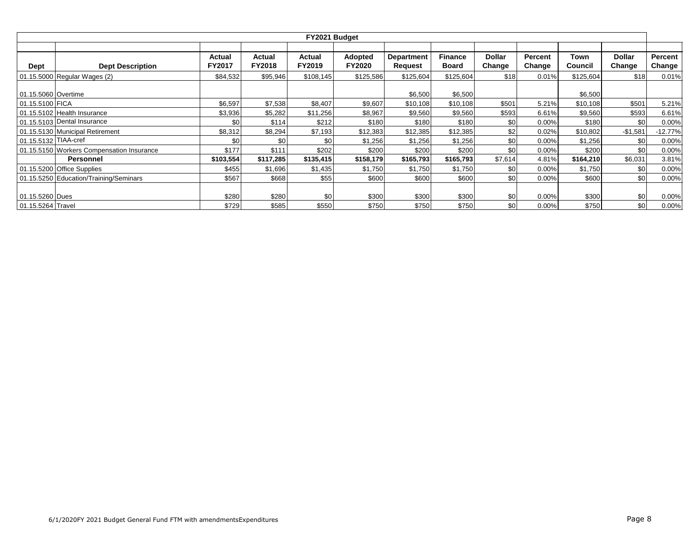|                      |                                           |               |               | FY2021 Budget |                |                   |                |               |          |           |               |           |
|----------------------|-------------------------------------------|---------------|---------------|---------------|----------------|-------------------|----------------|---------------|----------|-----------|---------------|-----------|
|                      |                                           |               |               |               |                |                   |                |               |          |           |               |           |
|                      |                                           | Actual        | Actual        | Actual        | <b>Adopted</b> | <b>Department</b> | <b>Finance</b> | <b>Dollar</b> | Percent  | Town      | <b>Dollar</b> | Percent   |
| Dept                 | <b>Dept Description</b>                   | <b>FY2017</b> | <b>FY2018</b> | FY2019        | FY2020         | Request           | <b>Board</b>   | Change        | Change   | Council   | Change        | Change    |
|                      | 01.15.5000 Regular Wages (2)              | \$84,532      | \$95,946      | \$108,145     | \$125,586      | \$125,604         | \$125,604      | \$18          | 0.01%    | \$125,604 | \$18          | 0.01%     |
|                      |                                           |               |               |               |                |                   |                |               |          |           |               |           |
| 01.15.5060 Overtime  |                                           |               |               |               |                | \$6,500           | \$6,500        |               |          | \$6,500   |               |           |
| 01.15.5100 FICA      |                                           | \$6,597       | \$7,538       | \$8,407       | \$9,607        | \$10,108          | \$10,108       | \$501         | 5.21%    | \$10,108  | \$501         | 5.21%     |
|                      | 01.15.5102 Health Insurance               | \$3,936       | \$5,282       | \$11,256      | \$8,967        | \$9,560           | \$9,560        | \$593         | 6.61%    | \$9,560   | \$593         | 6.61%     |
|                      | 01.15.5103 Dental Insurance               | \$0           | \$114         | \$212         | \$180          | \$180             | \$180          | \$0           | 0.00%    | \$180     | \$0           | 0.00%     |
|                      | 01.15.5130 Municipal Retirement           | \$8,312       | \$8,294       | \$7,193       | \$12,383       | \$12,385          | \$12,385       | \$2           | 0.02%    | \$10,802  | $-$1,581$     | $-12.77%$ |
| 01.15.5132 TIAA-cref |                                           | \$0           | \$0           | \$0           | \$1,256        | \$1,256           | \$1,256        | \$0           | $0.00\%$ | \$1,256   | \$0           | 0.00%     |
|                      | 01.15.5150 Workers Compensation Insurance | \$177         | \$111         | \$202         | \$200          | \$200             | \$200          | \$0           | 0.00%    | \$200     | \$0           | 0.00%     |
|                      | Personnel                                 | \$103,554     | \$117,285     | \$135,415     | \$158,179      | \$165,793         | \$165,793      | \$7,614       | 4.81%    | \$164,210 | \$6,031       | 3.81%     |
|                      | 01.15.5200 Office Supplies                | \$455         | \$1,696       | \$1,435       | \$1,750        | \$1,750           | \$1,750        | \$0           | $0.00\%$ | \$1,750   | \$0           | 0.00%     |
|                      | 01.15.5250 Education/Training/Seminars    | \$567         | \$668         | \$55          | \$600          | \$600             | \$600          | \$0           | 0.00%    | \$600     | \$0           | 0.00%     |
|                      |                                           |               |               |               |                |                   |                |               |          |           |               |           |
| 01.15.5260 Dues      |                                           | \$280         | \$280         | \$0           | \$300          | \$300             | \$300          | \$0           | $0.00\%$ | \$300     | \$0           | 0.00%     |
| 01.15.5264 Travel    |                                           | \$729         | \$585         | \$550         | \$750          | \$750             | \$750          | \$0           | $0.00\%$ | \$750     | \$0           | 0.00%     |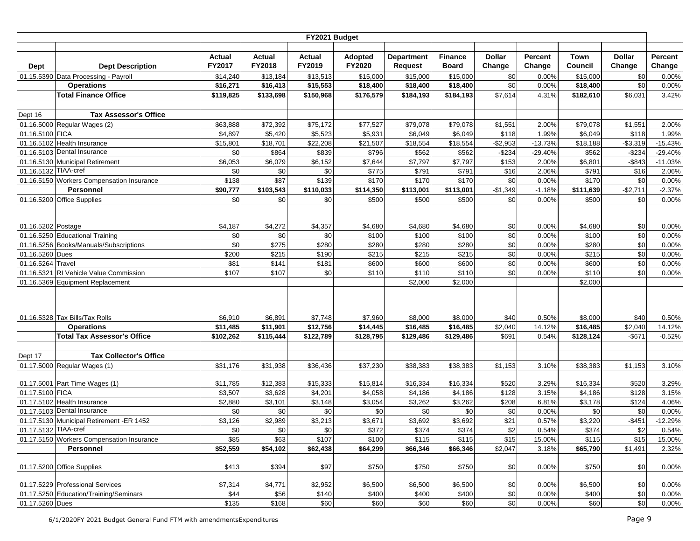|                      |                                           |           |           | FY2021 Budget |           |                   |                |               |           |             |               |           |
|----------------------|-------------------------------------------|-----------|-----------|---------------|-----------|-------------------|----------------|---------------|-----------|-------------|---------------|-----------|
|                      |                                           |           |           |               |           |                   |                |               |           |             |               |           |
|                      |                                           | Actual    | Actual    | Actual        | Adopted   | <b>Department</b> | <b>Finance</b> | <b>Dollar</b> | Percent   | <b>Town</b> | <b>Dollar</b> | Percent   |
| Dept                 | <b>Dept Description</b>                   | FY2017    | FY2018    | FY2019        | FY2020    | <b>Request</b>    | <b>Board</b>   | Change        | Change    | Council     | Change        | Change    |
|                      | 01.15.5390 Data Processing - Payroll      | \$14,240  | \$13,184  | \$13,513      | \$15,000  | \$15,000          | \$15,000       | \$0           | 0.00%     | \$15,000    | \$0           | 0.00%     |
|                      | <b>Operations</b>                         | \$16,271  | \$16,413  | \$15,553      | \$18,400  | \$18,400          | \$18,400       | \$0           | 0.00%     | \$18,400    | \$0           | 0.00%     |
|                      | <b>Total Finance Office</b>               | \$119,825 | \$133,698 | \$150,968     | \$176,579 | \$184,193         | \$184,193      | \$7,614       | 4.31%     | \$182,610   | \$6,031       | 3.42%     |
|                      |                                           |           |           |               |           |                   |                |               |           |             |               |           |
| Dept 16              | <b>Tax Assessor's Office</b>              |           |           |               |           |                   |                |               |           |             |               |           |
|                      | 01.16.5000 Regular Wages (2)              | \$63,888  | \$72,392  | \$75,172      | \$77,527  | \$79,078          | \$79,078       | \$1,551       | 2.00%     | \$79,078    | \$1,551       | 2.00%     |
| 01.16.5100 FICA      |                                           | \$4,897   | \$5,420   | \$5,523       | \$5,931   | \$6,049           | \$6,049        | \$118         | 1.99%     | \$6,049     | \$118         | 1.99%     |
|                      | 01.16.5102 Health Insurance               | \$15,801  | \$18,701  | \$22,208      | \$21,507  | \$18,554          | \$18,554       | $-$2,953$     | $-13.73%$ | \$18,188    | $-$3,319$     | $-15.43%$ |
|                      | 01.16.5103 Dental Insurance               | \$0       | \$864     | \$839         | \$796     | \$562             | \$562          | $-$234$       | $-29.40%$ | \$562       | $-$234$       | $-29.40%$ |
|                      | 01.16.5130 Municipal Retirement           | \$6,053   | \$6,079   | \$6,152       | \$7,644   | \$7,797           | \$7,797        | \$153         | 2.00%     | \$6,801     | $-$ \$843     | $-11.03%$ |
| 01.16.5132 TIAA-cref |                                           | \$0       | \$0       | \$0           | \$775     | \$791             | \$791          | \$16          | 2.06%     | \$791       | \$16          | 2.06%     |
|                      | 01.16.5150 Workers Compensation Insurance | \$138     | \$87      | \$139         | \$170     | \$170             | \$170          | \$0           | 0.00%     | \$170       | \$0           | 0.00%     |
|                      | <b>Personnel</b>                          | \$90,777  | \$103,543 | \$110,033     | \$114,350 | \$113,001         | \$113,001      | $-$1,349$     | $-1.18%$  | \$111,639   | $-$2,711$     | $-2.37%$  |
|                      | 01.16.5200 Office Supplies                | \$0       | \$0       | \$0           | \$500     | \$500             | \$500          | \$0           | 0.00%     | \$500       | \$0           | 0.00%     |
|                      |                                           |           |           |               |           |                   |                |               |           |             |               |           |
| 01.16.5202 Postage   |                                           | \$4,187   | \$4,272   | \$4,357       | \$4,680   | \$4,680           | \$4,680        | \$0           | 0.00%     | \$4,680     | \$0           | 0.00%     |
|                      | 01.16.5250 Educational Training           | \$0       | \$0       | \$0           | \$100     | \$100             | \$100          | \$0           | 0.00%     | \$100       | \$0           | 0.00%     |
|                      | 01.16.5256 Books/Manuals/Subscriptions    | \$0       | \$275     | \$280         | \$280     | \$280             | \$280          | \$0           | 0.00%     | \$280       | \$0           | 0.00%     |
| 01.16.5260 Dues      |                                           | \$200     | \$215     | \$190         | \$215     | \$215             | \$215          | \$0           | 0.00%     | \$215       | \$0           | 0.00%     |
| 01.16.5264 Travel    |                                           | \$81      | \$141     | \$181         | \$600     | \$600             | \$600          | \$0           | 0.00%     | \$600       | \$0           | 0.00%     |
|                      | 01.16.5321 RI Vehicle Value Commission    | \$107     | \$107     | \$0           | \$110     | \$110             | \$110          | \$0           | 0.00%     | \$110       | \$0           | 0.00%     |
|                      | 01.16.5369 Equipment Replacement          |           |           |               |           | \$2,000           | \$2,000        |               |           | \$2,000     |               |           |
|                      |                                           |           |           |               |           |                   |                |               |           |             |               |           |
|                      |                                           |           |           |               |           |                   |                |               |           |             |               |           |
|                      |                                           |           |           |               |           |                   |                |               |           |             |               |           |
|                      | 01.16.5328 Tax Bills/Tax Rolls            | \$6,910   | \$6,891   | \$7,748       | \$7,960   | \$8,000           | \$8,000        | \$40          | 0.50%     | \$8,000     | \$40          | 0.50%     |
|                      | <b>Operations</b>                         | \$11,485  | \$11,901  | \$12,756      | \$14,445  | \$16,485          | \$16,485       | \$2,040       | 14.12%    | \$16,485    | \$2,040       | 14.12%    |
|                      | <b>Total Tax Assessor's Office</b>        | \$102,262 | \$115,444 | \$122,789     | \$128,795 | \$129,486         | \$129,486      | \$691         | 0.54%     | \$128,124   | $-$671$       | $-0.52%$  |
|                      |                                           |           |           |               |           |                   |                |               |           |             |               |           |
| Dept 17              | <b>Tax Collector's Office</b>             |           |           |               |           |                   |                |               |           |             |               |           |
|                      | 01.17.5000 Regular Wages (1)              | \$31,176  | \$31,938  | \$36,436      | \$37,230  | \$38,383          | \$38,383       | \$1,153       | 3.10%     | \$38,383    | \$1,153       | 3.10%     |
|                      |                                           |           |           |               |           |                   |                |               |           |             |               |           |
|                      | 01.17.5001 Part Time Wages (1)            | \$11,785  | \$12,383  | \$15,333      | \$15,814  | \$16,334          | \$16,334       | \$520         | 3.29%     | \$16,334    | \$520         | 3.29%     |
| 01.17.5100 FICA      |                                           | \$3,507   | \$3,628   | \$4,201       | \$4,058   | \$4,186           | \$4,186        | \$128         | 3.15%     | \$4,186     | \$128         | 3.15%     |
|                      | 01.17.5102 Health Insurance               | \$2,880   | \$3,101   | \$3,148       | \$3,054   | \$3,262           | \$3,262        | \$208         | 6.81%     | \$3,178     | \$124         | 4.06%     |
|                      | 01.17.5103 Dental Insurance               | \$0       | \$0       | \$0           | \$0       | \$0               | \$0            | \$0           | 0.00%     | \$0         | \$0           | 0.00%     |
|                      | 01.17.5130 Municipal Retirement -ER 1452  | \$3,126   | \$2,989   | \$3,213       | \$3,671   | \$3,692           | \$3,692        | \$21          | 0.57%     | \$3,220     | $-$451$       | $-12.29%$ |
| 01.17.5132 TIAA-cref |                                           | \$0       | \$0       | \$0           | \$372     | \$374             | \$374          | \$2           | 0.54%     | \$374       | \$2           | 0.54%     |
|                      | 01.17.5150 Workers Compensation Insurance | \$85      | \$63      | \$107         | \$100     | \$115             | \$115          | \$15          | 15.00%    | \$115       | \$15          | 15.00%    |
|                      | Personnel                                 | \$52,559  | \$54,102  | \$62,438      | \$64,299  | \$66,346          | \$66,346       | \$2,047       | 3.18%     | \$65,790    | \$1,491       | 2.32%     |
|                      |                                           |           |           |               |           |                   |                |               |           |             |               |           |
|                      | 01.17.5200 Office Supplies                | \$413     | \$394     | \$97          | \$750     | \$750             | \$750          | \$0           | 0.00%     | \$750       | \$0           | 0.00%     |
|                      | 01.17.5229 Professional Services          | \$7,314   | \$4,771   | \$2,952       | \$6,500   | \$6,500           | \$6,500        | \$0           | 0.00%     | \$6,500     | \$0           | 0.00%     |
|                      | 01.17.5250 Education/Training/Seminars    | \$44      | \$56      | \$140         | \$400     | \$400             | \$400          | $$0$          | 0.00%     | \$400       | \$0           | 0.00%     |
| 01.17.5260 Dues      |                                           | \$135     | \$168     | \$60          | \$60      | \$60              | \$60           | \$0           | 0.00%     | \$60        | \$0           | 0.00%     |
|                      |                                           |           |           |               |           |                   |                |               |           |             |               |           |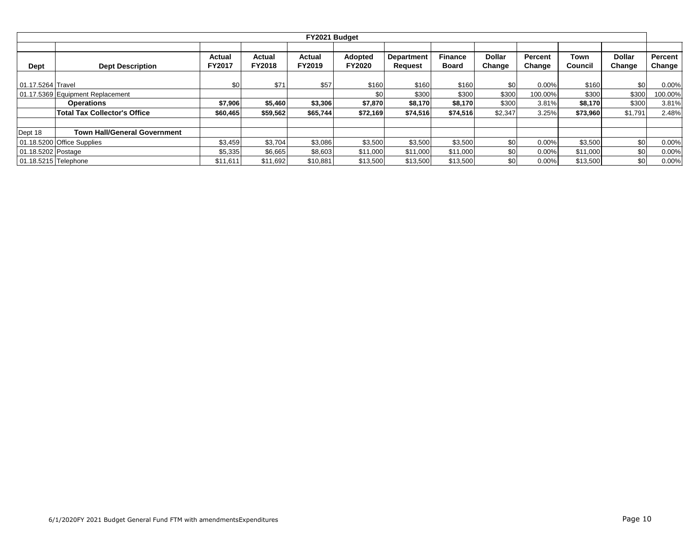|                      |                                     |               |               | FY2021 Budget |               |                   |                |                  |                |          |               |         |
|----------------------|-------------------------------------|---------------|---------------|---------------|---------------|-------------------|----------------|------------------|----------------|----------|---------------|---------|
|                      |                                     |               |               |               |               |                   |                |                  |                |          |               |         |
|                      |                                     | Actual        | Actual        | Actual        | Adopted       | <b>Department</b> | <b>Finance</b> | <b>Dollar</b>    | <b>Percent</b> | Town     | <b>Dollar</b> | Percent |
| <b>Dept</b>          | <b>Dept Description</b>             | <b>FY2017</b> | <b>FY2018</b> | FY2019        | <b>FY2020</b> | Request           | <b>Board</b>   | Change           | Change         | Council  | Change        | Change  |
|                      |                                     |               |               |               |               |                   |                |                  |                |          |               |         |
| 01.17.5264 Travel    |                                     | \$0           | \$71          | \$57          | \$160         | \$160             | \$160          | \$0 <sub>1</sub> | 0.00%          | \$160    | \$0           | 0.00%   |
|                      | 01.17.5369 Equipment Replacement    |               |               |               | \$0           | \$300             | \$300          | \$300            | 100.00%        | \$300    | \$300         | 100.00% |
|                      | <b>Operations</b>                   | \$7,906       | \$5,460       | \$3,306       | \$7,870       | \$8,170           | \$8,170        | \$300            | 3.81%          | \$8,170  | \$300         | 3.81%   |
|                      | <b>Total Tax Collector's Office</b> | \$60,465      | \$59,562      | \$65,744      | \$72,169      | \$74,516          | \$74,516       | \$2,347          | 3.25%          | \$73,960 | \$1,791       | 2.48%   |
|                      | <b>Town Hall/General Government</b> |               |               |               |               |                   |                |                  |                |          |               |         |
| Dept 18              |                                     |               |               |               |               |                   |                |                  |                |          |               |         |
|                      | 01.18.5200 Office Supplies          | \$3,459       | \$3,704       | \$3,086       | \$3,500       | \$3,500           | \$3,500        | \$0 <sub>1</sub> | $0.00\%$       | \$3,500  | \$0           | 0.00%   |
| 01.18.5202 Postage   |                                     | \$5,335       | \$6,665       | \$8,603       | \$11,000      | \$11,000          | \$11,000       | \$0              | 0.00%          | \$11,000 | \$0           | 0.00%   |
| 01.18.5215 Telephone |                                     | \$11,611      | \$11,692      | \$10,881      | \$13,500      | \$13,500          | \$13,500       | \$0              | 0.00%          | \$13,500 | \$0           | 0.00%   |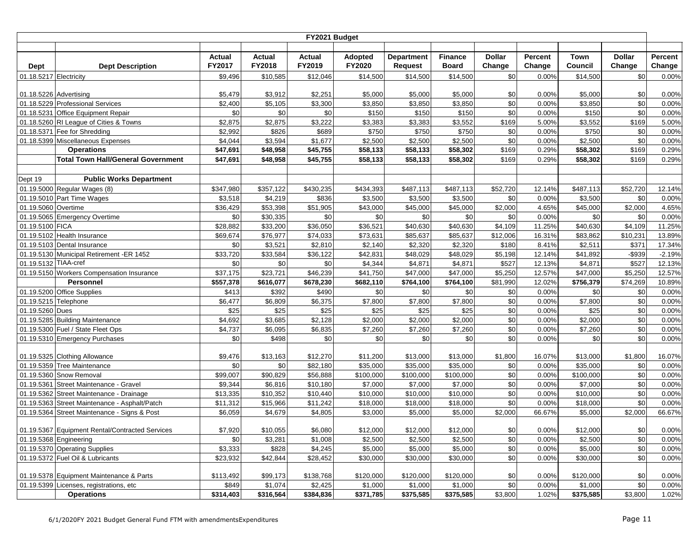|                        |                                                                |                      |               | FY2021 Budget |                     |                   |                     |               |                |           |               |                |
|------------------------|----------------------------------------------------------------|----------------------|---------------|---------------|---------------------|-------------------|---------------------|---------------|----------------|-----------|---------------|----------------|
|                        |                                                                |                      |               |               |                     |                   |                     |               |                |           |               |                |
|                        |                                                                | <b>Actual</b>        | <b>Actual</b> | Actual        | Adopted             | <b>Department</b> | <b>Finance</b>      | <b>Dollar</b> | Percent        | Town      | <b>Dollar</b> | Percent        |
| <b>Dept</b>            | <b>Dept Description</b>                                        | FY2017               | FY2018        | FY2019        | FY2020              | <b>Request</b>    | <b>Board</b>        | Change        | Change         | Council   | Change        | Change         |
| 01.18.5217 Electricity |                                                                | \$9,496              | \$10,585      | \$12,046      | \$14,500            | \$14,500          | \$14,500            | \$0           | 0.00%          | \$14,500  | \$0           | 0.00%          |
|                        |                                                                |                      |               |               |                     |                   |                     |               |                |           |               |                |
| 01.18.5226 Advertising |                                                                | \$5,479              | \$3,912       | \$2,251       | \$5,000             | \$5,000           | \$5,000             | \$0           | 0.00%          | \$5,000   | \$0           | 0.00%          |
|                        | 01.18.5229 Professional Services                               | \$2,400              | \$5,105       | \$3,300       | \$3,850             | \$3,850           | \$3,850             | \$0           | 0.00%          | \$3,850   | \$0           | 0.00%          |
|                        | 01.18.5231 Office Equipment Repair                             | \$0                  | \$0           | \$0           | \$150               | \$150             | \$150               | \$0           | 0.00%          | \$150     | \$0           | 0.00%          |
|                        | 01.18.5260 RI League of Cities & Towns                         | \$2,875              | \$2,875       | \$3,222       | \$3,383             | \$3,383           | \$3,552             | \$169         | 5.00%          | \$3,552   | \$169         | 5.00%          |
|                        | 01.18.5371 Fee for Shredding                                   | \$2,992              | \$826         | \$689         | \$750               | \$750             | \$750               | \$0           | 0.00%          | \$750     | \$0           | 0.00%          |
|                        | 01.18.5399 Miscellaneous Expenses                              | \$4,044<br>\$47,691  | \$3,594       | \$1,677       | \$2,500<br>\$58,133 | \$2,500           | \$2,500<br>\$58,302 | \$0<br>\$169  | 0.00%<br>0.29% | \$2,500   | \$0<br>\$169  | 0.00%<br>0.29% |
|                        | <b>Operations</b><br><b>Total Town Hall/General Government</b> |                      | \$48,958      | \$45,755      |                     | \$58,133          |                     |               |                | \$58,302  |               |                |
|                        |                                                                | \$47,691             | \$48,958      | \$45,755      | \$58,133            | \$58,133          | \$58,302            | \$169         | 0.29%          | \$58,302  | \$169         | 0.29%          |
| Dept 19                | <b>Public Works Department</b>                                 |                      |               |               |                     |                   |                     |               |                |           |               |                |
|                        | 01.19.5000 Regular Wages (8)                                   | \$347,980            | \$357,122     | \$430,235     | \$434,393           | \$487,113         | \$487,113           | \$52,720      | 12.14%         | \$487,113 | \$52,720      | 12.14%         |
|                        | 01.19.5010 Part Time Wages                                     | \$3,518              | \$4,219       | \$836         | \$3,500             | \$3,500           | \$3,500             | \$0           | 0.00%          | \$3,500   | \$0           | 0.00%          |
| 01.19.5060 Overtime    |                                                                | \$36,429             | \$53,398      | \$51,905      | \$43,000            | \$45,000          | \$45,000            | \$2,000       | 4.65%          | \$45,000  | \$2,000       | 4.65%          |
|                        | 01.19.5065 Emergency Overtime                                  | \$0                  | \$30,335      | \$0           | \$0                 | \$0               | \$0                 | \$0           | 0.00%          | \$0       | \$0           | 0.00%          |
| 01.19.5100 FICA        |                                                                | \$28,882             | \$33,200      | \$36,050      | \$36,521            | \$40,630          | \$40,630            | \$4,109       | 11.25%         | \$40,630  | \$4,109       | 11.25%         |
|                        | 01.19.5102 Health Insurance                                    | \$69,674             | \$76,977      | \$74,033      | \$73,631            | \$85,637          | \$85,637            | \$12,006      | 16.31%         | \$83,862  | \$10,231      | 13.89%         |
|                        | 01.19.5103 Dental Insurance                                    | \$0                  | \$3,521       | \$2,810       | \$2,140             | \$2,320           | \$2,320             | \$180         | 8.41%          | \$2,511   | \$371         | 17.34%         |
|                        | 01.19.5130 Municipal Retirement -ER 1452                       | $\overline{$}33,720$ | \$33,584      | \$36,122      | \$42,831            | \$48,029          | \$48,029            | \$5,198       | 12.14%         | \$41,892  | $-$ \$939     | $-2.19%$       |
| 01.19.5132 TIAA-cref   |                                                                | \$0                  | \$0           | \$0           | \$4,344             | \$4,871           | \$4,871             | \$527         | 12.13%         | \$4,871   | \$527         | 12.13%         |
|                        | 01.19.5150 Workers Compensation Insurance                      | \$37,175             | \$23,721      | \$46,239      | \$41,750            | \$47,000          | \$47,000            | \$5,250       | 12.57%         | \$47,000  | \$5,250       | 12.57%         |
|                        | Personnel                                                      | \$557,378            | \$616,077     | \$678,230     | \$682,110           | \$764,100         | \$764,100           | \$81,990      | 12.02%         | \$756,379 | \$74,269      | 10.89%         |
|                        | 01.19.5200 Office Supplies                                     | \$413                | \$392         | \$490         | \$0                 | \$0               | \$0                 | \$0           | 0.00%          | \$0       | \$0           | 0.00%          |
| 01.19.5215 Telephone   |                                                                | \$6,477              | \$6,809       | \$6,375       | \$7,800             | \$7,800           | \$7,800             | \$0           | 0.00%          | \$7,800   | \$0           | 0.00%          |
| 01.19.5260 Dues        |                                                                | \$25                 | \$25          | \$25          | \$25                | \$25              | \$25                | \$0           | 0.00%          | \$25      | \$0           | 0.00%          |
|                        | 01.19.5285 Building Maintenance                                | \$4,692              | \$3,685       | \$2,128       | \$2,000             | \$2,000           | \$2,000             | \$0           | 0.00%          | \$2,000   | \$0           | 0.00%          |
|                        | 01.19.5300 Fuel / State Fleet Ops                              | \$4,737              | \$6,095       | \$6,835       | \$7,260             | \$7,260           | \$7,260             | \$0           | 0.00%          | \$7,260   | \$0           | 0.00%          |
|                        | 01.19.5310 Emergency Purchases                                 | \$0                  | \$498         | \$0           | \$0                 | \$0               | \$0                 | \$0           | 0.00%          | \$0       | \$0           | 0.00%          |
|                        | 01.19.5325 Clothing Allowance                                  | \$9,476              | \$13,163      | \$12,270      | \$11,200            | \$13,000          | \$13,000            | \$1,800       | 16.07%         | \$13,000  | \$1,800       | 16.07%         |
|                        | 01.19.5359 Tree Maintenance                                    | \$0                  | \$0           | \$82,180      | \$35,000            | \$35,000          | \$35,000            | \$0           | 0.00%          | \$35,000  | \$0           | 0.00%          |
|                        | 01.19.5360 Snow Removal                                        | \$99.007             | \$90,829      | \$56,888      | \$100,000           | \$100,000         | \$100,000           | \$0           | 0.00%          | \$100,000 | \$0           | 0.00%          |
|                        | 01.19.5361 Street Maintenance - Gravel                         | \$9,344              | \$6,816       | \$10,180      | \$7,000             | \$7,000           | \$7,000             | \$0           | 0.00%          | \$7,000   | \$0           | 0.00%          |
|                        | 01.19.5362 Street Maintenance - Drainage                       | \$13,335             | \$10,352      | \$10,440      | \$10,000            | \$10,000          | \$10,000            | \$0           | 0.00%          | \$10,000  | \$0           | 0.00%          |
|                        | 01.19.5363 Street Maintenance - Asphalt/Patch                  | \$11,312             | \$15,966      | \$11,242      | \$18,000            | \$18,000          | \$18,000            | \$0           | 0.00%          | \$18,000  | \$0           | 0.00%          |
| 01.19.5364             | Street Maintenance - Signs & Post                              | \$6,059              | \$4,679       | \$4,805       | \$3,000             | \$5,000           | \$5,000             | \$2,000       | 66.67%         | \$5,000   | \$2,000       | 66.67%         |
|                        |                                                                |                      |               |               |                     |                   |                     |               |                |           |               |                |
|                        | 01.19.5367 Equipment Rental/Contracted Services                | \$7,920              | \$10,055      | \$6,080       | \$12,000            | \$12,000          | \$12,000            | \$0           | 0.00%          | \$12,000  | \$0           | 0.00%          |
|                        | 01.19.5368 Engineering                                         | \$0                  | \$3,281       | \$1,008       | \$2,500             | \$2,500           | \$2,500             | \$0           | 0.00%          | \$2,500   | \$0           | 0.00%          |
|                        | 01.19.5370 Operating Supplies                                  | \$3,333              | \$828         | \$4,245       | \$5,000             | \$5,000           | \$5,000             | \$0           | 0.00%          | \$5,000   | \$0           | 0.00%          |
|                        | 01.19.5372 Fuel Oil & Lubricants                               | \$23,932             | \$42,844      | \$28,452      | \$30,000            | \$30,000          | \$30,000            | \$0           | 0.00%          | \$30,000  | \$0           | 0.00%          |
|                        | 01.19.5378 Equipment Maintenance & Parts                       | \$113,492            | \$99,173      | \$138,768     | \$120,000           | \$120,000         | \$120,000           | \$0           | 0.00%          | \$120,000 | \$0           | 0.00%          |
|                        | 01.19.5399 Licenses, registrations, etc                        | \$849                | \$1,074       | \$2,425       | \$1,000             | \$1,000           | \$1,000             | \$0           | 0.00%          | \$1,000   | \$0           | 0.00%          |
|                        | <b>Operations</b>                                              | \$314,403            | \$316,564     | \$384,836     | \$371,785           | \$375,585         | \$375,585           | \$3,800       | 1.02%          | \$375,585 | \$3,800       | 1.02%          |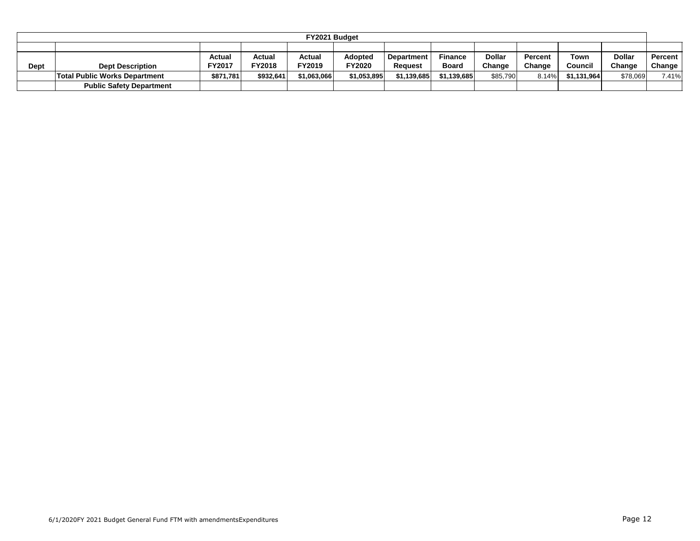|      |                                      |               |               | FY2021 Budget |                |                   |                |               |         |             |               |                  |
|------|--------------------------------------|---------------|---------------|---------------|----------------|-------------------|----------------|---------------|---------|-------------|---------------|------------------|
|      |                                      |               |               |               |                |                   |                |               |         |             |               |                  |
|      |                                      | <b>Actual</b> | Actual        | Actual        | <b>Adopted</b> | <b>Department</b> | <b>Finance</b> | <b>Dollar</b> | Percent | Town        | <b>Dollar</b> | <b>Percent</b> I |
| Dept | <b>Dept Description</b>              | FY2017        | <b>FY2018</b> | FY2019        | FY2020         | Reauest           | <b>Board</b>   | Change        | Change  | Council     | Change        | Change           |
|      | <b>Total Public Works Department</b> | \$871,781     | \$932.641     | \$1,063,066   | \$1,053,895    | \$1,139,685       | \$1.139.685    | \$85,790      | 8.14%   | \$1,131,964 | \$78,069      | 7.41%            |
|      | <b>Public Safety Department</b>      |               |               |               |                |                   |                |               |         |             |               |                  |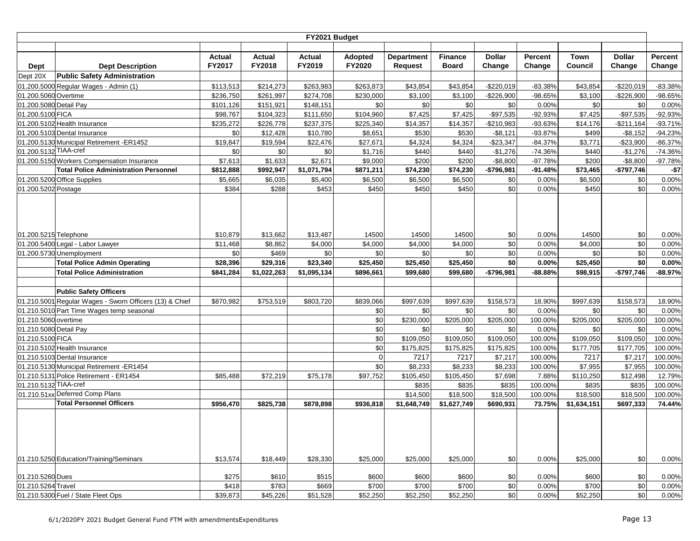|                        |                                                         |                  |                  | FY2021 Budget           |                          |                                     |                                |                         |                   |                 |                         |                   |
|------------------------|---------------------------------------------------------|------------------|------------------|-------------------------|--------------------------|-------------------------------------|--------------------------------|-------------------------|-------------------|-----------------|-------------------------|-------------------|
|                        |                                                         |                  |                  |                         |                          |                                     |                                |                         |                   |                 |                         |                   |
| <b>Dept</b>            | <b>Dept Description</b>                                 | Actual<br>FY2017 | Actual<br>FY2018 | <b>Actual</b><br>FY2019 | Adopted<br><b>FY2020</b> | <b>Department</b><br><b>Request</b> | <b>Finance</b><br><b>Board</b> | <b>Dollar</b><br>Change | Percent<br>Change | Town<br>Council | <b>Dollar</b><br>Change | Percent<br>Change |
| Dept 20X               | <b>Public Safety Administration</b>                     |                  |                  |                         |                          |                                     |                                |                         |                   |                 |                         |                   |
|                        | 01.200.5000 Regular Wages - Admin (1)                   | \$113,513        | \$214,273        | \$263,983               | \$263,873                | \$43,854                            | \$43,854                       | $-$220,019$             | $-83.38%$         | \$43,854        | $-$220,019$             | $-83.38%$         |
| 01.200.5060 Overtime   |                                                         | \$236,750        | \$261,997        | \$274,708               | \$230,000                | \$3,100                             | \$3,100                        | $-$226,900$             | $-98.65%$         | \$3,100         | $-$226,900$             | -98.65%           |
| 01.200.5080 Detail Pay |                                                         | \$101,126        | \$151,921        | \$148,151               | \$0                      | \$0                                 | \$0                            | \$0                     | 0.00%             | \$0             | \$0                     | 0.00%             |
| 01.200.5100 FICA       |                                                         | \$98,767         | \$104,323        | \$111,650               | \$104,960                | \$7,425                             | \$7,425                        | $-$97,535$              | -92.93%           | \$7,425         | $-$97,535$              | $-92.93%$         |
|                        | 01.200.5102 Health Insurance                            | \$235.272        | \$226,778        | \$237,375               | \$225,340                | \$14,357                            | \$14,357                       | $-$210,983$             | -93.63%           | \$14,176        | $-$211,164$             | $-93.71%$         |
|                        | 01.200.5103 Dental Insurance                            | \$0              | \$12,428         | \$10,780                | \$8,651                  | \$530                               | \$530                          | $-$8,121$               | $-93.87%$         | \$499           | $-$ \$8,152             | $-94.23%$         |
|                        | 01.200.5130 Municipal Retirement -ER1452                | \$19,847         | \$19,594         | \$22,476                | \$27,671                 | \$4,324                             | \$4,324                        | $-$23,347$              | $-84.37%$         | \$3,771         | $-$23,900$              | $-86.37%$         |
| 01.200.5132 TIAA-cref  |                                                         | \$0              | \$0              | \$0                     | \$1,716                  | \$440                               | \$440                          | $-$1,276$               | $-74.36%$         | \$440           | $-$1,276$               | $-74.36%$         |
|                        | 01.200.5150 Workers Compensation Insurance              | \$7,613          | \$1,633          | \$2,671                 | \$9,000                  | \$200                               | \$200                          | $-$8,800$               | $-97.78%$         | \$200           | $-$8,800$               | -97.78%           |
|                        | <b>Total Police Administration Personnel</b>            | \$812,888        | \$992,947        | \$1,071,794             | \$871,211                | \$74,230                            | \$74,230                       | -\$796,981              | $-91.48%$         | \$73,465        | $-$797,746$             | $-$7$             |
|                        | 01.200.5200 Office Supplies                             | \$5,665          | \$6,035          | \$5,400                 | \$6,500                  | \$6,500                             | \$6,500                        | \$0                     | 0.00%             | \$6,500         | \$0                     | 0.00%             |
| 01.200.5202 Postage    |                                                         | \$384            | \$288            | \$453                   | \$450                    | \$450                               | \$450                          | \$0                     | 0.00%             | \$450           | \$0                     | 0.00%             |
| 01.200.5215 Telephone  |                                                         | \$10,879         | \$13,662         | \$13,487                | 14500                    | 14500                               | 14500                          | \$0                     | 0.00%             | 14500           | \$0                     | 0.00%             |
|                        | 01.200.5400 Legal - Labor Lawyer                        | \$11,468         | \$8,862          | \$4,000                 | \$4,000                  | \$4,000                             | \$4,000                        | \$0                     | 0.00%             | \$4,000         | \$0                     | 0.00%             |
|                        | 01.200.5730 Unemployment                                | \$0              | \$469            | \$0                     | \$0                      | \$0                                 | \$0                            | \$0                     | 0.00%             | \$0             | \$0                     | 0.00%             |
|                        | <b>Total Police Admin Operating</b>                     | \$28,396         | \$29,316         | \$23,340                | \$25,450                 | \$25,450                            | \$25,450                       | \$0                     | 0.00%             | \$25,450        | \$0                     | 0.00%             |
|                        | <b>Total Police Administration</b>                      | \$841,284        | \$1,022,263      | \$1,095,134             | \$896,661                | \$99,680                            | \$99,680                       | $-$796,981$             | $-88.88%$         | \$98,915        | $-$797,746$             | $-88.97%$         |
|                        |                                                         |                  |                  |                         |                          |                                     |                                |                         |                   |                 |                         |                   |
|                        | <b>Public Safety Officers</b>                           |                  |                  |                         |                          |                                     |                                |                         |                   |                 |                         |                   |
|                        | 01.210.5001 Regular Wages - Sworn Officers (13) & Chief | \$870,982        | \$753,519        | \$803,720               | \$839,066                | \$997,639                           | \$997,639                      | \$158,573               | 18.90%            | \$997,639       | \$158,573               | 18.90%            |
|                        | 01.210.5010 Part Time Wages temp seasonal               |                  |                  |                         | \$0                      | \$0                                 | \$0                            | \$0                     | 0.00%             | \$0             | \$0                     | 0.00%             |
| 01.210.5060 overtime   |                                                         |                  |                  |                         | \$0                      | \$230,000                           | \$205,000                      | \$205,000               | 100.00%           | \$205,000       | \$205,000               | 100.00%           |
| 01.210.5080 Detail Pay |                                                         |                  |                  |                         | \$0                      | \$0                                 | \$0                            | \$0                     | 0.00%             | \$0             | \$0                     | 0.00%             |
| 01.210.5100 FICA       |                                                         |                  |                  |                         | \$0                      | \$109,050                           | \$109,050                      | \$109,050               | 100.00%           | \$109,050       | \$109,050               | 100.00%           |
|                        | 01.210.5102 Health Insurance                            |                  |                  |                         | \$0                      | \$175,825                           | \$175,825                      | \$175,825               | 100.00%           | \$177,705       | \$177,705               | 100.00%           |
|                        | 01.210.5103 Dental Insurance                            |                  |                  |                         | $\mathbf 0$              | 7217                                | 7217                           | \$7,217                 | 100.00%           | 7217            | \$7,217                 | 100.00%           |
|                        | 01.210.5130 Municipal Retirement -ER1454                |                  |                  |                         | \$0                      | \$8,233                             | \$8,233                        | \$8,233                 | 100.00%           | \$7,955         | \$7,955                 | 100.00%           |
|                        | 01.210.5131 Police Retirement - ER1454                  | \$85,488         | \$72,219         | \$75,178                | \$97,752                 | \$105,450                           | \$105,450                      | \$7,698                 | 7.88%             | \$110,250       | \$12,498                | 12.79%            |
| 01.210.5132 TIAA-cref  | 01.210.51xx Deferred Comp Plans                         |                  |                  |                         |                          | \$835                               | \$835                          | \$835                   | 100.00%           | \$835           | \$835                   | 100.00%           |
|                        | <b>Total Personnel Officers</b>                         |                  |                  |                         |                          | \$14,500                            | \$18,500                       | \$18,500                | 100.00%           | \$18,500        | \$18,500                | 100.00%           |
|                        |                                                         | \$956,470        | \$825,738        | \$878,898               | \$936,818                | \$1,648,749                         | \$1,627,749                    | \$690,931               | 73.75%            | \$1,634,151     | \$697,333               | 74.44%            |
|                        | 01.210.5250 Education/Training/Seminars                 | \$13,574         | \$18,449         | \$28,330                | \$25,000                 | \$25,000                            | \$25,000                       | \$0                     | 0.00%             | \$25,000        | \$0                     | 0.00%             |
| 01.210.5260 Dues       |                                                         | \$275            | \$610            | \$515                   | \$600                    | \$600                               | \$600                          | \$0                     | 0.00%             | \$600           | \$0                     | 0.00%             |
| 01.210.5264 Travel     |                                                         | \$418            | \$783            | \$669                   | \$700                    | \$700                               | \$700                          | \$0                     | 0.00%             | \$700           | \$0                     | 0.00%             |
|                        | 01.210.5300 Fuel / State Fleet Ops                      | \$39,873         | \$45,226         | \$51,528                | \$52,250                 | \$52,250                            | \$52,250                       | \$0                     | 0.00%             | \$52,250        | \$0                     | 0.00%             |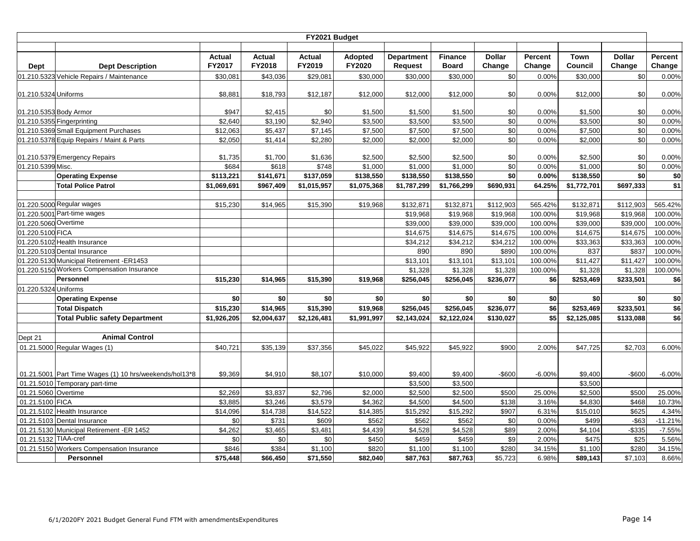|                        | FY2021 Budget                                          |                  |                         |                         |                   |                                     |                                |                         |                   |                        |                         |                   |  |  |
|------------------------|--------------------------------------------------------|------------------|-------------------------|-------------------------|-------------------|-------------------------------------|--------------------------------|-------------------------|-------------------|------------------------|-------------------------|-------------------|--|--|
| Dept                   | <b>Dept Description</b>                                | Actual<br>FY2017 | <b>Actual</b><br>FY2018 | <b>Actual</b><br>FY2019 | Adopted<br>FY2020 | <b>Department</b><br><b>Request</b> | <b>Finance</b><br><b>Board</b> | <b>Dollar</b><br>Change | Percent<br>Change | <b>Town</b><br>Council | <b>Dollar</b><br>Change | Percent<br>Change |  |  |
|                        | 01.210.5323 Vehicle Repairs / Maintenance              | \$30,081         | \$43,036                | \$29,081                |                   | \$30,000                            | \$30,000                       | \$0                     |                   | \$30,000               | \$0                     | 0.00%             |  |  |
|                        |                                                        |                  |                         |                         | \$30,000          |                                     |                                |                         | 0.00%             |                        |                         |                   |  |  |
| 01.210.5324 Uniforms   |                                                        | \$8,881          | \$18,793                | \$12,187                | \$12,000          | \$12,000                            | \$12,000                       | \$0                     | 0.00%             | \$12,000               | \$0                     | 0.00%             |  |  |
| 01.210.5353 Body Armor |                                                        | \$947            | \$2,415                 | \$0                     | \$1,500           | \$1,500                             | \$1,500                        | \$0                     | 0.00%             | \$1,500                | \$0                     | 0.00%             |  |  |
|                        | 01.210.5355 Fingerprinting                             | \$2,640          | \$3,190                 | \$2,940                 | \$3,500           | \$3,500                             | \$3,500                        | \$0                     | 0.00%             | \$3,500                | \$0                     | 0.00%             |  |  |
|                        | 01.210.5369 Small Equipment Purchases                  | \$12,063         | \$5,437                 | \$7,145                 | \$7,500           | \$7,500                             | \$7,500                        | \$0                     | 0.00%             | \$7,500                | \$0                     | 0.00%             |  |  |
|                        | 01.210.5378 Equip Repairs / Maint & Parts              | \$2,050          | \$1,414                 | \$2,280                 | \$2,000           | \$2,000                             | \$2,000                        | \$0                     | 0.00%             | \$2,000                | \$0                     | 0.00%             |  |  |
|                        |                                                        |                  |                         |                         |                   |                                     |                                |                         |                   |                        |                         |                   |  |  |
|                        | 01.210.5379 Emergency Repairs                          | \$1,735          | \$1,700                 | \$1,636                 | \$2,500           | \$2,500                             | \$2,500                        | \$0                     | 0.00%             | \$2,500                | \$0                     | 0.00%             |  |  |
| 01.210.5399 Misc.      |                                                        | \$684            | \$618                   | \$748                   | \$1,000           | \$1,000                             | \$1,000                        | \$0                     | 0.00%             | \$1,000                | \$0                     | 0.00%             |  |  |
|                        | <b>Operating Expense</b>                               | \$113,221        | \$141,671               | \$137,059               | \$138,550         | \$138,550                           | \$138,550                      | \$0                     | 0.00%             | \$138,550              | \$0                     | \$0               |  |  |
|                        | <b>Total Police Patrol</b>                             | \$1,069,691      | \$967,409               | \$1,015,957             | \$1,075,368       | \$1,787,299                         | \$1,766,299                    | \$690,931               | 64.25%            | \$1,772,701            | \$697,333               | \$1               |  |  |
|                        |                                                        |                  |                         |                         |                   |                                     |                                |                         |                   |                        |                         |                   |  |  |
|                        | 01.220.5000 Regular wages                              | \$15,230         | \$14,965                | \$15,390                | \$19,968          | \$132,871                           | \$132,871                      | \$112,903               | 565.42%           | \$132,871              | \$112,903               | 565.42%           |  |  |
|                        | 01.220.5001 Part-time wages                            |                  |                         |                         |                   | \$19,968                            | \$19,968                       | \$19,968                | 100.00%           | \$19,968               | \$19,968                | 100.00%           |  |  |
| 01.220.5060 Overtime   |                                                        |                  |                         |                         |                   | \$39,000                            | \$39,000                       | \$39,000                | 100.00%           | \$39,000               | \$39,000                | 100.00%           |  |  |
| 01.220.5100 FICA       |                                                        |                  |                         |                         |                   | \$14,675                            | \$14,675                       | \$14,675                | 100.00%           | \$14,675               | \$14,675                | 100.00%           |  |  |
|                        | 01.220.5102 Health Insurance                           |                  |                         |                         |                   | \$34,212                            | \$34,212                       | \$34,212                | 100.00%           | \$33,363               | \$33,363                | 100.00%           |  |  |
|                        | 01.220.5103 Dental Insurance                           |                  |                         |                         |                   | 890                                 | 890                            | \$890                   | 100.00%           | 837                    | \$837                   | 100.00%           |  |  |
|                        | 01.220.5130 Municipal Retirement -ER1453               |                  |                         |                         |                   | \$13,101                            | \$13,101                       | \$13,101                | 100.00%           | \$11,427               | \$11,427                | 100.00%           |  |  |
|                        | 01.220.5150 Workers Compensation Insurance             |                  |                         |                         |                   | \$1,328                             | \$1,328                        | \$1,328                 | 100.00%           | \$1,328                | \$1,328                 | 100.00%           |  |  |
|                        | Personnel                                              | \$15,230         | \$14,965                | \$15,390                | \$19,968          | \$256,045                           | \$256,045                      | \$236,077               | \$6               | \$253,469              | \$233,501               | \$6               |  |  |
| 01.220.5324 Uniforms   |                                                        |                  |                         |                         |                   |                                     |                                |                         |                   |                        |                         |                   |  |  |
|                        | <b>Operating Expense</b>                               | \$0              | \$0                     | \$0                     | \$0               | \$0                                 | \$0                            | \$0                     | \$0               | \$0                    | \$0                     | \$0               |  |  |
|                        | <b>Total Dispatch</b>                                  | \$15,230         | \$14,965                | \$15,390                | \$19,968          | \$256,045                           | \$256,045                      | \$236,077               | \$6               | \$253,469              | $\overline{$233,501}$   | \$6               |  |  |
|                        | <b>Total Public safety Department</b>                  | \$1,926,205      | \$2,004,637             | \$2,126,481             | \$1,991,997       | \$2,143,024                         | \$2,122,024                    | \$130,027               | \$5               | \$2,125,085            | \$133,088               | \$6               |  |  |
|                        |                                                        |                  |                         |                         |                   |                                     |                                |                         |                   |                        |                         |                   |  |  |
| Dept 21                | <b>Animal Control</b>                                  |                  |                         |                         |                   |                                     |                                |                         |                   |                        |                         |                   |  |  |
|                        | 01.21.5000 Regular Wages (1)                           | \$40,721         | \$35,139                | \$37,356                | \$45,022          | \$45,922                            | \$45,922                       | \$900                   | 2.00%             | \$47,725               | \$2,703                 | 6.00%             |  |  |
|                        |                                                        |                  |                         |                         |                   |                                     |                                |                         |                   |                        |                         |                   |  |  |
|                        |                                                        |                  |                         |                         |                   |                                     |                                |                         |                   |                        |                         |                   |  |  |
|                        | 01.21.5001 Part Time Wages (1) 10 hrs/weekends/hol13*8 | \$9,369          | \$4,910                 | \$8,107                 | \$10,000          | \$9,400                             | \$9,400                        | -\$600                  | $-6.00%$          | \$9,400                | $-$600$                 | $-6.00%$          |  |  |
|                        | 01.21.5010 Temporary part-time                         |                  |                         |                         |                   | \$3,500                             | \$3,500                        |                         |                   | \$3,500                |                         |                   |  |  |
| 01.21.5060 Overtime    |                                                        | \$2,269          | \$3,837                 | \$2,796                 | \$2,000           | \$2,500                             | \$2,500                        | \$500                   | 25.00%            | \$2,500                | \$500                   | 25.00%            |  |  |
| 01.21.5100 FICA        |                                                        | \$3,885          | \$3,246                 | \$3,579                 | \$4,362           | \$4,500                             | \$4,500                        | \$138                   | 3.16%             | \$4,830                | \$468                   | 10.73%            |  |  |
|                        | 01.21.5102 Health Insurance                            | \$14,096         | \$14,738                | \$14,522                | \$14,385          | \$15,292                            | \$15,292                       | \$907                   | 6.31%             | \$15,010               | \$625                   | 4.34%             |  |  |
|                        | 01.21.5103 Dental Insurance                            | \$0              | \$731                   | \$609                   | \$562             | \$562                               | \$562                          | \$0                     | 0.00%             | \$499                  | $-$ \$63                | $-11.21%$         |  |  |
|                        | 01.21.5130 Municipal Retirement -ER 1452               | \$4,262          | \$3,465                 | \$3,481                 | \$4,439           | \$4,528                             | \$4,528                        | \$89                    | 2.00%             | \$4,104                | $-$ \$335               | $-7.55%$          |  |  |
| 01.21.5132 TIAA-cref   |                                                        | \$0              | \$0                     | \$0                     | \$450             | \$459                               | \$459                          | \$9                     | 2.00%             | \$475                  | \$25                    | 5.56%             |  |  |
|                        | 01.21.5150 Workers Compensation Insurance              | \$846            | \$384                   | \$1,100                 | \$820             | \$1,100                             | \$1,100                        | \$280                   | 34.15%            | \$1,100                | \$280                   | 34.15%            |  |  |
|                        | Personnel                                              | \$75,448         | \$66,450                | \$71,550                | \$82,040          | \$87,763                            | \$87,763                       | \$5,723                 | 6.98%             | \$89,143               | \$7,103                 | 8.66%             |  |  |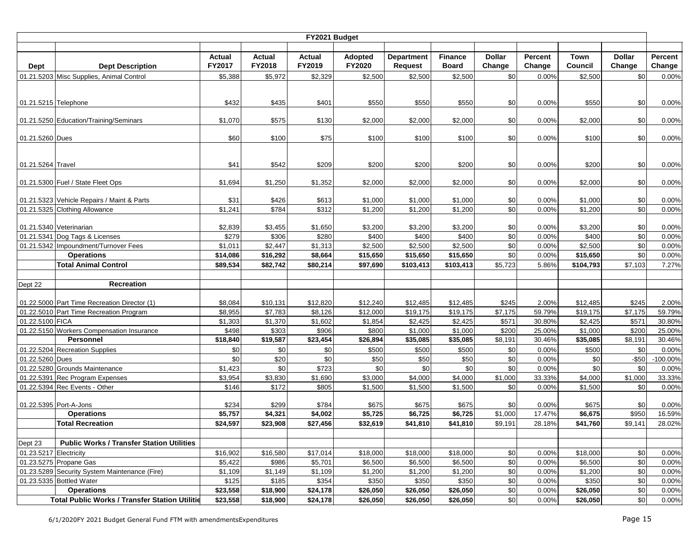|                        |                                                                                         |                  |                  | FY2021 Budget    |                   |                              |                                |                         |                   |                 |                         |                   |
|------------------------|-----------------------------------------------------------------------------------------|------------------|------------------|------------------|-------------------|------------------------------|--------------------------------|-------------------------|-------------------|-----------------|-------------------------|-------------------|
|                        |                                                                                         |                  |                  |                  |                   |                              |                                |                         |                   |                 |                         |                   |
| Dept                   | <b>Dept Description</b>                                                                 | Actual<br>FY2017 | Actual<br>FY2018 | Actual<br>FY2019 | Adopted<br>FY2020 | <b>Department</b><br>Request | <b>Finance</b><br><b>Board</b> | <b>Dollar</b><br>Change | Percent<br>Change | Town<br>Council | <b>Dollar</b><br>Change | Percent<br>Change |
|                        | 01.21.5203 Misc Supplies, Animal Control                                                | \$5,388          | \$5,972          | \$2,329          | \$2,500           | \$2,500                      | \$2,500                        | \$0                     | 0.00%             | \$2,500         | \$0                     | 0.00%             |
|                        |                                                                                         |                  |                  |                  |                   |                              |                                |                         |                   |                 |                         |                   |
| 01.21.5215 Telephone   |                                                                                         | \$432            | \$435            | \$401            | \$550             | \$550                        | \$550                          | \$0                     | 0.00%             | \$550           | \$0                     | 0.00%             |
|                        |                                                                                         |                  |                  |                  |                   |                              |                                |                         |                   |                 |                         |                   |
|                        | 01.21.5250 Education/Training/Seminars                                                  | \$1,070          | \$575            | \$130            | \$2,000           | \$2,000                      | \$2,000                        | \$0                     | 0.00%             | \$2,000         | \$0                     | 0.00%             |
|                        |                                                                                         |                  |                  |                  |                   |                              |                                |                         |                   |                 |                         |                   |
| 01.21.5260 Dues        |                                                                                         | \$60             | \$100            | \$75             | \$100             | \$100                        | \$100                          | \$0                     | 0.00%             | \$100           | \$0                     | 0.00%             |
|                        |                                                                                         |                  |                  |                  |                   |                              |                                |                         |                   |                 |                         |                   |
| 01.21.5264 Travel      |                                                                                         | \$41             | \$542            | \$209            | \$200             | \$200                        | \$200                          | \$0                     | 0.00%             | \$200           | \$0                     | 0.00%             |
|                        |                                                                                         |                  |                  |                  |                   |                              |                                |                         |                   |                 |                         |                   |
|                        | 01.21.5300 Fuel / State Fleet Ops                                                       | \$1,694          | \$1,250          | \$1,352          | \$2,000           | \$2,000                      | \$2,000                        | \$0                     | 0.00%             | \$2,000         | \$0                     | 0.00%             |
|                        |                                                                                         | \$31             | \$426            | \$613            | \$1,000           |                              | \$1,000                        |                         | 0.00%             | \$1,000         | \$0                     | 0.00%             |
|                        | 01.21.5323 Vehicle Repairs / Maint & Parts<br>01.21.5325 Clothing Allowance             | \$1,241          | \$784            | \$312            | \$1,200           | \$1,000<br>\$1,200           | \$1,200                        | \$0<br>\$0              | 0.00%             | \$1,200         | \$0                     | 0.00%             |
|                        |                                                                                         |                  |                  |                  |                   |                              |                                |                         |                   |                 |                         |                   |
|                        | 01.21.5340 Veterinarian                                                                 | \$2,839          | \$3,455          | \$1,650          | \$3,200           | \$3,200                      | \$3,200                        | \$0                     | 0.00%             | \$3,200         | \$0                     | 0.00%             |
|                        | 01.21.5341 Dog Tags & Licenses                                                          | \$279            | \$306            | \$280            | \$400             | \$400                        | \$400                          | \$0                     | 0.00%             | \$400           | \$0                     | 0.00%             |
|                        | 01.21.5342 Impoundment/Turnover Fees                                                    | \$1,011          | \$2,447          | \$1,313          | \$2,500           | \$2,500                      | \$2,500                        | \$0                     | 0.00%             | \$2,500         | \$0                     | 0.00%             |
|                        | <b>Operations</b>                                                                       | \$14,086         | \$16,292         | \$8,664          | \$15,650          | \$15,650                     | \$15,650                       | \$0                     | 0.00%             | \$15,650        | \$0                     | 0.00%             |
|                        | <b>Total Animal Control</b>                                                             | \$89,534         | \$82,742         | \$80,214         | \$97,690          | \$103,413                    | \$103,413                      | \$5,723                 | 5.86%             | \$104,793       | \$7,103                 | 7.27%             |
|                        |                                                                                         |                  |                  |                  |                   |                              |                                |                         |                   |                 |                         |                   |
| Dept 22                | <b>Recreation</b>                                                                       |                  |                  |                  |                   |                              |                                |                         |                   |                 |                         |                   |
|                        |                                                                                         | \$8,084          | \$10,131         | \$12,820         | \$12,240          | \$12,485                     | \$12,485                       | \$245                   | 2.00%             | \$12,485        | \$245                   | 2.00%             |
|                        | 01.22.5000 Part Time Recreation Director (1)<br>01.22.5010 Part Time Recreation Program | \$8,955          | \$7,783          | \$8,126          | \$12,000          | \$19,175                     | \$19,175                       | \$7,175                 | 59.79%            | \$19,175        | \$7,175                 | 59.79%            |
| 01.22.5100 FICA        |                                                                                         | \$1,303          | \$1,370          | \$1,602          | \$1,854           | \$2,425                      | \$2,425                        | \$571                   | 30.80%            | \$2,425         | \$571                   | 30.80%            |
|                        | 01.22.5150 Workers Compensation Insurance                                               | \$498            | \$303            | \$906            | \$800             | \$1,000                      | \$1,000                        | \$200                   | 25.00%            | \$1,000         | \$200                   | 25.00%            |
|                        | Personnel                                                                               | \$18,840         | \$19,587         | \$23,454         | \$26,894          | \$35,085                     | \$35,085                       | \$8,191                 | 30.46%            | \$35,085        | \$8,191                 | 30.46%            |
|                        | 01.22.5204 Recreation Supplies                                                          | \$0              | \$0              | \$0              | \$500             | \$500                        | \$500                          | \$0                     | 0.00%             | \$500           | \$0                     | 0.00%             |
| 01.22.5260 Dues        |                                                                                         | \$0              | \$20             | $\sqrt{6}$       | \$50              | \$50                         | \$50                           | \$0                     | 0.00%             | \$0             | $-$ \$50                | $-100.00%$        |
|                        | 01.22.5280 Grounds Maintenance                                                          | \$1,423          | \$0              | \$723            | \$0               | \$0                          | \$0                            | \$0                     | 0.00%             | \$0             | \$0                     | 0.00%             |
|                        | 01.22.5391 Rec Program Expenses                                                         | \$3,954          | \$3,830          | \$1,690          | \$3,000           | \$4,000                      | \$4,000                        | \$1,000                 | 33.33%            | \$4,000         | \$1,000                 | 33.33%            |
|                        | 01.22.5394 Rec Events - Other                                                           | \$146            | \$172            | \$805            | \$1,500           | \$1,500                      | \$1,500                        | \$0                     | 0.00%             | \$1,500         | \$0                     | 0.00%             |
|                        |                                                                                         |                  |                  |                  |                   |                              |                                |                         |                   |                 |                         |                   |
| 01.22.5395 Port-A-Jons |                                                                                         | \$234            | \$299            | \$784            | \$675             | \$675                        | \$675                          | \$0                     | 0.00%             | \$675           | \$0                     | 0.00%             |
|                        | <b>Operations</b>                                                                       | \$5,757          | \$4,321          | \$4,002          | \$5,725           | \$6,725                      | \$6,725                        | \$1,000                 | 17.47%            | \$6,675         | \$950                   | 16.59%            |
|                        | <b>Total Recreation</b>                                                                 | \$24,597         | \$23,908         | \$27,456         | \$32,619          | \$41,810                     | \$41,810                       | \$9,191                 | 28.18%            | \$41,760        | \$9,141                 | 28.02%            |
|                        |                                                                                         |                  |                  |                  |                   |                              |                                |                         |                   |                 |                         |                   |
| Dept 23                | <b>Public Works / Transfer Station Utilities</b>                                        |                  |                  |                  |                   |                              |                                |                         |                   |                 |                         |                   |
| 01.23.5217 Electricity |                                                                                         | \$16,902         | \$16,580         | \$17,014         | \$18,000          | \$18,000                     | \$18,000                       | \$0                     | 0.00%             | \$18,000        | \$0                     | 0.00%             |
|                        | 01.23.5275 Propane Gas                                                                  | \$5,422          | \$986            | \$5,701          | \$6,500           | \$6,500                      | \$6,500                        | \$0                     | 0.00%             | \$6,500         | \$0                     | 0.00%             |
|                        | 01.23.5289 Security System Maintenance (Fire)                                           | \$1,109          | \$1,149          | \$1,109          | \$1,200           | \$1,200                      | \$1,200                        | \$0                     | 0.00%             | \$1,200         | \$0                     | 0.00%             |
|                        | 01.23.5335 Bottled Water                                                                | \$125            | \$185            | \$354            | \$350             | \$350                        | \$350                          | \$0                     | 0.00%             | \$350           | \$0                     | 0.00%             |
|                        | <b>Operations</b>                                                                       | \$23,558         | \$18,900         | \$24,178         | \$26,050          | \$26,050                     | \$26,050                       | \$0                     | 0.00%             | \$26,050        | \$0                     | 0.00%             |
|                        | <b>Total Public Works / Transfer Station Utilitie</b>                                   | \$23,558         | \$18,900         | \$24,178         | \$26,050          | \$26,050                     | \$26,050                       | \$0                     | 0.00%             | \$26,050        | \$0                     | 0.00%             |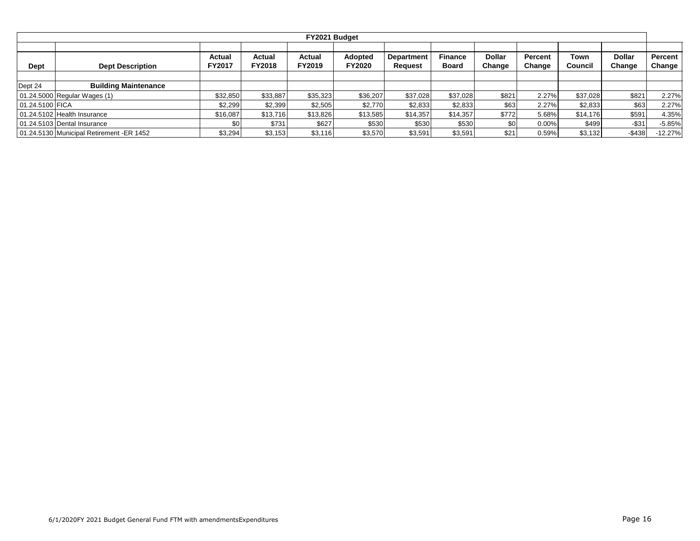|                 |                                          |                  |                         | FY2021 Budget    |                          |                              |                         |                         |                   |                 |                         |                          |
|-----------------|------------------------------------------|------------------|-------------------------|------------------|--------------------------|------------------------------|-------------------------|-------------------------|-------------------|-----------------|-------------------------|--------------------------|
| Dept            | <b>Dept Description</b>                  | Actual<br>FY2017 | Actual<br><b>FY2018</b> | Actual<br>FY2019 | Adopted<br><b>FY2020</b> | <b>Department</b><br>Request | <b>Finance</b><br>Board | <b>Dollar</b><br>Change | Percent<br>Change | Town<br>Council | <b>Dollar</b><br>Change | <b>Percent</b><br>Change |
|                 |                                          |                  |                         |                  |                          |                              |                         |                         |                   |                 |                         |                          |
| Dept 24         | <b>Building Maintenance</b>              |                  |                         |                  |                          |                              |                         |                         |                   |                 |                         |                          |
|                 | 01.24.5000 Regular Wages (1)             | \$32,850         | \$33,887                | \$35,323         | \$36,207                 | \$37,028                     | \$37,028                | \$821                   | 2.27%             | \$37.028        | \$821                   | 2.27%                    |
| 01.24.5100 FICA |                                          | \$2,299          | \$2,399                 | \$2,505          | \$2,770                  | \$2,833                      | \$2,833                 | \$63                    | 2.27%             | \$2,833         | \$63                    | 2.27%                    |
|                 | 01.24.5102 Health Insurance              | \$16,087         | \$13,716                | \$13,826         | \$13,585                 | \$14,357                     | \$14,357                | \$772                   | 5.68%             | \$14,176        | \$591                   | 4.35%                    |
|                 | 01.24.5103 Dental Insurance              | \$0              | \$731                   | \$627            | \$530                    | \$530                        | \$530                   | \$0                     | $0.00\%$          | \$499           | $-$ \$31                | $-5.85%$                 |
|                 | 01.24.5130 Municipal Retirement -ER 1452 | \$3,294          | \$3,153                 | \$3,116          | \$3,570                  | \$3,591                      | \$3,591                 | \$21                    | 0.59%             | \$3,132         | $-$438$                 | $-12.27%$                |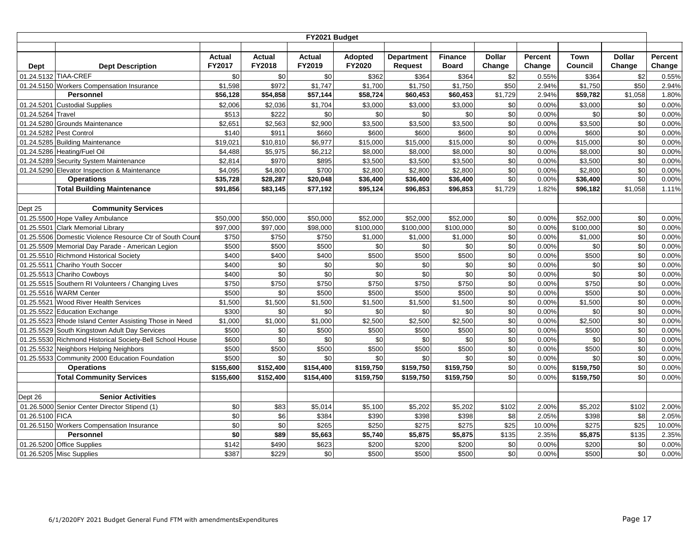|                   | FY2021 Budget                                            |                         |                         |                         |                          |                                     |                                |                         |                   |                 |                         |                   |  |
|-------------------|----------------------------------------------------------|-------------------------|-------------------------|-------------------------|--------------------------|-------------------------------------|--------------------------------|-------------------------|-------------------|-----------------|-------------------------|-------------------|--|
|                   |                                                          |                         |                         |                         |                          |                                     |                                |                         |                   |                 |                         |                   |  |
| <b>Dept</b>       | <b>Dept Description</b>                                  | <b>Actual</b><br>FY2017 | Actual<br><b>FY2018</b> | <b>Actual</b><br>FY2019 | Adopted<br><b>FY2020</b> | <b>Department</b><br><b>Request</b> | <b>Finance</b><br><b>Board</b> | <b>Dollar</b><br>Change | Percent<br>Change | Town<br>Council | <b>Dollar</b><br>Change | Percent<br>Change |  |
|                   | 01.24.5132 TIAA-CREF                                     | \$0                     | \$0                     | \$0                     | \$362                    | \$364                               | \$364                          | \$2                     | 0.55%             | \$364           | \$2                     | 0.55%             |  |
|                   | 01.24.5150 Workers Compensation Insurance                | \$1,598                 | \$972                   | \$1,747                 | \$1,700                  | \$1,750                             | \$1,750                        | \$50                    | 2.94%             | \$1,750         | \$50                    | 2.94%             |  |
|                   | <b>Personnel</b>                                         | \$56,128                | \$54,858                | \$57,144                | \$58,724                 | \$60,453                            | \$60,453                       | \$1,729                 | 2.94%             | \$59,782        | \$1,058                 | 1.80%             |  |
|                   | 01.24.5201 Custodial Supplies                            | \$2,006                 | \$2,036                 | \$1,704                 | \$3,000                  | \$3,000                             | \$3,000                        | \$0                     | 0.00%             | \$3,000         | \$0                     | 0.00%             |  |
| 01.24.5264 Travel |                                                          | \$513                   | \$222                   | \$0                     | \$0                      | \$0                                 | \$0                            | \$0                     | 0.00%             | \$0             | \$0                     | 0.00%             |  |
|                   | 01.24.5280 Grounds Maintenance                           | \$2,651                 | \$2,563                 | \$2,900                 | \$3,500                  | \$3,500                             | \$3,500                        | \$0                     | 0.00%             | \$3,500         | \$0                     | 0.00%             |  |
|                   | 01.24.5282 Pest Control                                  | \$140                   | \$911                   | \$660                   | \$600                    | \$600                               | \$600                          | \$0                     | 0.00%             | \$600           | \$0                     | 0.00%             |  |
|                   | 01.24.5285 Building Maintenance                          | \$19,021                | \$10,810                | \$6,977                 | \$15,000                 | \$15,000                            | \$15,000                       | \$0                     | 0.00%             | \$15,000        | \$0                     | 0.00%             |  |
|                   | 01.24.5286 Heating/Fuel Oil                              | \$4,488                 | \$5,975                 | \$6,212                 | \$8,000                  | \$8,000                             | \$8,000                        | \$0                     | 0.00%             | \$8,000         | $\sqrt{6}$              | 0.00%             |  |
|                   | 01.24.5289 Security System Maintenance                   | \$2,814                 | \$970                   | \$895                   | \$3,500                  | \$3,500                             | \$3,500                        | \$0                     | 0.00%             | \$3,500         | \$0                     | 0.00%             |  |
|                   | 01.24.5290 Elevator Inspection & Maintenance             | \$4,095                 | \$4,800                 | \$700                   | \$2,800                  | \$2,800                             | \$2,800                        | \$0                     | 0.00%             | \$2,800         | \$0                     | 0.00%             |  |
|                   | <b>Operations</b>                                        | \$35,728                | \$28,287                | \$20,048                | \$36,400                 | \$36,400                            | \$36,400                       | \$0                     | 0.00%             | \$36,400        | \$0                     | 0.00%             |  |
|                   | <b>Total Building Maintenance</b>                        | \$91,856                | \$83,145                | \$77,192                | \$95,124                 | \$96,853                            | \$96,853                       | \$1,729                 | 1.82%             | \$96,182        | \$1,058                 | 1.11%             |  |
|                   |                                                          |                         |                         |                         |                          |                                     |                                |                         |                   |                 |                         |                   |  |
| Dept 25           | <b>Community Services</b>                                |                         |                         |                         |                          |                                     |                                |                         |                   |                 |                         |                   |  |
|                   | 01.25.5500 Hope Valley Ambulance                         | \$50,000                | \$50,000                | \$50,000                | \$52,000                 | \$52,000                            | \$52,000                       | \$0                     | 0.00%             | \$52,000        | \$0                     | 0.00%             |  |
| 01.25.5501        | <b>Clark Memorial Library</b>                            | \$97,000                | \$97,000                | \$98,000                | \$100,000                | \$100,000                           | \$100,000                      | \$0                     | 0.00%             | \$100,000       | \$0                     | 0.00%             |  |
|                   | 01.25.5506 Domestic Violence Resource Ctr of South Coun  | \$750                   | \$750                   | \$750                   | \$1,000                  | \$1,000                             | \$1,000                        | \$0                     | 0.00%             | \$1,000         | \$0                     | 0.00%             |  |
|                   | 01.25.5509 Memorial Day Parade - American Legion         | \$500                   | \$500                   | \$500                   | \$0                      | $\sqrt{6}$                          | \$0                            | $\frac{6}{3}$           | 0.00%             | \$0             | \$0                     | 0.00%             |  |
|                   | 01.25.5510 Richmond Historical Society                   | \$400                   | \$400                   | \$400                   | \$500                    | \$500                               | \$500                          | \$0                     | 0.00%             | \$500           | \$0                     | 0.00%             |  |
| 01.25.5511        | Chariho Youth Soccer                                     | \$400                   | \$0                     | \$0                     | \$0                      | \$0                                 | \$0                            | \$0                     | 0.00%             | \$0             | \$0                     | 0.00%             |  |
|                   | 01.25.5513 Chariho Cowboys                               | \$400                   | \$0                     | $\sqrt{6}$              | \$0                      | \$0                                 | \$0                            | \$0                     | 0.00%             | \$0             | \$0                     | 0.00%             |  |
| 01.25.5515        | Southern RI Volunteers / Changing Lives                  | \$750                   | \$750                   | \$750                   | \$750                    | \$750                               | \$750                          | $\frac{6}{3}$           | 0.00%             | \$750           | $\sqrt{6}$              | 0.00%             |  |
|                   | 01.25.5516 WARM Center                                   | \$500                   | \$0                     | \$500                   | \$500                    | \$500                               | \$500                          | \$0                     | 0.00%             | \$500           | \$0                     | 0.00%             |  |
| 01.25.5521        | Wood River Health Services                               | \$1,500                 | \$1,500                 | \$1,500                 | \$1,500                  | \$1,500                             | \$1,500                        | \$0                     | 0.00%             | \$1,500         | \$0                     | 0.00%             |  |
| 01.25.5522        | <b>Education Exchange</b>                                | \$300                   | \$0                     | \$0                     | \$0                      | \$0                                 | \$0                            | \$0                     | 0.00%             | \$0             | \$0                     | 0.00%             |  |
|                   | 01.25.5523 Rhode Island Center Assisting Those in Need   | \$1,000                 | \$1,000                 | \$1,000                 | \$2,500                  | \$2,500                             | \$2,500                        | \$0                     | 0.00%             | \$2,500         | $\sqrt{6}$              | 0.00%             |  |
| 01.25.5529        | South Kingstown Adult Day Services                       | \$500                   | \$0                     | \$500                   | \$500                    | \$500                               | \$500                          | $$0$$                   | 0.00%             | \$500           | \$0                     | 0.00%             |  |
|                   | 01.25.5530 Richmond Historical Society-Bell School House | \$600                   | \$0                     | \$0                     | \$0                      | \$0                                 | \$0                            | \$0                     | 0.00%             | \$0             | \$0                     | 0.00%             |  |
|                   | 01.25.5532 Neighbors Helping Neighbors                   | \$500                   | \$500                   | \$500                   | \$500                    | \$500                               | \$500                          | \$0                     | 0.00%             | \$500           | \$0                     | 0.00%             |  |
|                   | 01.25.5533 Community 2000 Education Foundation           | \$500                   | \$0                     | \$0                     | \$0                      | $\sqrt{6}$                          | \$0                            | \$0                     | 0.00%             | \$0             | $\sqrt{6}$              | 0.00%             |  |
|                   | <b>Operations</b>                                        | \$155,600               | \$152,400               | \$154,400               | \$159,750                | \$159,750                           | \$159,750                      | \$0                     | 0.00%             | \$159,750       | \$0                     | 0.00%             |  |
|                   | <b>Total Community Services</b>                          | \$155,600               | \$152,400               | \$154,400               | \$159,750                | \$159,750                           | \$159,750                      | \$0                     | 0.00%             | \$159,750       | \$0                     | 0.00%             |  |
|                   |                                                          |                         |                         |                         |                          |                                     |                                |                         |                   |                 |                         |                   |  |
| Dept 26           | <b>Senior Activities</b>                                 |                         |                         |                         |                          |                                     |                                |                         |                   |                 |                         |                   |  |
|                   | 01.26.5000 Senior Center Director Stipend (1)            | \$0                     | \$83                    | \$5,014                 | \$5,100                  | \$5,202                             | \$5,202                        | \$102                   | 2.00%             | \$5,202         | \$102                   | 2.00%             |  |
| 01.26.5100 FICA   |                                                          | \$0                     | \$6                     | \$384                   | \$390                    | \$398                               | \$398                          | \$8                     | 2.05%             | \$398           | \$8                     | 2.05%             |  |
|                   | 01.26.5150 Workers Compensation Insurance                | \$0                     | \$0                     | \$265                   | \$250                    | \$275                               | \$275                          | \$25                    | 10.00%            | \$275           | \$25                    | 10.00%            |  |
|                   | <b>Personnel</b>                                         | \$0                     | \$89                    | \$5,663                 | \$5,740                  | \$5,875                             | \$5,875                        | \$135                   | 2.35%             | \$5,875         | \$135                   | 2.35%             |  |
|                   | 01.26.5200 Office Supplies                               | \$142                   | \$490                   | \$623                   | \$200                    | \$200                               | \$200                          | \$0                     | 0.00%             | \$200           | \$0                     | 0.00%             |  |
|                   | 01.26.5205 Misc Supplies                                 | \$387                   | \$229                   | \$0                     | \$500                    | \$500                               | \$500                          | \$0                     | 0.00%             | \$500           | $\sqrt{6}$              | 0.00%             |  |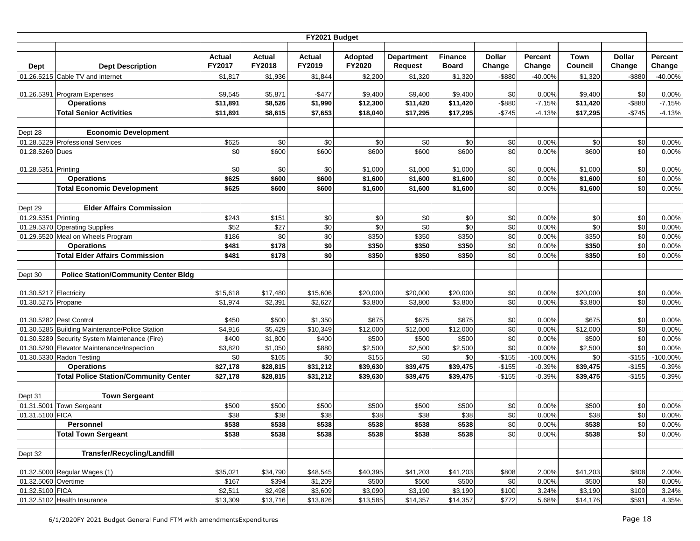|                        |                                                     |                     |          | FY2021 Budget |          |                   |                |                  |                   |             |                  |           |
|------------------------|-----------------------------------------------------|---------------------|----------|---------------|----------|-------------------|----------------|------------------|-------------------|-------------|------------------|-----------|
|                        |                                                     |                     |          |               |          |                   |                |                  |                   |             |                  |           |
|                        |                                                     | Actual              | Actual   | Actual        | Adopted  | <b>Department</b> | <b>Finance</b> | <b>Dollar</b>    | Percent           | <b>Town</b> | <b>Dollar</b>    | Percent   |
| <b>Dept</b>            | <b>Dept Description</b>                             | FY2017              | FY2018   | FY2019        | FY2020   | Request           | <b>Board</b>   | Change           | Change            | Council     | Change           | Change    |
|                        | 01.26.5215 Cable TV and internet                    | \$1,817             | \$1,936  | \$1,844       | \$2,200  | \$1,320           | \$1,320        | $-$ \$880        | -40.00%           | \$1,320     | -\$880           | $-40.00%$ |
|                        |                                                     |                     |          |               |          |                   |                |                  |                   |             |                  |           |
|                        | 01.26.5391 Program Expenses                         | \$9,545<br>\$11,891 | \$5,871  | $-$477$       | \$9,400  | \$9,400           | \$9,400        | \$0<br>$-$ \$880 | 0.00%<br>$-7.15%$ | \$9,400     | \$0<br>$-$ \$880 | 0.00%     |
|                        | <b>Operations</b><br><b>Total Senior Activities</b> |                     | \$8,526  | \$1,990       | \$12,300 | \$11,420          | \$11,420       | $-$745$          |                   | \$11,420    |                  | $-7.15%$  |
|                        |                                                     | \$11,891            | \$8,615  | \$7,653       | \$18,040 | \$17,295          | \$17,295       |                  | $-4.13%$          | \$17,295    | $-$745$          | $-4.13%$  |
|                        | Economic Development                                |                     |          |               |          |                   |                |                  |                   |             |                  |           |
| Dept 28                | 01.28.5229 Professional Services                    | \$625               | \$0      | \$0           | \$0      | \$0               | \$0            | \$0              | 0.00%             | \$0         | \$0              | 0.00%     |
| 01.28.5260 Dues        |                                                     | \$0                 | \$600    | \$600         | \$600    | \$600             | \$600          | \$0              | 0.00%             | \$600       | \$0              | 0.00%     |
|                        |                                                     |                     |          |               |          |                   |                |                  |                   |             |                  |           |
| 01.28.5351 Printing    |                                                     | \$0                 | \$0      | \$0           | \$1,000  | \$1,000           | \$1,000        | \$0              | 0.00%             | \$1,000     | \$0              | 0.00%     |
|                        | <b>Operations</b>                                   | \$625               | \$600    | \$600         | \$1,600  | \$1,600           | \$1,600        | \$0              | 0.00%             | \$1,600     | \$0              | 0.00%     |
|                        | <b>Total Economic Development</b>                   | \$625               | \$600    | \$600         | \$1,600  | \$1,600           | \$1,600        | \$0              | 0.00%             | \$1,600     | \$0              | 0.00%     |
|                        |                                                     |                     |          |               |          |                   |                |                  |                   |             |                  |           |
| Dept 29                | <b>Elder Affairs Commission</b>                     |                     |          |               |          |                   |                |                  |                   |             |                  |           |
| 01.29.5351 Printing    |                                                     | \$243               | \$151    | \$0           | \$0      | \$0               | \$0            | \$0              | 0.00%             | \$0         | \$0              | 0.00%     |
|                        | 01.29.5370 Operating Supplies                       | \$52                | \$27     | \$0           | \$0      | \$0               | \$0            | \$0              | 0.00%             | \$0         | \$0              | 0.00%     |
|                        | 01.29.5520 Meal on Wheels Program                   | \$186               | \$0      | $\frac{6}{3}$ | \$350    | \$350             | \$350          | \$0              | 0.00%             | \$350       | \$0              | 0.00%     |
|                        | <b>Operations</b>                                   | \$481               | \$178    | \$0           | \$350    | \$350             | \$350          | \$0              | 0.00%             | \$350       | \$0              | 0.00%     |
|                        | <b>Total Elder Affairs Commission</b>               | \$481               | \$178    | \$0           | \$350    | \$350             | \$350          | \$0              | 0.00%             | \$350       | \$0              | 0.00%     |
|                        |                                                     |                     |          |               |          |                   |                |                  |                   |             |                  |           |
| Dept 30                | <b>Police Station/Community Center Bldg</b>         |                     |          |               |          |                   |                |                  |                   |             |                  |           |
|                        |                                                     |                     |          |               |          |                   |                |                  |                   |             |                  |           |
| 01.30.5217 Electricity |                                                     | \$15,618            | \$17,480 | \$15,606      | \$20,000 | \$20,000          | \$20,000       | \$0              | 0.00%             | \$20,000    | \$0              | 0.00%     |
| 01.30.5275 Propane     |                                                     | \$1,974             | \$2,391  | \$2,627       | \$3,800  | \$3,800           | \$3,800        | \$0              | 0.00%             | \$3,800     | \$0              | 0.00%     |
|                        | 01.30.5282 Pest Control                             | \$450               | \$500    | \$1,350       | \$675    | \$675             | \$675          | \$0              | 0.00%             | \$675       | \$0              | 0.00%     |
|                        | 01.30.5285 Building Maintenance/Police Station      | \$4,916             | \$5,429  | \$10,349      | \$12,000 | \$12,000          | \$12,000       | \$0              | 0.00%             | \$12,000    | \$0              | 0.00%     |
|                        | 01.30.5289 Security System Maintenance (Fire)       | \$400               | \$1,800  | \$400         | \$500    | \$500             | \$500          | \$0              | 0.00%             | \$500       | \$0              | 0.00%     |
|                        | 01.30.5290 Elevator Maintenance/Inspection          | \$3,820             | \$1,050  | \$880         | \$2,500  | \$2,500           | \$2,500        | \$0              | 0.00%             | \$2,500     | \$0              | 0.00%     |
|                        | 01.30.5330 Radon Testing                            | \$0                 | \$165    | \$0           | \$155    | \$0               | \$0            | $-$155$          | $-100.00%$        | \$0         | $-$155$          | -100.00%  |
|                        | <b>Operations</b>                                   | \$27,178            | \$28,815 | \$31,212      | \$39,630 | \$39,475          | \$39,475       | $-$155$          | $-0.39%$          | \$39,475    | $-$155$          | $-0.39%$  |
|                        | <b>Total Police Station/Community Center</b>        | \$27,178            | \$28,815 | \$31,212      | \$39,630 | \$39,475          | \$39,475       | $-$155$          | $-0.39%$          | \$39,475    | $-$155$          | $-0.39%$  |
|                        |                                                     |                     |          |               |          |                   |                |                  |                   |             |                  |           |
| Dept 31                | <b>Town Sergeant</b>                                |                     |          |               |          |                   |                |                  |                   |             |                  |           |
|                        | 01.31.5001 Town Sergeant                            | \$500               | \$500    | \$500         | \$500    | \$500             | \$500          | \$0              | 0.00%             | \$500       | \$0              | 0.00%     |
| 01.31.5100 FICA        |                                                     | \$38                | \$38     | \$38          | \$38     | \$38              | \$38           | \$0              | 0.00%             | \$38        | \$0              | 0.00%     |
|                        | <b>Personnel</b>                                    | \$538               | \$538    | \$538         | \$538    | \$538             | \$538          | \$0              | 0.00%             | \$538       | \$0              | 0.00%     |
|                        | <b>Total Town Sergeant</b>                          | \$538               | \$538    | \$538         | \$538    | \$538             | \$538          | $\sqrt{6}$       | 0.00%             | \$538       | $\frac{6}{3}$    | 0.00%     |
|                        |                                                     |                     |          |               |          |                   |                |                  |                   |             |                  |           |
| Dept 32                | <b>Transfer/Recycling/Landfill</b>                  |                     |          |               |          |                   |                |                  |                   |             |                  |           |
|                        |                                                     |                     |          |               |          |                   |                |                  |                   |             |                  |           |
|                        | 01.32.5000 Regular Wages (1)                        | \$35,021            | \$34,790 | \$48,545      | \$40,395 | \$41,203          | \$41,203       | \$808            | 2.00%             | \$41,203    | \$808            | 2.00%     |
| 01.32.5060 Overtime    |                                                     | \$167               | \$394    | \$1,209       | \$500    | \$500             | \$500          | \$0              | 0.00%             | \$500       | \$0              | 0.00%     |
| 01.32.5100 FICA        |                                                     | \$2,511             | \$2,498  | \$3,609       | \$3,090  | \$3,190           | \$3,190        | \$100            | 3.24%             | \$3,190     | \$100            | 3.24%     |
|                        | 01.32.5102 Health Insurance                         | \$13,309            | \$13,716 | \$13,826      | \$13,585 | \$14,357          | \$14,357       | \$772            | 5.68%             | \$14,176    | \$591            | 4.35%     |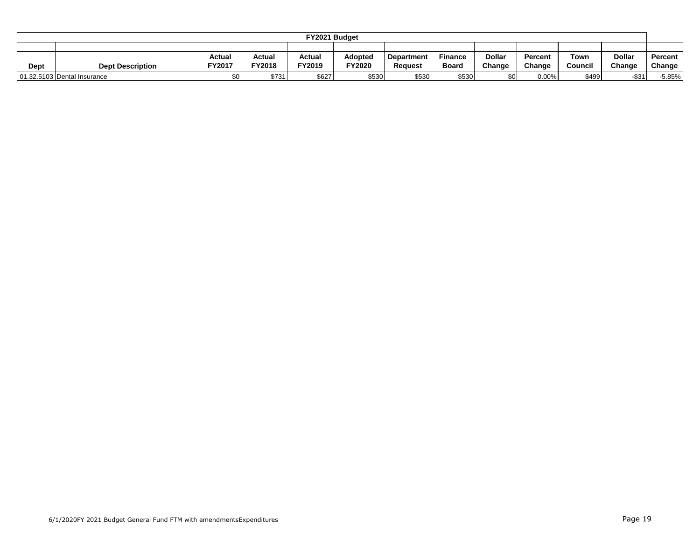|                                                                                                                     |                             |                  |               | FY2021 Budget |        |         |              |        |          |         |          |               |
|---------------------------------------------------------------------------------------------------------------------|-----------------------------|------------------|---------------|---------------|--------|---------|--------------|--------|----------|---------|----------|---------------|
|                                                                                                                     |                             |                  |               |               |        |         |              |        |          |         |          |               |
| Dollar<br><b>Dollar</b><br>Actual<br>Adopted<br><b>Finance</b><br>Actual<br>Actual<br>Town<br>Percent<br>Department |                             |                  |               |               |        |         |              |        |          |         |          | Percent       |
| Dept                                                                                                                | <b>Dept Description</b>     | FY2017           | <b>FY2018</b> | FY2019        | FY2020 | Reauest | <b>Board</b> | Change | Change   | Council | Change   | <b>Change</b> |
|                                                                                                                     | 01.32.5103 Dental Insurance | \$0 <sub>1</sub> | \$731         | \$627         | \$530  | \$530   | \$530        | \$0    | $0.00\%$ | \$499   | $-$ \$31 | $-5.85%$      |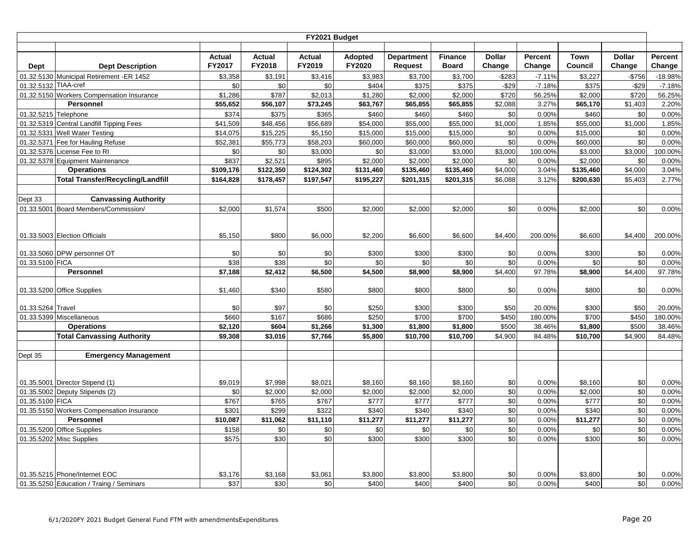|                      | FY2021 Budget                             |                         |                         |                         |                          |                                     |                                |                         |                   |                 |                         |                   |  |  |
|----------------------|-------------------------------------------|-------------------------|-------------------------|-------------------------|--------------------------|-------------------------------------|--------------------------------|-------------------------|-------------------|-----------------|-------------------------|-------------------|--|--|
| <b>Dept</b>          | <b>Dept Description</b>                   | <b>Actual</b><br>FY2017 | <b>Actual</b><br>FY2018 | <b>Actual</b><br>FY2019 | <b>Adopted</b><br>FY2020 | <b>Department</b><br><b>Request</b> | <b>Finance</b><br><b>Board</b> | <b>Dollar</b><br>Change | Percent<br>Change | Town<br>Council | <b>Dollar</b><br>Change | Percent<br>Change |  |  |
|                      | 01.32.5130 Municipal Retirement -ER 1452  | \$3,358                 | \$3,191                 | \$3,416                 | \$3,983                  | \$3,700                             | \$3,700                        | $-$ \$283               | $-7.11%$          | \$3,227         | $-$756$                 | $-18.98%$         |  |  |
| 01.32.5132 TIAA-cref |                                           | \$0                     | \$0                     | \$0                     | \$404                    | \$375                               | \$375                          | $-$29$                  | $-7.18%$          | \$375           | $-$29$                  | $-7.18%$          |  |  |
|                      | 01.32.5150 Workers Compensation Insurance | \$1,286                 | \$787                   | \$2,013                 | \$1,280                  | \$2,000                             | \$2,000                        | \$720                   | 56.25%            | \$2,000         | \$720                   | 56.25%            |  |  |
|                      | Personnel                                 | \$55,652                | \$56,107                | \$73,245                | \$63,767                 | \$65,855                            | \$65,855                       | \$2,088                 | 3.27%             | \$65,170        | \$1,403                 | 2.20%             |  |  |
| 01.32.5215 Telephone |                                           | \$374                   | \$375                   | \$365                   | \$460                    | \$460                               | \$460                          | \$0                     | 0.00%             | \$460           | \$0                     | 0.00%             |  |  |
|                      | 01.32.5319 Central Landfill Tipping Fees  | $\overline{$}41,509$    | \$48,456                | \$56,689                | \$54,000                 | \$55,000                            | \$55,000                       | \$1,000                 | 1.85%             | \$55,000        | \$1,000                 | 1.85%             |  |  |
|                      | 01.32.5331 Well Water Testing             | \$14,075                | \$15,225                | \$5,150                 | \$15,000                 | \$15,000                            | \$15,000                       | \$0                     | 0.00%             | \$15,000        | \$0                     | 0.00%             |  |  |
|                      | 01.32.5371 Fee for Hauling Refuse         | \$52,381                | \$55,773                | \$58,203                | \$60,000                 | \$60,000                            | \$60,000                       | \$0                     | 0.00%             | \$60,000        | \$0                     | 0.00%             |  |  |
|                      | 01.32.5376 License Fee to RI              | \$0                     | \$0                     | \$3,000                 | \$0                      | \$3,000                             | \$3,000                        | \$3,000                 | 100.00%           | \$3,000         | \$3,000                 | 100.00%           |  |  |
|                      | 01.32.5378 Equipment Maintenance          | \$837                   | \$2,521                 | \$895                   | \$2,000                  | \$2,000                             | \$2,000                        | \$0                     | 0.00%             | \$2,000         | \$0                     | 0.00%             |  |  |
|                      | <b>Operations</b>                         | \$109,176               | \$122,350               | \$124,302               | \$131,460                | \$135,460                           | \$135,460                      | \$4,000                 | 3.04%             | \$135,460       | \$4,000                 | 3.04%             |  |  |
|                      | <b>Total Transfer/Recycling/Landfill</b>  | \$164,828               | \$178,457               | \$197,547               | \$195,227                | \$201,315                           | \$201,315                      | \$6,088                 | 3.12%             | \$200,630       | \$5,403                 | 2.77%             |  |  |
|                      |                                           |                         |                         |                         |                          |                                     |                                |                         |                   |                 |                         |                   |  |  |
| Dept 33              | <b>Canvassing Authority</b>               |                         |                         |                         |                          |                                     |                                |                         |                   |                 |                         |                   |  |  |
|                      | 01.33.5001 Board Members/Commission/      | \$2,000                 | \$1,574                 | \$500                   | \$2,000                  | \$2,000                             | \$2,000                        | \$0                     | 0.00%             | \$2,000         | \$0                     | 0.00%             |  |  |
|                      |                                           |                         |                         |                         |                          |                                     |                                |                         |                   |                 |                         |                   |  |  |
|                      | 01.33.5003 Election Officials             | \$5,150                 | \$800                   | \$6,000                 | \$2,200                  | \$6,600                             | \$6,600                        | \$4,400                 | 200.00%           | \$6,600         | \$4,400                 | 200.00%           |  |  |
|                      |                                           |                         |                         |                         |                          |                                     |                                |                         |                   |                 |                         |                   |  |  |
|                      | 01.33.5060 DPW personnel OT               | \$0                     | \$0                     | \$0                     | \$300                    | \$300                               | \$300                          | \$0                     | 0.00%             | \$300           | \$0                     | 0.00%             |  |  |
| 01.33.5100 FICA      |                                           | \$38                    | \$38                    | \$0                     | \$0                      | \$0                                 | \$0                            | \$0                     | 0.00%             | \$0             | $\overline{30}$         | 0.00%             |  |  |
|                      | Personnel                                 | \$7,188                 | \$2,412                 | \$6,500                 | \$4,500                  | \$8,900                             | \$8,900                        | \$4,400                 | 97.78%            | \$8,900         | \$4,400                 | 97.78%            |  |  |
|                      | 01.33.5200 Office Supplies                | \$1,460                 | \$340                   | \$580                   | \$800                    | \$800                               | \$800                          | \$0                     | 0.00%             | \$800           | \$0                     | 0.00%             |  |  |
| 01.33.5264 Travel    |                                           | \$0                     | \$97                    | \$0                     | \$250                    | \$300                               | \$300                          | \$50                    | 20.00%            | \$300           | \$50                    | 20.00%            |  |  |
|                      | 01.33.5399 Miscellaneous                  | \$660                   | \$167                   | \$686                   | \$250                    | \$700                               | \$700                          | \$450                   | 180.00%           | \$700           | \$450                   | 180.00%           |  |  |
|                      | <b>Operations</b>                         | \$2,120                 | \$604                   | \$1,266                 | \$1,300                  | \$1,800                             | \$1,800                        | \$500                   | 38.46%            | \$1,800         | \$500                   | 38.46%            |  |  |
|                      | <b>Total Canvassing Authority</b>         | \$9,308                 | \$3,016                 | \$7,766                 | \$5,800                  | \$10,700                            | \$10,700                       | \$4,900                 | 84.48%            | \$10,700        | \$4,900                 | 84.48%            |  |  |
|                      |                                           |                         |                         |                         |                          |                                     |                                |                         |                   |                 |                         |                   |  |  |
| Dept 35              | <b>Emergency Management</b>               |                         |                         |                         |                          |                                     |                                |                         |                   |                 |                         |                   |  |  |
|                      |                                           |                         |                         |                         |                          |                                     |                                |                         |                   |                 |                         |                   |  |  |
|                      | 01.35.5001 Director Stipend (1)           | \$9,019                 | \$7,998                 | \$8,021                 | \$8,160                  | \$8,160                             | \$8,160                        | \$0                     | 0.00%             | \$8,160         | \$0                     | 0.00%             |  |  |
|                      | 01.35.5002 Deputy Stipends (2)            | \$0                     | \$2,000                 | \$2,000                 | \$2,000                  | \$2,000                             | \$2,000                        | \$0                     | 0.00%             | \$2,000         | \$0                     | 0.00%             |  |  |
| 01.35.5100 FICA      |                                           | \$767                   | \$765                   | \$767                   | \$777                    | \$777                               | \$777                          | \$0                     | 0.00%             | \$777           | \$0                     | 0.00%             |  |  |
|                      | 01.35.5150 Workers Compensation Insurance | \$301                   | \$299                   | \$322                   | \$340                    | \$340                               | \$340                          | \$0                     | 0.00%             | \$340           | \$0                     | 0.00%             |  |  |
|                      | <b>Personnel</b>                          | \$10,087                | \$11,062                | \$11,110                | \$11,277                 | \$11,277                            | \$11,277                       | \$0                     | 0.00%             | \$11,277        | $\frac{6}{3}$           | 0.00%             |  |  |
|                      | 01.35.5200 Office Supplies                | \$158                   | \$0                     | \$0                     | \$0                      | \$0                                 | \$0                            | \$0                     | 0.00%             | \$0             | \$0                     | 0.00%             |  |  |
|                      | 01.35.5202 Misc Supplies                  | \$575                   | \$30                    | \$0                     | \$300                    | \$300                               | \$300                          | \$0                     | 0.00%             | \$300           | \$0                     | 0.00%             |  |  |
|                      |                                           |                         |                         |                         |                          |                                     |                                |                         |                   |                 |                         |                   |  |  |
|                      | 01.35.5215 Phone/Internet EOC             | \$3,176                 | \$3,168                 | \$3,061                 | \$3,800                  | \$3,800                             | \$3,800                        | \$0                     | 0.00%             | \$3,800         | \$0                     | 0.00%             |  |  |
|                      | 01.35.5250 Education / Traing / Seminars  | \$37                    | \$30                    | \$0                     | \$400                    | \$400                               | \$400                          | \$0                     | 0.00%             | \$400           | \$0                     | 0.00%             |  |  |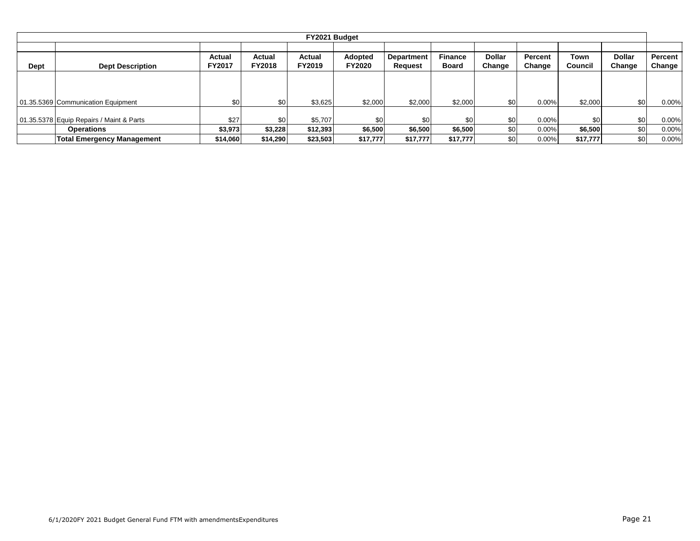|      | FY2021 Budget                            |                         |                         |                  |                          |                              |                                |                         |                   |                 |                         |                          |  |  |
|------|------------------------------------------|-------------------------|-------------------------|------------------|--------------------------|------------------------------|--------------------------------|-------------------------|-------------------|-----------------|-------------------------|--------------------------|--|--|
| Dept | <b>Dept Description</b>                  | Actual<br><b>FY2017</b> | Actual<br><b>FY2018</b> | Actual<br>FY2019 | Adopted<br><b>FY2020</b> | <b>Department</b><br>Request | <b>Finance</b><br><b>Board</b> | <b>Dollar</b><br>Change | Percent<br>Change | Town<br>Council | <b>Dollar</b><br>Change | <b>Percent</b><br>Change |  |  |
|      |                                          |                         |                         |                  |                          |                              |                                |                         |                   |                 |                         |                          |  |  |
|      | 01.35.5369 Communication Equipment       | \$0                     | \$0                     | \$3,625          | \$2,000                  | \$2,000                      | \$2,000                        | \$0                     | $0.00\%$          | \$2,000         | \$0                     | $0.00\%$                 |  |  |
|      | 01.35.5378 Equip Repairs / Maint & Parts | \$27                    | \$0                     | \$5,707          | \$0                      | \$0 <sub>1</sub>             | \$0                            | \$0                     | $0.00\%$          | \$0             | \$0                     | $0.00\%$                 |  |  |
|      | <b>Operations</b>                        | \$3,973                 | \$3,228                 | \$12,393         | \$6,500                  | \$6,500                      | \$6,500                        | \$0                     | 0.00%             | \$6,500         | \$0                     | $0.00\%$                 |  |  |
|      | <b>Total Emergency Management</b>        | \$14,060                | \$14,290                | \$23,503         | \$17,777                 | \$17,777                     | \$17,777                       | \$0 <sub>1</sub>        | 0.00%             | \$17,777        | \$0                     | $0.00\%$                 |  |  |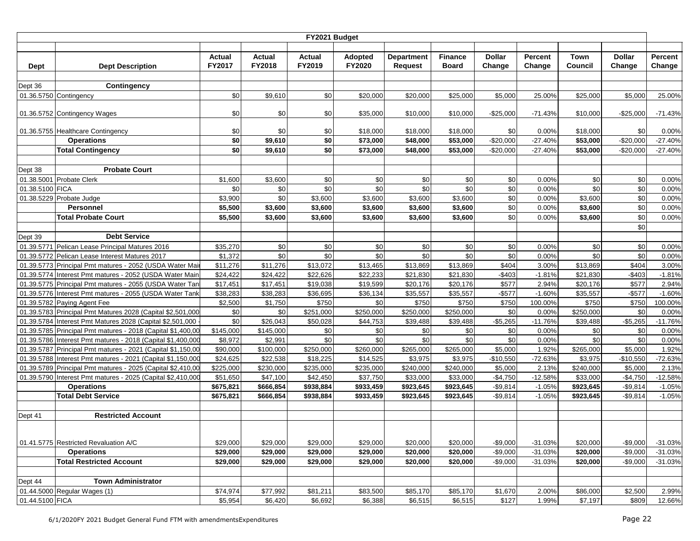|                 |                                                                                                                            |                      |                      | FY2021 Budget |                |                   |                 |               |                |                 |               |                |
|-----------------|----------------------------------------------------------------------------------------------------------------------------|----------------------|----------------------|---------------|----------------|-------------------|-----------------|---------------|----------------|-----------------|---------------|----------------|
|                 |                                                                                                                            |                      |                      |               |                |                   |                 |               |                |                 |               |                |
|                 |                                                                                                                            | Actual               | Actual               | Actual        | <b>Adopted</b> | <b>Department</b> | <b>Finance</b>  | <b>Dollar</b> | Percent        | <b>Town</b>     | <b>Dollar</b> | Percent        |
| <b>Dept</b>     | <b>Dept Description</b>                                                                                                    | <b>FY2017</b>        | FY2018               | FY2019        | FY2020         | Request           | <b>Board</b>    | Change        | Change         | Council         | Change        | Change         |
| Dept 36         |                                                                                                                            |                      |                      |               |                |                   |                 |               |                |                 |               |                |
|                 | <b>Contingency</b>                                                                                                         |                      |                      | \$0           | \$20,000       |                   | \$25,000        |               | 25.00%         |                 |               |                |
|                 | 01.36.5750 Contingency                                                                                                     | \$0                  | \$9,610              |               |                | \$20,000          |                 | \$5,000       |                | \$25,000        | \$5,000       | 25.00%         |
|                 | 01.36.5752 Contingency Wages                                                                                               | \$0                  | \$0                  | \$0           | \$35,000       | \$10,000          | \$10,000        | $-$25,000$    | $-71.43%$      | \$10,000        | -\$25,000     | $-71.43%$      |
|                 |                                                                                                                            |                      |                      |               |                |                   |                 |               |                |                 |               |                |
|                 | 01.36.5755 Healthcare Contingency                                                                                          | \$0                  | \$0                  | \$0           | \$18,000       | \$18,000          | \$18,000        | \$0           | 0.00%          | \$18,000        | \$0           | 0.00%          |
|                 | <b>Operations</b>                                                                                                          | \$0                  | \$9,610              | \$0           | \$73,000       | \$48,000          | \$53,000        | $-$20,000$    | $-27.40%$      | \$53,000        | $-$20,000$    | $-27.40%$      |
|                 | <b>Total Contingency</b>                                                                                                   | \$0                  | \$9,610              | \$0           | \$73,000       | \$48,000          | \$53,000        | $-$20,000$    | $-27.40%$      | \$53,000        | $-$20,000$    | $-27.40%$      |
|                 |                                                                                                                            |                      |                      |               |                |                   |                 |               |                |                 |               |                |
| Dept 38         | <b>Probate Court</b>                                                                                                       |                      |                      |               |                |                   |                 |               |                |                 |               |                |
|                 | 01.38.5001 Probate Clerk                                                                                                   | \$1,600              | \$3,600              | \$0           | \$0            | \$0               | \$0             | \$0           | 0.00%          | \$0             | \$0           | 0.00%          |
| 01.38.5100 FICA |                                                                                                                            | \$0                  | \$0                  | \$0           | \$0            | \$0               | \$0             | \$0           | 0.00%          | \$0             | \$0           | 0.00%          |
|                 | 01.38.5229 Probate Judge                                                                                                   | \$3,900              | \$0                  | \$3,600       | \$3,600        | \$3,600           | \$3,600         | \$0           | 0.00%          | \$3,600         | \$0           | 0.00%          |
|                 | Personnel                                                                                                                  | \$5,500              | \$3,600              | \$3,600       | \$3,600        | \$3,600           | \$3,600         | \$0           | 0.00%          | \$3,600         | \$0           | 0.00%          |
|                 | <b>Total Probate Court</b>                                                                                                 | \$5,500              | \$3,600              | \$3,600       | \$3,600        | \$3,600           | \$3,600         | \$0           | 0.00%          | \$3,600         | \$0           | 0.00%          |
|                 |                                                                                                                            |                      |                      |               |                |                   |                 |               |                |                 | \$0           |                |
| Dept 39         | <b>Debt Service</b>                                                                                                        |                      |                      |               |                |                   |                 |               |                |                 |               |                |
|                 | 01.39.5771 Pelican Lease Principal Matures 2016                                                                            | \$35,270             | \$0                  | \$0           | \$0            | \$0               | \$0             | \$0           | 0.00%          | \$0             | \$0           | 0.00%          |
|                 | 01.39.5772 Pelican Lease Interest Matures 2017                                                                             | \$1,372              | \$0                  | \$0           | \$0            | \$0               | \$0             | \$0           | 0.00%          | \$0             | \$0           | 0.00%          |
| 01.39.5773      | Principal Pmt matures - 2052 (USDA Water Mai                                                                               | \$11,276             | \$11,276             | \$13,072      | \$13,465       | \$13,869          | \$13,869        | \$404         | 3.00%          | \$13,869        | \$404         | 3.00%          |
| 01.39.5774      | Interest Pmt matures - 2052 (USDA Water Main                                                                               | \$24,422             | \$24,422             | \$22,626      | \$22,233       | \$21,830          | \$21,830        | $-$403$       | $-1.81%$       | \$21,830        | $-$403$       | $-1.81%$       |
|                 | 01.39.5775 Principal Pmt matures - 2055 (USDA Water Tan                                                                    | \$17,451             | \$17,451             | \$19,038      | \$19,599       | \$20,176          | \$20,176        | \$577         | 2.94%          | \$20,176        | \$577         | 2.94%          |
|                 | 01.39.5776 Interest Pmt matures - 2055 (USDA Water Tank                                                                    | \$38,283             | \$38,283             | \$36,695      | \$36,134       | \$35,557          | \$35,557        | $-$ \$577     | $-1.60%$       | \$35,557        | $-$ \$577     | $-1.60%$       |
|                 | 01.39.5782 Paying Agent Fee                                                                                                | \$2,500              | \$1,750              | \$750         | \$0            | \$750             | \$750           | \$750         | 100.00%        | \$750           | \$750         | 100.00%        |
| 01.39.5784      | 01.39.5783 Principal Pmt Matures 2028 (Capital \$2,501,000<br>Interest Pmt Matures 2028 (Capital \$2,501,000               | \$0                  | \$0                  | \$251,000     | \$250,000      | \$250,000         | \$250,000       | \$0           | 0.00%          | \$250,000       | \$0           | 0.00%          |
|                 |                                                                                                                            | \$0                  | \$26,043             | \$50,028      | \$44,753       | \$39,488          | \$39,488<br>\$0 | $-$5,265$     | $-11.76%$      | \$39,488<br>\$0 | $-$5,265$     | $-11.76%$      |
|                 | 01.39.5785 Principal Pmt matures - 2018 (Capital \$1,400,00<br>01.39.5786 Interest Pmt matures - 2018 (Capital \$1,400,000 | \$145,000<br>\$8,972 | \$145,000<br>\$2,991 | \$0<br>\$0    | \$0<br>\$0     | \$0<br>\$0        | \$0             | \$0<br>\$0    | 0.00%<br>0.00% | \$0             | \$0<br>\$0    | 0.00%<br>0.00% |
|                 | 01.39.5787 Principal Pmt matures - 2021 (Capital \$1,150,00                                                                | \$90,000             | \$100,000            | \$250,000     | \$260,000      | \$265,000         | \$265,000       | \$5,000       | 1.92%          | \$265,000       | \$5,000       | 1.92%          |
|                 | 01.39.5788 Interest Pmt matures - 2021 (Capital \$1,150,000                                                                | \$24,625             | \$22,538             | \$18,225      | \$14,525       | \$3,975           | \$3,975         | $-$10,550$    | $-72.63%$      | \$3,975         | $-$10,550$    | $-72.63%$      |
|                 | 01.39.5789 Principal Pmt matures - 2025 (Capital \$2,410,00                                                                | \$225,000            | \$230,000            | \$235,000     | \$235,000      | \$240,000         | \$240,000       | \$5,000       | 2.13%          | \$240,000       | \$5,000       | 2.13%          |
|                 | 01.39.5790 Interest Pmt matures - 2025 (Capital \$2,410,000                                                                | \$51,650             | \$47,100             | \$42,450      | \$37,750       | \$33,000          | \$33,000        | $-$4,750$     | $-12.58%$      | \$33,000        | $-$4,750$     | $-12.58%$      |
|                 | <b>Operations</b>                                                                                                          | \$675,821            | \$666,854            | \$938,884     | \$933,459      | \$923,645         | \$923,645       | $-$9,814$     | $-1.05%$       | \$923,645       | $-$9,814$     | $-1.05%$       |
|                 | <b>Total Debt Service</b>                                                                                                  | \$675,821            | \$666,854            | \$938,884     | \$933,459      | \$923,645         | \$923,645       | $-$9,814$     | $-1.05%$       | \$923,645       | $-$9,814$     | $-1.05%$       |
|                 |                                                                                                                            |                      |                      |               |                |                   |                 |               |                |                 |               |                |
| Dept 41         | <b>Restricted Account</b>                                                                                                  |                      |                      |               |                |                   |                 |               |                |                 |               |                |
|                 |                                                                                                                            |                      |                      |               |                |                   |                 |               |                |                 |               |                |
|                 |                                                                                                                            |                      |                      |               |                |                   |                 |               |                |                 |               |                |
|                 | 01.41.5775 Restricted Revaluation A/C                                                                                      | \$29,000             | \$29,000             | \$29,000      | \$29,000       | \$20,000          | \$20,000        | $-$9,000$     | $-31.03%$      | \$20,000        | $-$9,000$     | $-31.03%$      |
|                 | <b>Operations</b>                                                                                                          | \$29,000             | \$29,000             | \$29,000      | \$29,000       | \$20,000          | \$20,000        | $-$9,000$     | $-31.03%$      | \$20,000        | $-$9,000$     | $-31.03%$      |
|                 | <b>Total Restricted Account</b>                                                                                            | \$29,000             | \$29,000             | \$29,000      | \$29,000       | \$20,000          | \$20,000        | $-$9,000$     | $-31.03%$      | \$20,000        | $-$9,000$     | $-31.03%$      |
|                 |                                                                                                                            |                      |                      |               |                |                   |                 |               |                |                 |               |                |
| Dept 44         | <b>Town Administrator</b>                                                                                                  |                      |                      |               |                |                   |                 |               |                |                 |               |                |
|                 | 01.44.5000 Regular Wages (1)                                                                                               | \$74,974             | \$77,992             | \$81,211      | \$83,500       | \$85,170          | \$85,170        | \$1,670       | 2.00%          | \$86,000        | \$2,500       | 2.99%          |
| 01.44.5100 FICA |                                                                                                                            | \$5,954              | \$6,420              | \$6,692       | \$6,388        | \$6,515           | \$6,515         | \$127         | 1.99%          | \$7,197         | \$809         | 12.66%         |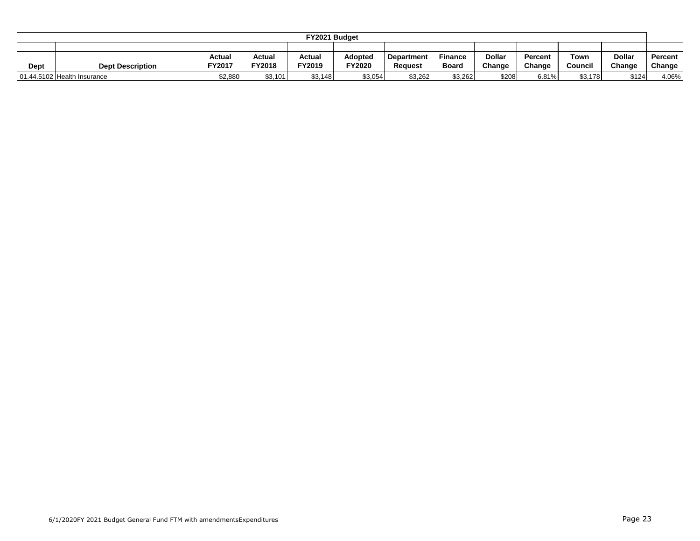|      |                                                                                                                                |         |               | FY2021 Budget |         |         |              |        |        |         |        |               |
|------|--------------------------------------------------------------------------------------------------------------------------------|---------|---------------|---------------|---------|---------|--------------|--------|--------|---------|--------|---------------|
|      |                                                                                                                                |         |               |               |         |         |              |        |        |         |        |               |
|      | Dollar<br><b>Dollar</b><br>Actual<br>Adopted<br><b>Finance</b><br>Actual<br>Actual<br>Town<br>Percent<br>Percent<br>Department |         |               |               |         |         |              |        |        |         |        |               |
| Dept | <b>Dept Description</b>                                                                                                        | FY2017  | <b>FY2018</b> | FY2019        | FY2020  | Reauest | <b>Board</b> | Change | Change | Council | Change | <b>Change</b> |
|      | 01.44.5102 Health Insurance                                                                                                    | \$2,880 | \$3,101       | \$3,148       | \$3,054 | \$3,262 | \$3,262      | \$208  | 6.81%  | \$3,178 | \$124  | 4.06%         |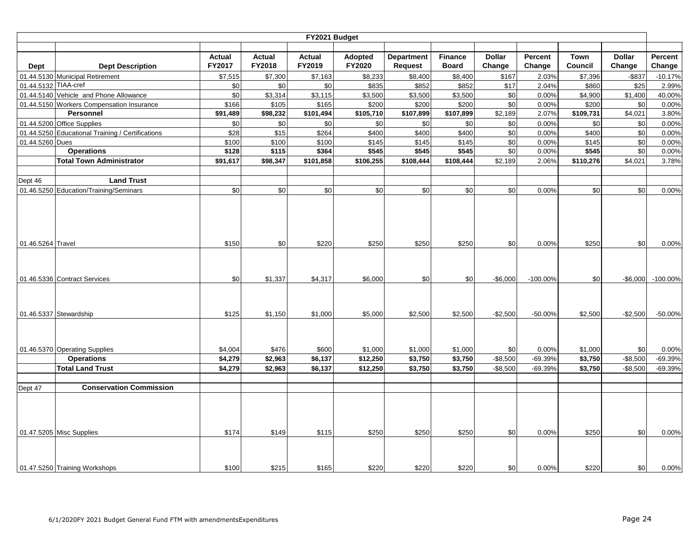|                      |                                                  |                  |                         | FY2021 Budget    |                   |                                     |                                |                         |                   |                        |                         |                   |
|----------------------|--------------------------------------------------|------------------|-------------------------|------------------|-------------------|-------------------------------------|--------------------------------|-------------------------|-------------------|------------------------|-------------------------|-------------------|
| Dept                 | <b>Dept Description</b>                          | Actual<br>FY2017 | <b>Actual</b><br>FY2018 | Actual<br>FY2019 | Adopted<br>FY2020 | <b>Department</b><br><b>Request</b> | <b>Finance</b><br><b>Board</b> | <b>Dollar</b><br>Change | Percent<br>Change | <b>Town</b><br>Council | <b>Dollar</b><br>Change | Percent<br>Change |
|                      | 01.44.5130 Municipal Retirement                  | \$7,515          | \$7,300                 | \$7,163          | \$8,233           | \$8,400                             | \$8,400                        | \$167                   | 2.03%             | \$7,396                | $-$ \$837               | $-10.17%$         |
| 01.44.5132 TIAA-cref |                                                  | \$0              | \$0                     | \$0              | \$835             | \$852                               | \$852                          | \$17                    | 2.04%             | \$860                  | \$25                    | 2.99%             |
|                      | 01.44.5140 Vehicle and Phone Allowance           | \$0              | \$3,314                 | \$3,115          | \$3,500           | \$3,500                             | \$3,500                        | \$0                     | 0.00%             | \$4,900                | \$1,400                 | 40.00%            |
|                      | 01.44.5150 Workers Compensation Insurance        | \$166            | \$105                   | \$165            | \$200             | \$200                               | \$200                          | \$0                     | 0.00%             | \$200                  | \$0                     | 0.00%             |
|                      | Personnel                                        | \$91,489         | \$98,232                | \$101,494        | \$105,710         | \$107,899                           | \$107,899                      | \$2,189                 | 2.07%             | \$109,731              | \$4,021                 | 3.80%             |
|                      | 01.44.5200 Office Supplies                       | \$0              | \$0                     | \$0              | \$0               | \$0                                 | \$0                            | \$0                     | 0.00%             | \$0                    | \$0                     | 0.00%             |
|                      | 01.44.5250 Educational Training / Certifications | \$28             | \$15                    | \$264            | \$400             | \$400                               | \$400                          | \$0                     | 0.00%             | \$400                  | \$0                     | 0.00%             |
| 01.44.5260 Dues      |                                                  | \$100            | \$100                   | \$100            | \$145             | \$145                               | \$145                          | \$0                     | 0.00%             | \$145                  | \$0                     | 0.00%             |
|                      | <b>Operations</b>                                | \$128            | \$115                   | \$364            | \$545             | \$545                               | \$545                          | \$0                     | 0.00%             | \$545                  | \$0                     | 0.00%             |
|                      | <b>Total Town Administrator</b>                  | \$91,617         | \$98,347                | \$101,858        | \$106,255         | \$108,444                           | \$108,444                      | \$2,189                 | 2.06%             | \$110,276              | \$4,021                 | 3.78%             |
|                      |                                                  |                  |                         |                  |                   |                                     |                                |                         |                   |                        |                         |                   |
| Dept 46              | <b>Land Trust</b>                                |                  |                         |                  |                   |                                     |                                |                         |                   |                        |                         |                   |
|                      | 01.46.5250 Education/Training/Seminars           | \$0              | \$0                     | \$0              | \$0               | \$0                                 | \$0                            | \$0                     | 0.00%             | \$0                    | \$0                     | 0.00%             |
|                      |                                                  |                  |                         |                  |                   |                                     |                                |                         |                   |                        |                         |                   |
| 01.46.5264 Travel    |                                                  | \$150            | \$0                     | \$220            | \$250             | \$250                               | \$250                          | \$0                     | 0.00%             | \$250                  | \$0                     | 0.00%             |
|                      | 01.46.5336 Contract Services                     | \$0              | \$1,337                 | \$4,317          | \$6,000           | \$0                                 | \$0                            | $-$6,000$               | $-100.00%$        | \$0                    | $-$6,000$               | $-100.00\%$       |
|                      | 01.46.5337 Stewardship                           | \$125            | \$1,150                 | \$1,000          | \$5,000           | \$2,500                             | \$2,500                        | $-$2,500$               | $-50.00%$         | \$2,500                | $-$2,500$               | $-50.00%$         |
|                      | 01.46.5370 Operating Supplies                    | \$4,004          | \$476                   | \$600            | \$1,000           | \$1,000                             | \$1,000                        | \$0                     | 0.00%             | \$1,000                | \$0                     | 0.00%             |
|                      | <b>Operations</b>                                | \$4,279          | \$2,963                 | \$6,137          | \$12,250          | \$3,750                             | \$3,750                        | $-$8,500$               | -69.39%           | \$3,750                | $-$8,500$               | $-69.39%$         |
|                      | <b>Total Land Trust</b>                          | \$4,279          | \$2,963                 | \$6,137          | \$12,250          | \$3,750                             | \$3,750                        | $-$8,500$               | -69.39%           | \$3,750                | $-$8,500$               | $-69.39%$         |
|                      | <b>Conservation Commission</b>                   |                  |                         |                  |                   |                                     |                                |                         |                   |                        |                         |                   |
| Dept 47              |                                                  |                  |                         |                  |                   |                                     |                                |                         |                   |                        |                         |                   |
|                      | 01.47.5205 Misc Supplies                         | \$174            | \$149                   | \$115            | \$250             | \$250                               | \$250                          | \$0                     | 0.00%             | \$250                  | \$0                     | 0.00%             |
|                      | 01.47.5250 Training Workshops                    | \$100            | \$215                   | \$165            | \$220             | \$220                               | \$220                          | \$0                     | 0.00%             | \$220                  | \$0                     | 0.00%             |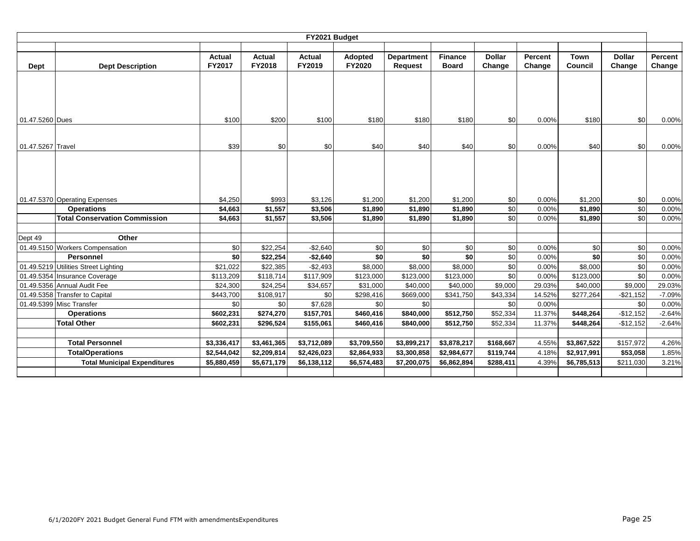|                   |                                                    |                         |                  | FY2021 Budget    |                   |                                     |                                |                         |                   |                 |                         |                   |
|-------------------|----------------------------------------------------|-------------------------|------------------|------------------|-------------------|-------------------------------------|--------------------------------|-------------------------|-------------------|-----------------|-------------------------|-------------------|
| Dept              | <b>Dept Description</b>                            | <b>Actual</b><br>FY2017 | Actual<br>FY2018 | Actual<br>FY2019 | Adopted<br>FY2020 | <b>Department</b><br><b>Request</b> | <b>Finance</b><br><b>Board</b> | <b>Dollar</b><br>Change | Percent<br>Change | Town<br>Council | <b>Dollar</b><br>Change | Percent<br>Change |
|                   |                                                    |                         |                  |                  |                   |                                     |                                |                         |                   |                 |                         |                   |
| 01.47.5260 Dues   |                                                    | \$100                   | \$200            | \$100            | \$180             | \$180                               | \$180                          | \$0                     | 0.00%             | \$180           | \$0                     | 0.00%             |
| 01.47.5267 Travel |                                                    | \$39                    | \$0              | \$0              | \$40              | \$40                                | \$40                           | \$0                     | 0.00%             | \$40            | \$0                     | 0.00%             |
|                   |                                                    | \$4,250                 | \$993            | \$3,126          | \$1,200           | \$1,200                             | \$1,200                        |                         | 0.00%             | \$1,200         | \$0                     | 0.00%             |
|                   | 01.47.5370 Operating Expenses<br><b>Operations</b> | \$4,663                 | \$1,557          | \$3,506          | \$1,890           | \$1,890                             | \$1,890                        | \$0<br>\$0              | 0.00%             | \$1,890         | \$0                     | 0.00%             |
|                   | <b>Total Conservation Commission</b>               | \$4,663                 | \$1,557          | \$3,506          | \$1,890           | \$1,890                             | \$1,890                        | \$0                     | 0.00%             | \$1,890         | \$0                     | 0.00%             |
|                   |                                                    |                         |                  |                  |                   |                                     |                                |                         |                   |                 |                         |                   |
| Dept 49           | Other                                              |                         |                  |                  |                   |                                     |                                |                         |                   |                 |                         |                   |
|                   | 01.49.5150 Workers Compensation                    | \$0                     | \$22,254         | $-$2,640$        | \$0               | \$0                                 | \$0                            | \$0                     | 0.00%             | \$0             | \$0                     | 0.00%             |
|                   | <b>Personnel</b>                                   | \$0                     | \$22,254         | $-$2,640$        | \$0               | \$0                                 | \$0                            | \$0                     | 0.00%             | \$0             | \$0                     | 0.00%             |
|                   | 01.49.5219 Utilities Street Lighting               | \$21,022                | \$22,385         | $-$2,493$        | \$8,000           | \$8,000                             | \$8,000                        | \$0                     | 0.00%             | \$8,000         | \$0                     | 0.00%             |
|                   | 01.49.5354 Insurance Coverage                      | \$113,209               | \$118,714        | \$117,909        | \$123,000         | \$123,000                           | \$123,000                      | \$0                     | 0.00%             | \$123,000       | \$0                     | 0.00%             |
|                   | 01.49.5356 Annual Audit Fee                        | \$24,300                | \$24,254         | \$34,657         | \$31,000          | \$40,000                            | \$40,000                       | \$9,000                 | 29.03%            | \$40,000        | \$9,000                 | 29.03%            |
|                   | 01.49.5358 Transfer to Capital                     | \$443,700               | \$108,917        | \$0              | \$298,416         | \$669,000                           | \$341,750                      | \$43,334                | 14.52%            | \$277,264       | $-$ \$21,152            | $-7.09%$          |
|                   | 01.49.5399 Misc Transfer                           | \$0                     | \$0              | \$7,628          | \$0               | \$0                                 |                                | \$0                     | 0.00%             |                 | \$0                     | 0.00%             |
|                   | <b>Operations</b>                                  | \$602,231               | \$274,270        | \$157,701        | \$460,416         | \$840,000                           | \$512,750                      | \$52,334                | 11.37%            | \$448,264       | $-$12,152$              | $-2.64%$          |
|                   | <b>Total Other</b>                                 | \$602,231               | \$296,524        | \$155,061        | \$460,416         | \$840,000                           | \$512,750                      | \$52,334                | 11.37%            | \$448,264       | $-$12,152$              | $-2.64%$          |
|                   |                                                    |                         |                  |                  |                   |                                     |                                |                         |                   |                 |                         |                   |
|                   | <b>Total Personnel</b>                             | \$3,336,417             | \$3,461,365      | \$3,712,089      | \$3,709,550       | \$3,899,217                         | \$3,878,217                    | \$168,667               | 4.55%             | \$3,867,522     | \$157,972               | 4.26%             |
|                   | <b>TotalOperations</b>                             | \$2,544,042             | \$2,209,814      | \$2,426,023      | \$2,864,933       | \$3,300,858                         | \$2,984,677                    | \$119,744               | 4.18%             | \$2,917,991     | \$53,058                | 1.85%             |
|                   | <b>Total Municipal Expenditures</b>                | \$5,880,459             | \$5,671,179      | \$6,138,112      | \$6,574,483       | \$7,200,075                         | \$6,862,894                    | \$288,411               | 4.39%             | \$6,785,513     | \$211,030               | 3.21%             |
|                   |                                                    |                         |                  |                  |                   |                                     |                                |                         |                   |                 |                         |                   |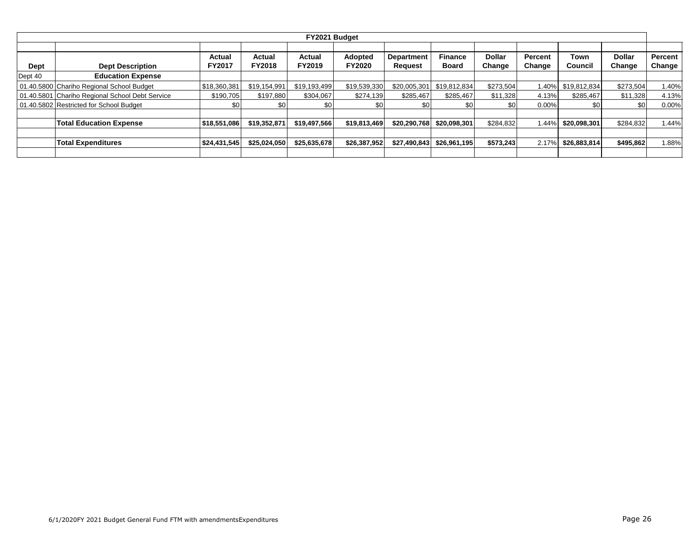|         | FY2021 Budget                                   |               |                         |              |               |                   |                |                  |                |                    |               |         |  |  |  |
|---------|-------------------------------------------------|---------------|-------------------------|--------------|---------------|-------------------|----------------|------------------|----------------|--------------------|---------------|---------|--|--|--|
|         |                                                 | Actual        |                         | Actual       | Adopted       | <b>Department</b> | <b>Finance</b> | Dollar           | <b>Percent</b> | Town               | <b>Dollar</b> | Percent |  |  |  |
| Dept    | <b>Dept Description</b>                         | <b>FY2017</b> | Actual<br><b>FY2018</b> | FY2019       | <b>FY2020</b> | Request           | <b>Board</b>   | Change           | Change         | Council            | Change        | Change  |  |  |  |
| Dept 40 | <b>Education Expense</b>                        |               |                         |              |               |                   |                |                  |                |                    |               |         |  |  |  |
|         | 01.40.5800 Chariho Regional School Budget       | \$18,360,381  | \$19.154.991            | \$19.193.499 | \$19,539,330  | \$20,005,301      | \$19,812,834   | \$273,504        |                | 1.40% \$19,812,834 | \$273,504     | 1.40%   |  |  |  |
|         | 01.40.5801 Chariho Regional School Debt Service | \$190.705     | \$197.880               | \$304.067    | \$274,139     | \$285.467         | \$285.467      | \$11.328         | 4.13%          | \$285.467          | \$11,328      | 4.13%   |  |  |  |
|         | 01.40.5802 Restricted for School Budget         | \$0           | \$0                     | \$0          | \$0           | \$0               | \$0            | \$0 <sub>1</sub> | 0.00%          | \$0                | \$0           | 0.00%   |  |  |  |
|         |                                                 |               |                         |              |               |                   |                |                  |                |                    |               |         |  |  |  |
|         | <b>Total Education Expense</b>                  | \$18,551,086  | \$19,352,871            | \$19,497,566 | \$19,813,469  | \$20,290,768      | \$20,098,301   | \$284,832        | 1.44%          | \$20,098,301       | \$284,832     | 1.44%   |  |  |  |
|         |                                                 |               |                         |              |               |                   |                |                  |                |                    |               |         |  |  |  |
|         | <b>Total Expenditures</b>                       | \$24,431,545  | \$25,024,050            | \$25,635,678 | \$26,387,952  | \$27,490,843      | \$26,961,195   | \$573,243        | 2.17%          | \$26,883,814       | \$495,862     | 1.88%   |  |  |  |
|         |                                                 |               |                         |              |               |                   |                |                  |                |                    |               |         |  |  |  |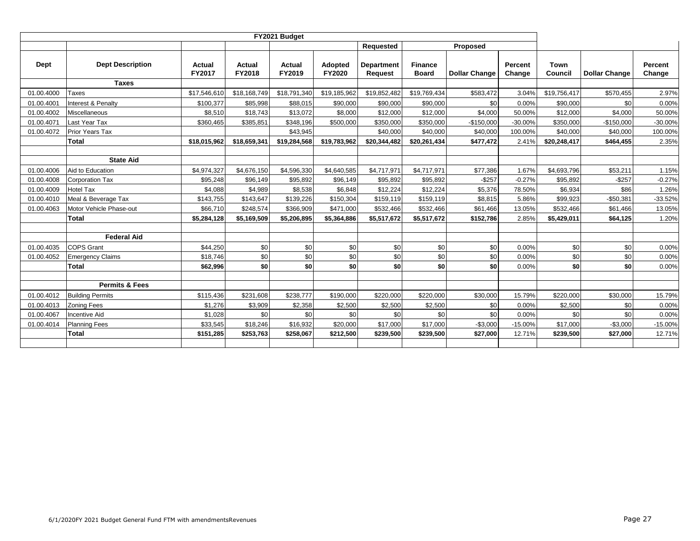|            |                           |                         |                  |                  |                   | Requested                    |                                | Proposed             |                          |                 |                      |                   |
|------------|---------------------------|-------------------------|------------------|------------------|-------------------|------------------------------|--------------------------------|----------------------|--------------------------|-----------------|----------------------|-------------------|
| Dept       | <b>Dept Description</b>   | Actual<br><b>FY2017</b> | Actual<br>FY2018 | Actual<br>FY2019 | Adopted<br>FY2020 | <b>Department</b><br>Request | <b>Finance</b><br><b>Board</b> | <b>Dollar Change</b> | <b>Percent</b><br>Change | Town<br>Council | <b>Dollar Change</b> | Percent<br>Change |
|            | <b>Taxes</b>              |                         |                  |                  |                   |                              |                                |                      |                          |                 |                      |                   |
| 01.00.4000 | <b>Taxes</b>              | \$17,546,610            | \$18,168,749     | \$18,791,340     | \$19,185,962      | \$19,852,482                 | \$19,769,434                   | \$583,472            | 3.04%                    | \$19,756,417    | \$570,455            | 2.97%             |
| 01.00.4001 | Interest & Penalty        | \$100,377               | \$85,998         | \$88,015         | \$90,000          | \$90,000                     | \$90,000                       | \$0                  | 0.00%                    | \$90,000        | \$0                  | 0.00%             |
| 01.00.4002 | Miscellaneous             | \$8,510                 | \$18,743         | \$13,072         | \$8,000           | \$12,000                     | \$12,000                       | \$4,000              | 50.00%                   | \$12,000        | \$4,000              | 50.00%            |
| 01.00.4071 | Last Year Tax             | \$360,465               | \$385,851        | \$348.196        | \$500,000         | \$350,000                    | \$350,000                      | $-$150,000$          | $-30.00%$                | \$350.000       | $-$150.000$          | $-30.00%$         |
| 01.00.4072 | Prior Years Tax           |                         |                  | \$43,945         |                   | \$40,000                     | \$40,000                       | \$40,000             | 100.00%                  | \$40,000        | \$40,000             | 100.00%           |
|            | <b>Total</b>              | \$18,015,962            | \$18,659,341     | \$19,284,568     | \$19,783,962      | \$20,344,482                 | \$20,261,434                   | \$477,472            | 2.41%                    | \$20,248,417    | \$464,455            | 2.35%             |
|            |                           |                         |                  |                  |                   |                              |                                |                      |                          |                 |                      |                   |
|            | <b>State Aid</b>          |                         |                  |                  |                   |                              |                                |                      |                          |                 |                      |                   |
| 01.00.4006 | Aid to Education          | \$4,974,327             | \$4,676,150      | \$4,596,330      | \$4,640,585       | \$4,717,971                  | \$4,717,971                    | \$77,386             | 1.67%                    | \$4,693,796     | \$53,211             | 1.15%             |
| 01.00.4008 | <b>Corporation Tax</b>    | \$95,248                | \$96,149         | \$95.892         | \$96,149          | \$95.892                     | \$95,892                       | $-$257$              | $-0.27%$                 | \$95,892        | $-$ \$257            | $-0.27%$          |
| 01.00.4009 | <b>Hotel Tax</b>          | \$4,088                 | \$4,989          | \$8,538          | \$6,848           | \$12,224                     | \$12,224                       | \$5,376              | 78.50%                   | \$6,934         | \$86                 | 1.26%             |
| 01.00.4010 | Meal & Beverage Tax       | \$143,755               | \$143,647        | \$139,226        | \$150,304         | \$159,119                    | \$159,119                      | \$8,815              | 5.86%                    | \$99.923        | $-$50,381$           | $-33.52%$         |
| 01.00.4063 | Motor Vehicle Phase-out   | \$66,710                | \$248,574        | \$366,909        | \$471,000         | \$532,466                    | \$532,466                      | \$61,466             | 13.05%                   | \$532,466       | \$61,466             | 13.05%            |
|            | <b>Total</b>              | \$5,284,128             | \$5,169,509      | \$5,206,895      | \$5,364,886       | \$5,517,672                  | \$5,517,672                    | \$152,786            | 2.85%                    | \$5,429,011     | \$64,125             | 1.20%             |
|            |                           |                         |                  |                  |                   |                              |                                |                      |                          |                 |                      |                   |
|            | <b>Federal Aid</b>        |                         |                  |                  |                   |                              |                                |                      |                          |                 |                      |                   |
| 01.00.4035 | <b>COPS Grant</b>         | \$44,250                | \$0              | \$0              | \$0               | \$0                          | \$0                            | \$0                  | 0.00%                    | \$0             | \$0                  | 0.00%             |
| 01.00.4052 | <b>Emergency Claims</b>   | \$18,746                | \$0              | \$0              | \$0               | \$0                          | \$0                            | \$0                  | 0.00%                    | \$0             | \$0                  | 0.00%             |
|            | <b>Total</b>              | \$62,996                | \$0              | \$0              | \$0               | \$0                          | \$0                            | \$0                  | 0.00%                    | \$0             | \$0                  | 0.00%             |
|            |                           |                         |                  |                  |                   |                              |                                |                      |                          |                 |                      |                   |
|            | <b>Permits &amp; Fees</b> |                         |                  |                  |                   |                              |                                |                      |                          |                 |                      |                   |
| 01.00.4012 | <b>Building Permits</b>   | \$115,436               | \$231,608        | \$238,777        | \$190,000         | \$220,000                    | \$220,000                      | \$30,000             | 15.79%                   | \$220,000       | \$30,000             | 15.79%            |
| 01.00.4013 | <b>Zoning Fees</b>        | \$1,276                 | \$3,909          | \$2,358          | \$2,500           | \$2,500                      | \$2,500                        | \$0                  | 0.00%                    | \$2,500         | \$0                  | 0.00%             |
| 01.00.4067 | <b>Incentive Aid</b>      | \$1,028                 | \$0              | \$0              | \$0               | \$0                          | \$0                            | \$0                  | 0.00%                    | \$0             | \$0                  | 0.00%             |
| 01.00.4014 | <b>Planning Fees</b>      | \$33,545                | \$18,246         | \$16,932         | \$20,000          | \$17,000                     | \$17,000                       | $-$3,000$            | $-15.00%$                | \$17,000        | $-$3,000$            | $-15.00%$         |
|            | <b>Total</b>              | \$151,285               | \$253,763        | \$258,067        | \$212,500         | \$239,500                    | \$239,500                      | \$27,000             | 12.71%                   | \$239,500       | \$27,000             | 12.71%            |
|            |                           |                         |                  |                  |                   |                              |                                |                      |                          |                 |                      |                   |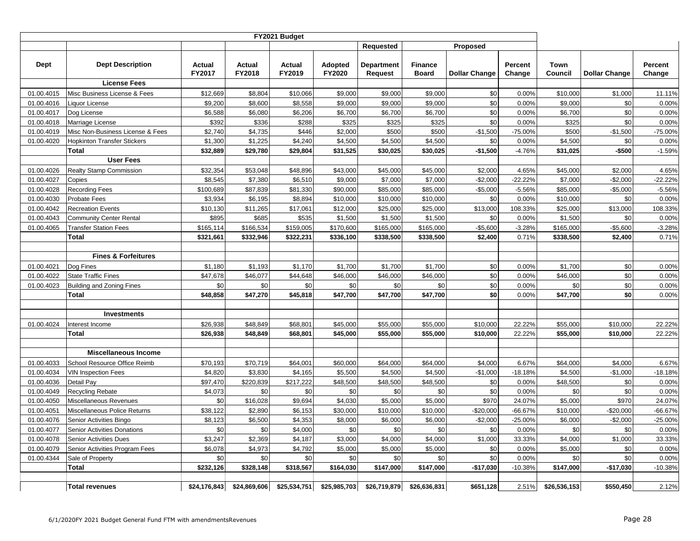|            |                                              |               |               |               |                | <b>Requested</b> |                | Proposed             |                   |              |                      |                   |
|------------|----------------------------------------------|---------------|---------------|---------------|----------------|------------------|----------------|----------------------|-------------------|--------------|----------------------|-------------------|
| Dept       | <b>Dept Description</b>                      | <b>Actual</b> | <b>Actual</b> | <b>Actual</b> | <b>Adopted</b> | Department       | <b>Finance</b> |                      | <b>Percent</b>    | Town         |                      | Percent           |
|            |                                              | <b>FY2017</b> | FY2018        | FY2019        | <b>FY2020</b>  | Request          | <b>Board</b>   | <b>Dollar Change</b> | Change            | Council      | <b>Dollar Change</b> | Change            |
|            | <b>License Fees</b>                          |               |               |               |                |                  |                |                      |                   |              |                      |                   |
| 01.00.4015 | Misc Business License & Fees                 | \$12,669      | \$8,804       | \$10,066      | \$9,000        | \$9,000          | \$9,000        | \$0                  | 0.00%             | \$10,000     | \$1,000              | 11.11%            |
| 01.00.4016 | Liquor License                               | \$9,200       | \$8,600       | \$8,558       | \$9,000        | \$9,000          | \$9,000        | \$0                  | 0.00%             | \$9,000      | \$0                  | 0.00%             |
| 01.00.4017 | Dog License                                  | \$6,588       | \$6,080       | \$6,206       | \$6,700        | \$6,700          | \$6,700        | \$0                  | 0.00%             | \$6,700      | \$0                  | 0.00%             |
| 01.00.4018 | Marriage License                             | \$392         | \$336         | \$288         | \$325          | \$325            | \$325          | \$0                  | 0.00%             | \$325        | \$0                  | 0.00%             |
| 01.00.4019 | Misc Non-Business License & Fees             | \$2,740       | \$4,735       | \$446         | \$2,000        | \$500            | \$500          | $-$1,500$            | $-75.00%$         | \$500        | $-$1,500$            | $-75.00%$         |
| 01.00.4020 | <b>Hopkinton Transfer Stickers</b>           | \$1,300       | \$1,225       | \$4,240       | \$4,500        | \$4,500          | \$4,500        | \$0                  | 0.00%             | \$4,500      | \$0                  | 0.00%             |
|            | Total                                        | \$32,889      | \$29,780      | \$29,804      | \$31,525       | \$30,025         | \$30,025       | $-$1,500$            | $-4.76%$          | \$31,025     | -\$500               | $-1.59%$          |
|            | <b>User Fees</b>                             |               |               |               |                |                  |                |                      |                   |              |                      |                   |
| 01.00.4026 | Realty Stamp Commission                      | \$32,354      | \$53,048      | \$48,896      | \$43,000       | \$45,000         | \$45,000       | \$2,000              | 4.65%             | \$45,000     | \$2,000              | 4.65%             |
| 01.00.4027 | Copies                                       | \$8,545       | \$7,380       | \$6,510       | \$9,000        | \$7,000          | \$7,000        | $-$2,000$            | $-22.22%$         | \$7,000      | $-$2,000$            | $-22.22%$         |
| 01.00.4028 | <b>Recording Fees</b>                        | \$100,689     | \$87,839      | \$81,330      | \$90,000       | \$85,000         | \$85,000       | $-$ \$5,000          | $-5.56%$          | \$85,000     | $-$5,000$            | $-5.56%$          |
| 01.00.4030 | Probate Fees                                 | \$3,934       | \$6,195       | \$8,894       | \$10,000       | \$10,000         | \$10,000       | \$0                  | 0.00%             | \$10,000     | \$0                  | 0.00%             |
| 01.00.4042 | <b>Recreation Events</b>                     | \$10,130      | \$11,265      | \$17,061      | \$12,000       | \$25,000         | \$25,000       | \$13,000             | 108.33%           | \$25,000     | \$13,000             | 108.33%           |
| 01.00.4043 | <b>Community Center Rental</b>               | \$895         | \$685         | \$535         | \$1,500        | \$1,500          | \$1,500        | \$0                  | 0.00%             | \$1,500      | \$0                  | 0.00%             |
| 01.00.4065 | <b>Transfer Station Fees</b><br><b>Total</b> | \$165,114     | \$166,534     | \$159,005     | \$170,600      | \$165,000        | \$165,000      | $-$5,600$            | $-3.28%$<br>0.71% | \$165,000    | $-$5,600$            | $-3.28%$<br>0.71% |
|            |                                              | \$321,661     | \$332,946     | \$322,231     | \$336,100      | \$338,500        | \$338,500      | \$2,400              |                   | \$338,500    | \$2,400              |                   |
|            | <b>Fines &amp; Forfeitures</b>               |               |               |               |                |                  |                |                      |                   |              |                      |                   |
| 01.00.4021 | Dog Fines                                    | \$1,180       | \$1,193       | \$1,170       | \$1,700        | \$1,700          | \$1,700        | \$0                  | 0.00%             | \$1,700      | \$0                  | 0.00%             |
| 01.00.4022 | <b>State Traffic Fines</b>                   | \$47,678      | \$46,077      | \$44,648      | \$46,000       | \$46,000         | \$46,000       | \$0                  | 0.00%             | \$46,000     | \$0                  | 0.00%             |
| 01.00.4023 | <b>Building and Zoning Fines</b>             | \$0           | \$0           | \$0           | \$0            | \$0              | \$0            | \$0                  | 0.00%             | \$0          | \$0                  | 0.00%             |
|            | <b>Total</b>                                 | \$48,858      | \$47,270      | \$45,818      | \$47,700       | \$47,700         | \$47,700       | \$0                  | 0.00%             | \$47,700     | \$0                  | 0.00%             |
|            |                                              |               |               |               |                |                  |                |                      |                   |              |                      |                   |
|            | <b>Investments</b>                           |               |               |               |                |                  |                |                      |                   |              |                      |                   |
| 01.00.4024 | Interest Income                              | \$26,938      | \$48,849      | \$68,801      | \$45,000       | \$55,000         | \$55,000       | \$10,000             | 22.22%            | \$55,000     | \$10,000             | 22.22%            |
|            | Total                                        | \$26,938      | \$48,849      | \$68,801      | \$45,000       | \$55,000         | \$55,000       | \$10,000             | 22.22%            | \$55,000     | \$10,000             | 22.22%            |
|            |                                              |               |               |               |                |                  |                |                      |                   |              |                      |                   |
|            | <b>Miscellaneous Income</b>                  |               |               |               |                |                  |                |                      |                   |              |                      |                   |
| 01.00.4033 | School Resource Office Reimb                 | \$70,193      | \$70,719      | \$64,001      | \$60,000       | \$64,000         | \$64,000       | \$4,000              | 6.67%             | \$64,000     | \$4,000              | 6.67%             |
| 01.00.4034 | <b>VIN Inspection Fees</b>                   | \$4,820       | \$3,830       | \$4,165       | \$5,500        | \$4,500          | \$4,500        | $-$1,000$            | $-18.18%$         | \$4,500      | $-$1,000$            | $-18.18%$         |
| 01.00.4036 | Detail Pay                                   | \$97,470      | \$220,839     | \$217,222     | \$48,500       | \$48,500         | \$48,500       | \$0                  | 0.00%             | \$48,500     | \$0                  | 0.00%             |
| 01.00.4049 | <b>Recycling Rebate</b>                      | \$4,073       | \$0           | \$0           | \$0            | \$0              | \$0            | \$0                  | 0.00%             | \$0          | \$0                  | 0.00%             |
| 01.00.4050 | Miscellaneous Revenues                       | \$0           | \$16,028      | \$9,694       | \$4,030        | \$5,000          | \$5,000        | \$970                | 24.07%            | \$5,000      | \$970                | 24.07%            |
| 01.00.4051 | Miscellaneous Police Returns                 | \$38,122      | \$2,890       | \$6,153       | \$30,000       | \$10,000         | \$10,000       | $-$20,000$           | $-66.67%$         | \$10,000     | $-$20,000$           | $-66.67%$         |
| 01.00.4076 | Senior Activities Bingo                      | \$8,123       | \$6,500       | \$4,353       | \$8,000        | \$6,000          | \$6,000        | $-$2,000$            | $-25.00%$         | \$6,000      | $-$2,000$            | $-25.00%$         |
| 01.00.4077 | Senior Activities Donations                  | \$0           | \$0           | \$4,000       | \$0            | \$0              | \$0            | \$0                  | 0.00%             | \$0          | \$0                  | 0.00%             |
| 01.00.4078 | <b>Senior Activities Dues</b>                | \$3,247       | \$2,369       | \$4,187       | \$3,000        | \$4,000          | \$4,000        | \$1,000              | 33.33%            | \$4,000      | \$1,000              | 33.33%            |
| 01.00.4079 | Senior Activities Program Fees               | \$6,078       | \$4,973       | \$4,792       | \$5,000        | \$5,000          | \$5,000        | \$0                  | 0.00%             | \$5,000      | \$0                  | 0.00%             |
| 01.00.4344 | Sale of Property<br>Total                    | \$0           | \$0           | \$0           | \$0            | \$0              | \$0            | \$0                  | 0.00%             | \$0          | \$0                  | 0.00%             |
|            |                                              | \$232,126     | \$328,148     | \$318,567     | \$164,030      | \$147,000        | \$147,000      | $-$17,030$           | $-10.38%$         | \$147,000    | -\$17,030            | $-10.38%$         |
|            | <b>Total revenues</b>                        | \$24,176,843  | \$24,869,606  | \$25,534,751  | \$25,985,703   | \$26,719,879     | \$26,636,831   | \$651,128            | 2.51%             | \$26,536,153 | \$550,450            | 2.12%             |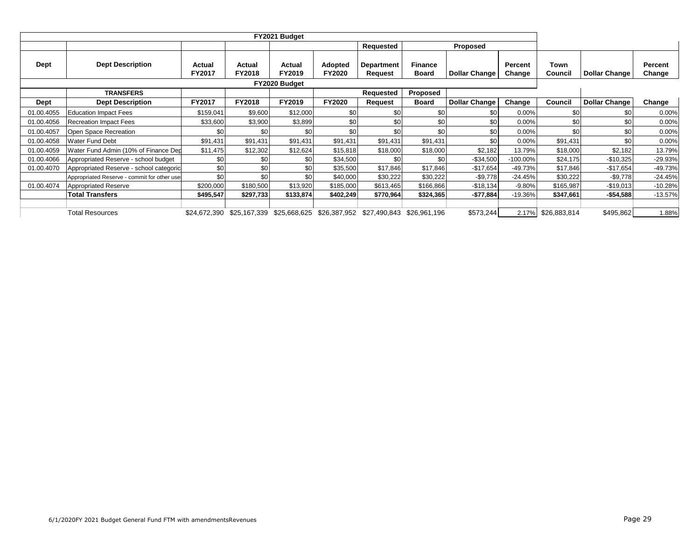|             |                                             |                  |                  |                  |                                 | Requested                           |                                | Proposed             |                   |                 |                      |                   |
|-------------|---------------------------------------------|------------------|------------------|------------------|---------------------------------|-------------------------------------|--------------------------------|----------------------|-------------------|-----------------|----------------------|-------------------|
| Dept        | <b>Dept Description</b>                     | Actual<br>FY2017 | Actual<br>FY2018 | Actual<br>FY2019 | <b>Adopted</b><br><b>FY2020</b> | <b>Department</b><br><b>Request</b> | <b>Finance</b><br><b>Board</b> | <b>Dollar Change</b> | Percent<br>Change | Town<br>Council | <b>Dollar Change</b> | Percent<br>Change |
|             |                                             |                  |                  |                  |                                 |                                     |                                |                      |                   |                 |                      |                   |
|             | <b>TRANSFERS</b>                            |                  |                  |                  |                                 | Requested                           | Proposed                       |                      |                   |                 |                      |                   |
| <b>Dept</b> | <b>Dept Description</b>                     | FY2017           | <b>FY2018</b>    | FY2019           | <b>FY2020</b>                   | Request                             | <b>Board</b>                   | <b>Dollar Change</b> | Change            | Council         | <b>Dollar Change</b> | Change            |
| 01.00.4055  | <b>Education Impact Fees</b>                | \$159,041        | \$9,600          | \$12,000         | \$0                             | \$0                                 | \$0                            | \$0                  | 0.00%             | \$0             | \$0                  | 0.00%             |
| 01.00.4056  | <b>Recreation Impact Fees</b>               | \$33,600         | \$3,900          | \$3,899          | \$0                             | \$0                                 | \$0                            | \$0                  | 0.00%             | \$0             | \$0                  | 0.00%             |
| 01.00.4057  | Open Space Recreation                       | \$0              | \$0              | \$0              | \$C                             | \$0                                 | \$0                            | \$0                  | 0.00%             | \$0             | \$0                  | 0.00%             |
| 01.00.4058  | <b>Water Fund Debt</b>                      | \$91,431         | \$91,431         | \$91,431         | \$91,431                        | \$91,431                            | \$91,431                       | \$0                  | 0.00%             | \$91,431        | \$0                  | 0.00%             |
| 01.00.4059  | Water Fund Admin (10% of Finance Dep        | \$11,475         | \$12,302         | \$12,624         | \$15,818                        | \$18,000                            | \$18,000                       | \$2,182              | 13.79%            | \$18,000        | \$2,182              | 13.79%            |
| 01.00.4066  | Appropriated Reserve - school budget        | \$0              | \$0              | \$0              | \$34,500                        | \$0                                 | \$0                            | $-$34,500$           | -100.00%          | \$24,175        | $-$10,325$           | $-29.93%$         |
| 01.00.4070  | Appropriated Reserve - school categoric     | \$0              | \$0              | \$0              | \$35,500                        | \$17,846                            | \$17,846                       | $-$17,654$           | $-49.73%$         | \$17,846        | $-$17,654$           | -49.73%           |
|             | Appropriated Reserve - commit for other use | \$0              | \$0              | \$0              | \$40,000                        | \$30,222                            | \$30,222                       | $-$9,778$            | $-24.45%$         | \$30,222        | $-$9,778$            | $-24.45%$         |
| 01.00.4074  | <b>Appropriated Reserve</b>                 | \$200,000        | \$180,500        | \$13,920         | \$185,000                       | \$613,465                           | \$166,866                      | $-$18,134$           | $-9.80%$          | \$165,987       | $-$19,013$           | $-10.28%$         |
|             | <b>Total Transfers</b>                      | \$495,547        | \$297,733        | \$133,874        | \$402,249                       | \$770,964                           | \$324,365                      | $-$77,884$           | $-19.36%$         | \$347.661       | $-$ \$54,588         | $-13.57%$         |
|             |                                             |                  |                  |                  |                                 |                                     |                                |                      |                   |                 |                      |                   |
|             | <b>Total Resources</b>                      | \$24,672,390     | \$25,167,339     | \$25,668,625     | \$26,387,952                    | \$27,490,843                        | \$26,961,196                   | \$573,244            | 2.17%             | \$26,883,814    | \$495,862            | 1.88%             |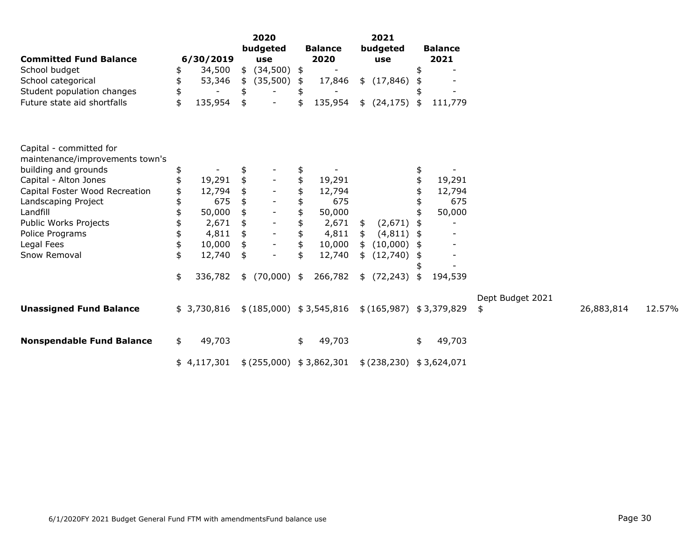|                                  |    |             | 2020 |                |               |                           | 2021 |              |                             |                  |            |        |
|----------------------------------|----|-------------|------|----------------|---------------|---------------------------|------|--------------|-----------------------------|------------------|------------|--------|
|                                  |    |             |      | budgeted       |               | <b>Balance</b>            |      | budgeted     | <b>Balance</b>              |                  |            |        |
| <b>Committed Fund Balance</b>    |    | 6/30/2019   |      | use            |               | 2020                      |      | use          | 2021                        |                  |            |        |
| School budget                    |    | 34,500      |      | \$ (34,500) \$ |               |                           |      |              |                             |                  |            |        |
| School categorical               |    | 53,346      | \$   | (35,500)       | \$            | 17,846                    |      | \$(17, 846)  |                             |                  |            |        |
| Student population changes       | \$ |             | \$   |                |               |                           |      |              |                             |                  |            |        |
| Future state aid shortfalls      | \$ | 135,954     | \$   |                |               | 135,954                   |      | \$ (24, 175) | \$<br>111,779               |                  |            |        |
| Capital - committed for          |    |             |      |                |               |                           |      |              |                             |                  |            |        |
| maintenance/improvements town's  |    |             |      |                |               |                           |      |              |                             |                  |            |        |
| building and grounds             |    |             | \$   |                |               |                           |      |              |                             |                  |            |        |
| Capital - Alton Jones            |    | 19,291      | \$   |                |               | 19,291                    |      |              | 19,291                      |                  |            |        |
| Capital Foster Wood Recreation   |    | 12,794      |      |                |               | 12,794                    |      |              | 12,794                      |                  |            |        |
| Landscaping Project              |    | 675         |      |                |               | 675                       |      |              | 675                         |                  |            |        |
| Landfill                         |    | 50,000      | \$   |                | \$            | 50,000                    |      |              | 50,000                      |                  |            |        |
| Public Works Projects            |    | 2,671       | \$   |                | \$            | 2,671                     | \$   | (2,671)      |                             |                  |            |        |
| Police Programs                  |    | 4,811       | \$   |                |               | 4,811                     | \$   | (4, 811)     | \$                          |                  |            |        |
| Legal Fees                       | \$ | 10,000      | \$   |                | \$            | 10,000                    | \$   | (10,000)     |                             |                  |            |        |
| Snow Removal                     | \$ | 12,740      | \$   |                |               | 12,740                    | \$   | (12,740)     |                             |                  |            |        |
|                                  |    |             |      |                |               |                           |      |              |                             |                  |            |        |
|                                  | \$ | 336,782     |      | \$ (70,000)    | $\frac{1}{2}$ | 266,782                   |      | \$ (72, 243) | \$<br>194,539               |                  |            |        |
|                                  |    |             |      |                |               |                           |      |              |                             | Dept Budget 2021 |            |        |
| <b>Unassigned Fund Balance</b>   |    | \$3,730,816 |      |                |               | \$(185,000) \$3,545,816   |      |              | \$(165,987) \$3,379,829     | \$               | 26,883,814 | 12.57% |
| <b>Nonspendable Fund Balance</b> | \$ | 49,703      |      |                | \$            | 49,703                    |      |              | \$<br>49,703                |                  |            |        |
|                                  |    | \$4,117,301 |      |                |               | \$ (255,000) \$ 3,862,301 |      |              | $$$ (238,230) $$$ 3,624,071 |                  |            |        |